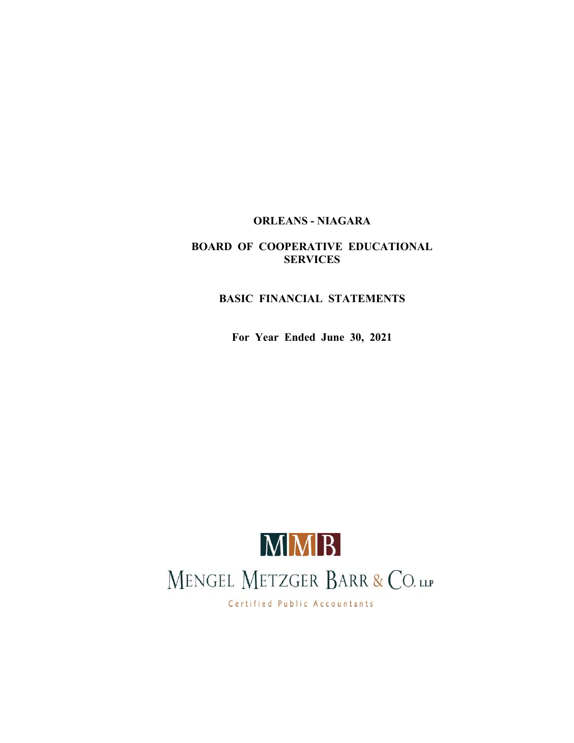# **ORLEANS - NIAGARA**

# **BOARD OF COOPERATIVE EDUCATIONAL SERVICES**

# **BASIC FINANCIAL STATEMENTS**

**For Year Ended June 30, 2021**



Certified Public Accountants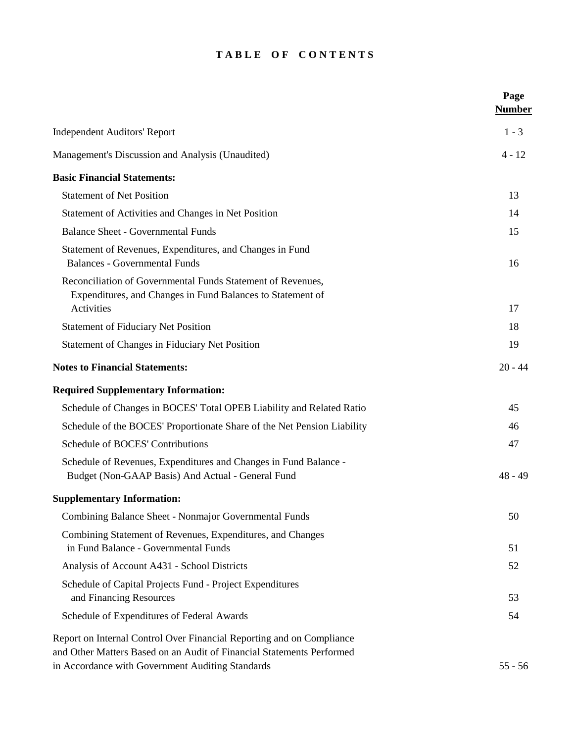# TABLE OF CONTENTS

|                                                                                                                                                                                                    | Page<br><b>Number</b> |
|----------------------------------------------------------------------------------------------------------------------------------------------------------------------------------------------------|-----------------------|
| <b>Independent Auditors' Report</b>                                                                                                                                                                | $1 - 3$               |
| Management's Discussion and Analysis (Unaudited)                                                                                                                                                   | $4 - 12$              |
| <b>Basic Financial Statements:</b>                                                                                                                                                                 |                       |
| <b>Statement of Net Position</b>                                                                                                                                                                   | 13                    |
| Statement of Activities and Changes in Net Position                                                                                                                                                | 14                    |
| <b>Balance Sheet - Governmental Funds</b>                                                                                                                                                          | 15                    |
| Statement of Revenues, Expenditures, and Changes in Fund<br><b>Balances - Governmental Funds</b>                                                                                                   | 16                    |
| Reconciliation of Governmental Funds Statement of Revenues,<br>Expenditures, and Changes in Fund Balances to Statement of<br>Activities                                                            | 17                    |
| <b>Statement of Fiduciary Net Position</b>                                                                                                                                                         | 18                    |
| Statement of Changes in Fiduciary Net Position                                                                                                                                                     | 19                    |
| <b>Notes to Financial Statements:</b>                                                                                                                                                              | $20 - 44$             |
| <b>Required Supplementary Information:</b>                                                                                                                                                         |                       |
| Schedule of Changes in BOCES' Total OPEB Liability and Related Ratio                                                                                                                               | 45                    |
| Schedule of the BOCES' Proportionate Share of the Net Pension Liability                                                                                                                            | 46                    |
| Schedule of BOCES' Contributions                                                                                                                                                                   | 47                    |
| Schedule of Revenues, Expenditures and Changes in Fund Balance -<br>Budget (Non-GAAP Basis) And Actual - General Fund                                                                              | $48 - 49$             |
| <b>Supplementary Information:</b>                                                                                                                                                                  |                       |
| Combining Balance Sheet - Nonmajor Governmental Funds                                                                                                                                              | 50                    |
| Combining Statement of Revenues, Expenditures, and Changes<br>in Fund Balance - Governmental Funds                                                                                                 | 51                    |
| Analysis of Account A431 - School Districts                                                                                                                                                        | 52                    |
| Schedule of Capital Projects Fund - Project Expenditures<br>and Financing Resources                                                                                                                | 53                    |
| Schedule of Expenditures of Federal Awards                                                                                                                                                         | 54                    |
| Report on Internal Control Over Financial Reporting and on Compliance<br>and Other Matters Based on an Audit of Financial Statements Performed<br>in Accordance with Government Auditing Standards | $55 - 56$             |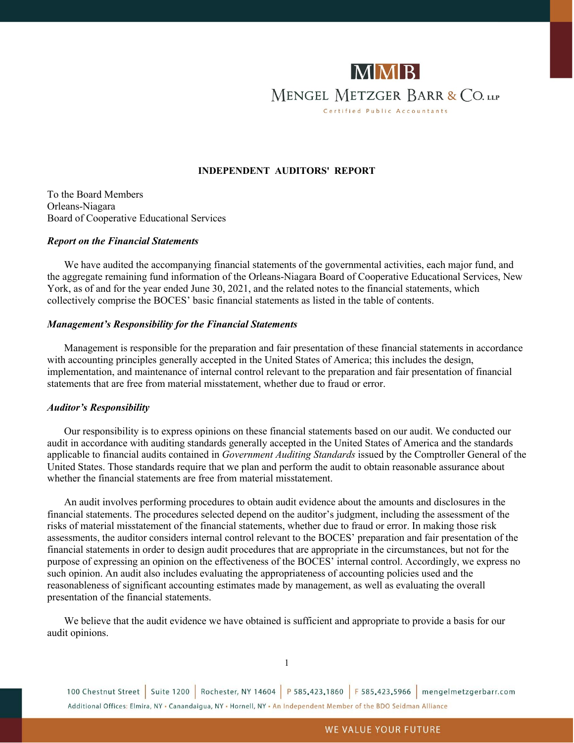

# **INDEPENDENT AUDITORS' REPORT**

To the Board Members Orleans-Niagara Board of Cooperative Educational Services

#### *Report on the Financial Statements*

We have audited the accompanying financial statements of the governmental activities, each major fund, and the aggregate remaining fund information of the Orleans-Niagara Board of Cooperative Educational Services, New York, as of and for the year ended June 30, 2021, and the related notes to the financial statements, which collectively comprise the BOCES' basic financial statements as listed in the table of contents.

#### *Management's Responsibility for the Financial Statements*

Management is responsible for the preparation and fair presentation of these financial statements in accordance with accounting principles generally accepted in the United States of America; this includes the design, implementation, and maintenance of internal control relevant to the preparation and fair presentation of financial statements that are free from material misstatement, whether due to fraud or error.

# *Auditor's Responsibility*

Our responsibility is to express opinions on these financial statements based on our audit. We conducted our audit in accordance with auditing standards generally accepted in the United States of America and the standards applicable to financial audits contained in *Government Auditing Standards* issued by the Comptroller General of the United States. Those standards require that we plan and perform the audit to obtain reasonable assurance about whether the financial statements are free from material misstatement.

An audit involves performing procedures to obtain audit evidence about the amounts and disclosures in the financial statements. The procedures selected depend on the auditor's judgment, including the assessment of the risks of material misstatement of the financial statements, whether due to fraud or error. In making those risk assessments, the auditor considers internal control relevant to the BOCES' preparation and fair presentation of the financial statements in order to design audit procedures that are appropriate in the circumstances, but not for the purpose of expressing an opinion on the effectiveness of the BOCES' internal control. Accordingly, we express no such opinion. An audit also includes evaluating the appropriateness of accounting policies used and the reasonableness of significant accounting estimates made by management, as well as evaluating the overall presentation of the financial statements.

We believe that the audit evidence we have obtained is sufficient and appropriate to provide a basis for our audit opinions.

100 Chestnut Street | Suite 1200 | Rochester, NY 14604 | P 585.423.1860 | F 585.423.5966 | mengelmetzgerbarr.com Additional Offices: Elmira, NY - Canandaigua, NY - Hornell, NY - An Independent Member of the BDO Seidman Alliance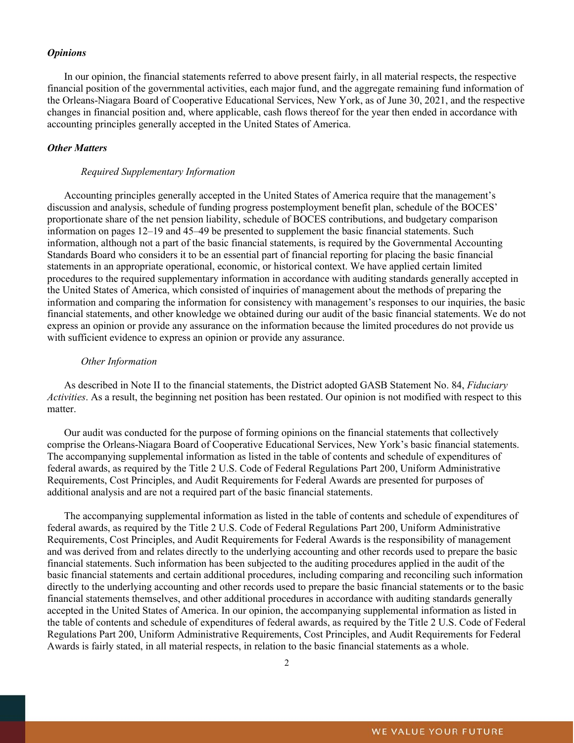### *Opinions*

In our opinion, the financial statements referred to above present fairly, in all material respects, the respective financial position of the governmental activities, each major fund, and the aggregate remaining fund information of the Orleans-Niagara Board of Cooperative Educational Services, New York, as of June 30, 2021, and the respective changes in financial position and, where applicable, cash flows thereof for the year then ended in accordance with accounting principles generally accepted in the United States of America.

# *Other Matters*

# *Required Supplementary Information*

Accounting principles generally accepted in the United States of America require that the management's discussion and analysis, schedule of funding progress postemployment benefit plan, schedule of the BOCES' proportionate share of the net pension liability, schedule of BOCES contributions, and budgetary comparison information on pages 12–19 and 45–49 be presented to supplement the basic financial statements. Such information, although not a part of the basic financial statements, is required by the Governmental Accounting Standards Board who considers it to be an essential part of financial reporting for placing the basic financial statements in an appropriate operational, economic, or historical context. We have applied certain limited procedures to the required supplementary information in accordance with auditing standards generally accepted in the United States of America, which consisted of inquiries of management about the methods of preparing the information and comparing the information for consistency with management's responses to our inquiries, the basic financial statements, and other knowledge we obtained during our audit of the basic financial statements. We do not express an opinion or provide any assurance on the information because the limited procedures do not provide us with sufficient evidence to express an opinion or provide any assurance.

#### *Other Information*

As described in Note II to the financial statements, the District adopted GASB Statement No. 84, *Fiduciary Activities*. As a result, the beginning net position has been restated. Our opinion is not modified with respect to this matter.

Our audit was conducted for the purpose of forming opinions on the financial statements that collectively comprise the Orleans-Niagara Board of Cooperative Educational Services, New York's basic financial statements. The accompanying supplemental information as listed in the table of contents and schedule of expenditures of federal awards, as required by the Title 2 U.S. Code of Federal Regulations Part 200, Uniform Administrative Requirements, Cost Principles, and Audit Requirements for Federal Awards are presented for purposes of additional analysis and are not a required part of the basic financial statements.

The accompanying supplemental information as listed in the table of contents and schedule of expenditures of federal awards, as required by the Title 2 U.S. Code of Federal Regulations Part 200, Uniform Administrative Requirements, Cost Principles, and Audit Requirements for Federal Awards is the responsibility of management and was derived from and relates directly to the underlying accounting and other records used to prepare the basic financial statements. Such information has been subjected to the auditing procedures applied in the audit of the basic financial statements and certain additional procedures, including comparing and reconciling such information directly to the underlying accounting and other records used to prepare the basic financial statements or to the basic financial statements themselves, and other additional procedures in accordance with auditing standards generally accepted in the United States of America. In our opinion, the accompanying supplemental information as listed in the table of contents and schedule of expenditures of federal awards, as required by the Title 2 U.S. Code of Federal Regulations Part 200, Uniform Administrative Requirements, Cost Principles, and Audit Requirements for Federal Awards is fairly stated, in all material respects, in relation to the basic financial statements as a whole.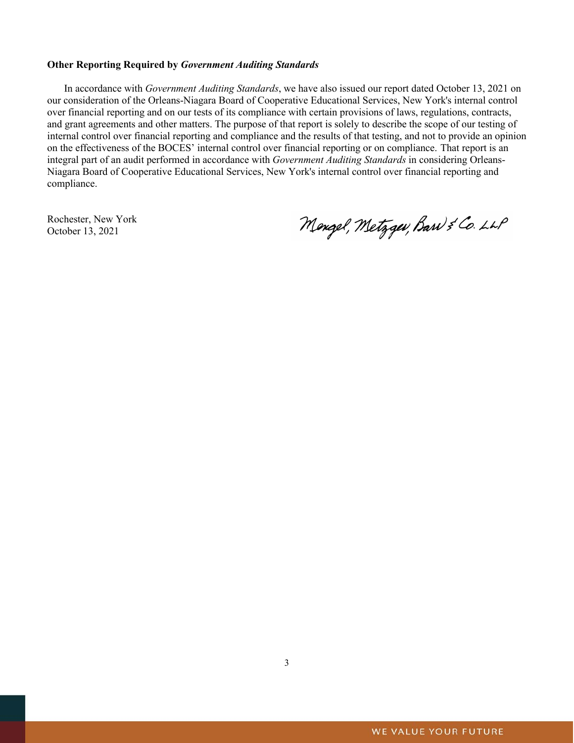# **Other Reporting Required by** *Government Auditing Standards*

In accordance with *Government Auditing Standards*, we have also issued our report dated October 13, 2021 on our consideration of the Orleans-Niagara Board of Cooperative Educational Services, New York's internal control over financial reporting and on our tests of its compliance with certain provisions of laws, regulations, contracts, and grant agreements and other matters. The purpose of that report is solely to describe the scope of our testing of internal control over financial reporting and compliance and the results of that testing, and not to provide an opinion on the effectiveness of the BOCES' internal control over financial reporting or on compliance. That report is an integral part of an audit performed in accordance with *Government Auditing Standards* in considering Orleans-Niagara Board of Cooperative Educational Services, New York's internal control over financial reporting and compliance.

Rochester, New York October 13, 2021

Mengel, Metzgev, Barn & Co. LLP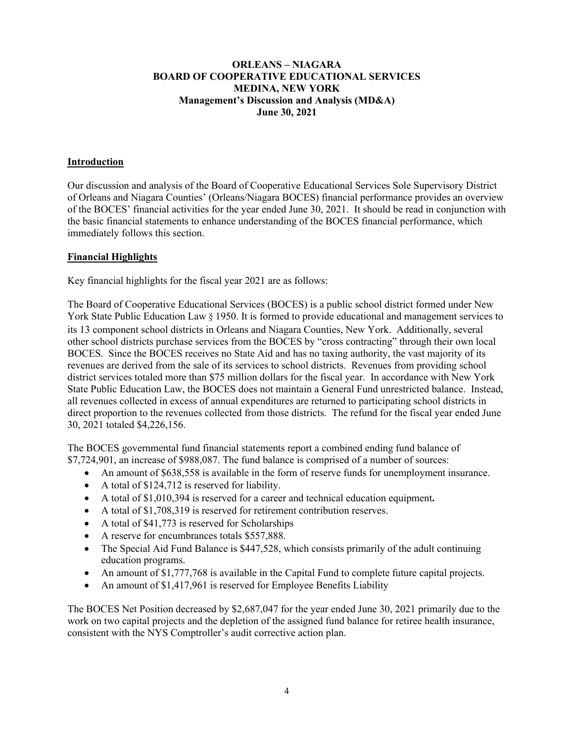# **ORLEANS – NIAGARA BOARD OF COOPERATIVE EDUCATIONAL SERVICES MEDINA, NEW YORK Management's Discussion and Analysis (MD&A) June 30, 2021**

# **Introduction**

Our discussion and analysis of the Board of Cooperative Educational Services Sole Supervisory District of Orleans and Niagara Counties' (Orleans/Niagara BOCES) financial performance provides an overview of the BOCES' financial activities for the year ended June 30, 2021. It should be read in conjunction with the basic financial statements to enhance understanding of the BOCES financial performance, which immediately follows this section.

# **Financial Highlights**

Key financial highlights for the fiscal year 2021 are as follows:

The Board of Cooperative Educational Services (BOCES) is a public school district formed under New York State Public Education Law § 1950. It is formed to provide educational and management services to its 13 component school districts in Orleans and Niagara Counties, New York. Additionally, several other school districts purchase services from the BOCES by "cross contracting" through their own local BOCES. Since the BOCES receives no State Aid and has no taxing authority, the vast majority of its revenues are derived from the sale of its services to school districts. Revenues from providing school district services totaled more than \$75 million dollars for the fiscal year. In accordance with New York State Public Education Law, the BOCES does not maintain a General Fund unrestricted balance. Instead, all revenues collected in excess of annual expenditures are returned to participating school districts in direct proportion to the revenues collected from those districts. The refund for the fiscal year ended June 30, 2021 totaled \$4,226,156.

The BOCES governmental fund financial statements report a combined ending fund balance of \$7,724,901, an increase of \$988,087. The fund balance is comprised of a number of sources:

- An amount of \$638,558 is available in the form of reserve funds for unemployment insurance.
- A total of \$124,712 is reserved for liability.
- A total of \$1,010,394 is reserved for a career and technical education equipment**.**
- A total of \$1,708,319 is reserved for retirement contribution reserves.
- A total of \$41,773 is reserved for Scholarships
- A reserve for encumbrances totals \$557,888.
- The Special Aid Fund Balance is \$447,528, which consists primarily of the adult continuing education programs.
- An amount of \$1,777,768 is available in the Capital Fund to complete future capital projects.
- An amount of \$1,417,961 is reserved for Employee Benefits Liability

The BOCES Net Position decreased by \$2,687,047 for the year ended June 30, 2021 primarily due to the work on two capital projects and the depletion of the assigned fund balance for retiree health insurance, consistent with the NYS Comptroller's audit corrective action plan.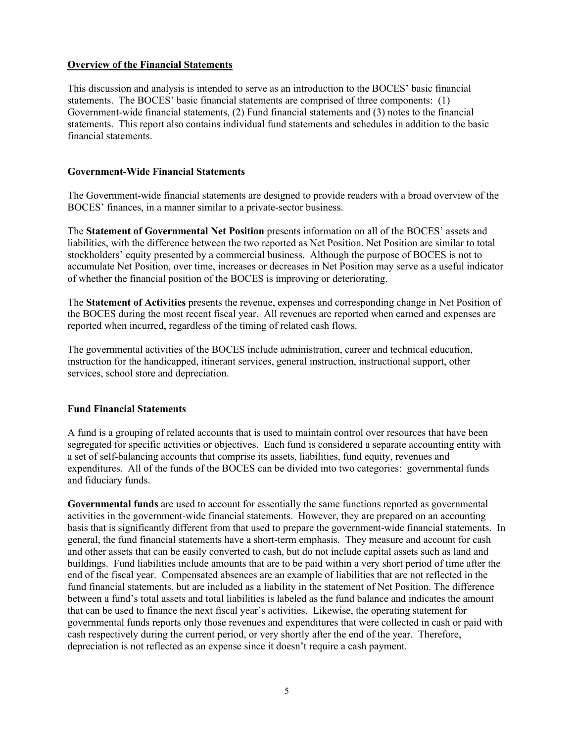# **Overview of the Financial Statements**

This discussion and analysis is intended to serve as an introduction to the BOCES' basic financial statements. The BOCES' basic financial statements are comprised of three components: (1) Government-wide financial statements, (2) Fund financial statements and (3) notes to the financial statements. This report also contains individual fund statements and schedules in addition to the basic financial statements.

# **Government-Wide Financial Statements**

The Government-wide financial statements are designed to provide readers with a broad overview of the BOCES' finances, in a manner similar to a private-sector business.

The **Statement of Governmental Net Position** presents information on all of the BOCES' assets and liabilities, with the difference between the two reported as Net Position. Net Position are similar to total stockholders' equity presented by a commercial business. Although the purpose of BOCES is not to accumulate Net Position, over time, increases or decreases in Net Position may serve as a useful indicator of whether the financial position of the BOCES is improving or deteriorating.

The **Statement of Activities** presents the revenue, expenses and corresponding change in Net Position of the BOCES during the most recent fiscal year. All revenues are reported when earned and expenses are reported when incurred, regardless of the timing of related cash flows.

The governmental activities of the BOCES include administration, career and technical education, instruction for the handicapped, itinerant services, general instruction, instructional support, other services, school store and depreciation.

# **Fund Financial Statements**

A fund is a grouping of related accounts that is used to maintain control over resources that have been segregated for specific activities or objectives. Each fund is considered a separate accounting entity with a set of self-balancing accounts that comprise its assets, liabilities, fund equity, revenues and expenditures. All of the funds of the BOCES can be divided into two categories: governmental funds and fiduciary funds.

**Governmental funds** are used to account for essentially the same functions reported as governmental activities in the government-wide financial statements. However, they are prepared on an accounting basis that is significantly different from that used to prepare the government-wide financial statements. In general, the fund financial statements have a short-term emphasis. They measure and account for cash and other assets that can be easily converted to cash, but do not include capital assets such as land and buildings. Fund liabilities include amounts that are to be paid within a very short period of time after the end of the fiscal year. Compensated absences are an example of liabilities that are not reflected in the fund financial statements, but are included as a liability in the statement of Net Position. The difference between a fund's total assets and total liabilities is labeled as the fund balance and indicates the amount that can be used to finance the next fiscal year's activities. Likewise, the operating statement for governmental funds reports only those revenues and expenditures that were collected in cash or paid with cash respectively during the current period, or very shortly after the end of the year. Therefore, depreciation is not reflected as an expense since it doesn't require a cash payment.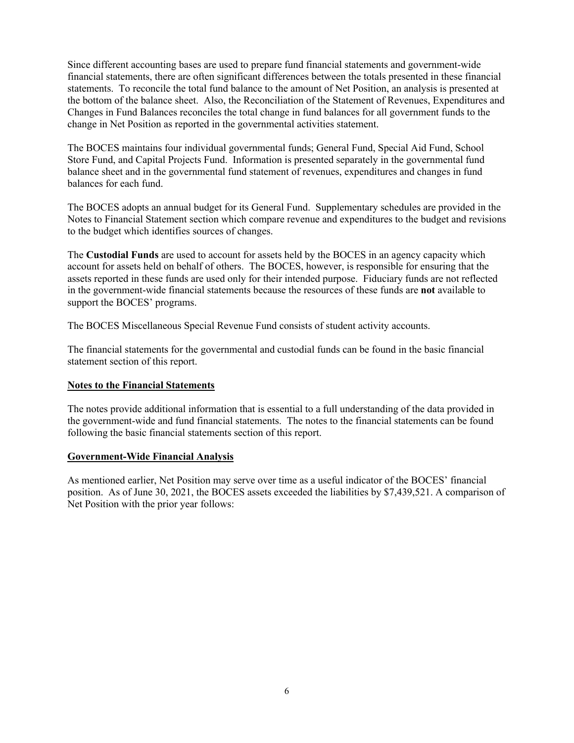Since different accounting bases are used to prepare fund financial statements and government-wide financial statements, there are often significant differences between the totals presented in these financial statements. To reconcile the total fund balance to the amount of Net Position, an analysis is presented at the bottom of the balance sheet. Also, the Reconciliation of the Statement of Revenues, Expenditures and Changes in Fund Balances reconciles the total change in fund balances for all government funds to the change in Net Position as reported in the governmental activities statement.

The BOCES maintains four individual governmental funds; General Fund, Special Aid Fund, School Store Fund, and Capital Projects Fund. Information is presented separately in the governmental fund balance sheet and in the governmental fund statement of revenues, expenditures and changes in fund balances for each fund.

The BOCES adopts an annual budget for its General Fund. Supplementary schedules are provided in the Notes to Financial Statement section which compare revenue and expenditures to the budget and revisions to the budget which identifies sources of changes.

The **Custodial Funds** are used to account for assets held by the BOCES in an agency capacity which account for assets held on behalf of others. The BOCES, however, is responsible for ensuring that the assets reported in these funds are used only for their intended purpose. Fiduciary funds are not reflected in the government-wide financial statements because the resources of these funds are **not** available to support the BOCES' programs.

The BOCES Miscellaneous Special Revenue Fund consists of student activity accounts.

The financial statements for the governmental and custodial funds can be found in the basic financial statement section of this report.

# **Notes to the Financial Statements**

The notes provide additional information that is essential to a full understanding of the data provided in the government-wide and fund financial statements. The notes to the financial statements can be found following the basic financial statements section of this report.

# **Government-Wide Financial Analysis**

As mentioned earlier, Net Position may serve over time as a useful indicator of the BOCES' financial position. As of June 30, 2021, the BOCES assets exceeded the liabilities by \$7,439,521. A comparison of Net Position with the prior year follows: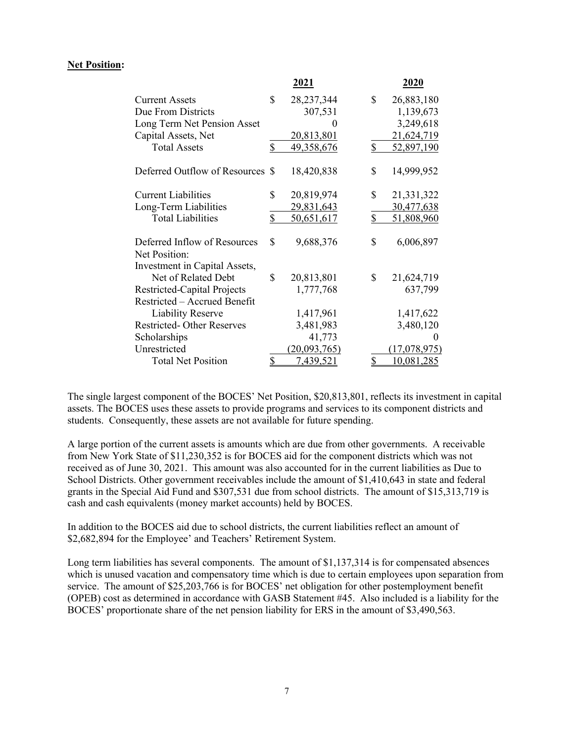# **Net Position:**

|                                  | 2021               | 2020             |
|----------------------------------|--------------------|------------------|
| <b>Current Assets</b>            | \$<br>28, 237, 344 | \$<br>26,883,180 |
| Due From Districts               | 307,531            | 1,139,673        |
| Long Term Net Pension Asset      |                    | 3,249,618        |
| Capital Assets, Net              | <u>20,813,801</u>  | 21,624,719       |
| <b>Total Assets</b>              | \$<br>49,358,676   | \$<br>52,897,190 |
| Deferred Outflow of Resources \$ | 18,420,838         | \$<br>14,999,952 |
| <b>Current Liabilities</b>       | \$<br>20,819,974   | \$<br>21,331,322 |
| Long-Term Liabilities            | 29,831,643         | 30,477,638       |
| <b>Total Liabilities</b>         | \$<br>50,651,617   | \$<br>51,808,960 |
| Deferred Inflow of Resources     | \$<br>9,688,376    | \$<br>6,006,897  |
| Net Position:                    |                    |                  |
| Investment in Capital Assets,    |                    |                  |
| Net of Related Debt              | \$<br>20,813,801   | \$<br>21,624,719 |
| Restricted-Capital Projects      | 1,777,768          | 637,799          |
| Restricted - Accrued Benefit     |                    |                  |
| <b>Liability Reserve</b>         | 1,417,961          | 1,417,622        |
| Restricted-Other Reserves        | 3,481,983          | 3,480,120        |
| Scholarships                     | 41,773             |                  |
| Unrestricted                     | (20,093,765)       | (17,078,975)     |
| <b>Total Net Position</b>        | \$<br>7,439,521    | \$<br>10,081,285 |

The single largest component of the BOCES' Net Position, \$20,813,801, reflects its investment in capital assets. The BOCES uses these assets to provide programs and services to its component districts and students. Consequently, these assets are not available for future spending.

A large portion of the current assets is amounts which are due from other governments. A receivable from New York State of \$11,230,352 is for BOCES aid for the component districts which was not received as of June 30, 2021. This amount was also accounted for in the current liabilities as Due to School Districts. Other government receivables include the amount of \$1,410,643 in state and federal grants in the Special Aid Fund and \$307,531 due from school districts. The amount of \$15,313,719 is cash and cash equivalents (money market accounts) held by BOCES.

In addition to the BOCES aid due to school districts, the current liabilities reflect an amount of \$2,682,894 for the Employee' and Teachers' Retirement System.

Long term liabilities has several components. The amount of \$1,137,314 is for compensated absences which is unused vacation and compensatory time which is due to certain employees upon separation from service. The amount of \$25,203,766 is for BOCES' net obligation for other postemployment benefit (OPEB) cost as determined in accordance with GASB Statement #45. Also included is a liability for the BOCES' proportionate share of the net pension liability for ERS in the amount of \$3,490,563.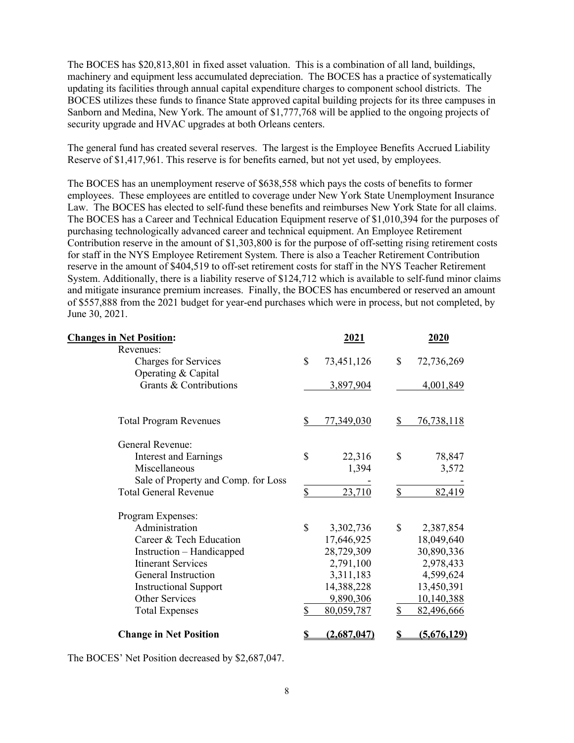The BOCES has \$20,813,801 in fixed asset valuation. This is a combination of all land, buildings, machinery and equipment less accumulated depreciation. The BOCES has a practice of systematically updating its facilities through annual capital expenditure charges to component school districts. The BOCES utilizes these funds to finance State approved capital building projects for its three campuses in Sanborn and Medina, New York. The amount of \$1,777,768 will be applied to the ongoing projects of security upgrade and HVAC upgrades at both Orleans centers.

The general fund has created several reserves. The largest is the Employee Benefits Accrued Liability Reserve of \$1,417,961. This reserve is for benefits earned, but not yet used, by employees.

The BOCES has an unemployment reserve of \$638,558 which pays the costs of benefits to former employees. These employees are entitled to coverage under New York State Unemployment Insurance Law. The BOCES has elected to self-fund these benefits and reimburses New York State for all claims. The BOCES has a Career and Technical Education Equipment reserve of \$1,010,394 for the purposes of purchasing technologically advanced career and technical equipment. An Employee Retirement Contribution reserve in the amount of \$1,303,800 is for the purpose of off-setting rising retirement costs for staff in the NYS Employee Retirement System. There is also a Teacher Retirement Contribution reserve in the amount of \$404,519 to off-set retirement costs for staff in the NYS Teacher Retirement System. Additionally, there is a liability reserve of \$124,712 which is available to self-fund minor claims and mitigate insurance premium increases. Finally, the BOCES has encumbered or reserved an amount of \$557,888 from the 2021 budget for year-end purchases which were in process, but not completed, by June 30, 2021.

| <b>Changes in Net Position:</b>     |              | 2021        |              | 2020               |
|-------------------------------------|--------------|-------------|--------------|--------------------|
| Revenues:                           |              |             |              |                    |
| <b>Charges for Services</b>         | $\mathbb{S}$ | 73,451,126  | $\mathbf S$  | 72,736,269         |
| Operating & Capital                 |              |             |              |                    |
| Grants & Contributions              |              | 3,897,904   |              | 4,001,849          |
| <b>Total Program Revenues</b>       | \$           | 77,349,030  | \$           | 76,738,118         |
| General Revenue:                    |              |             |              |                    |
| <b>Interest and Earnings</b>        | \$           | 22,316      | \$           | 78,847             |
| Miscellaneous                       |              | 1,394       |              | 3,572              |
| Sale of Property and Comp. for Loss |              |             |              |                    |
| <b>Total General Revenue</b>        | \$           | 23,710      | $\mathbb{S}$ | 82,419             |
| Program Expenses:                   |              |             |              |                    |
| Administration                      | \$           | 3,302,736   | \$           | 2,387,854          |
| Career & Tech Education             |              | 17,646,925  |              | 18,049,640         |
| Instruction – Handicapped           |              | 28,729,309  |              | 30,890,336         |
| <b>Itinerant Services</b>           |              | 2,791,100   |              | 2,978,433          |
| <b>General Instruction</b>          |              | 3,311,183   |              | 4,599,624          |
| <b>Instructional Support</b>        |              | 14,388,228  |              | 13,450,391         |
| <b>Other Services</b>               |              | 9,890,306   |              | 10,140,388         |
| <b>Total Expenses</b>               | \$           | 80,059,787  | \$           | 82,496,666         |
| <b>Change in Net Position</b>       | \$           | (2,687,047) |              | <u>(5,676,129)</u> |

The BOCES' Net Position decreased by \$2,687,047.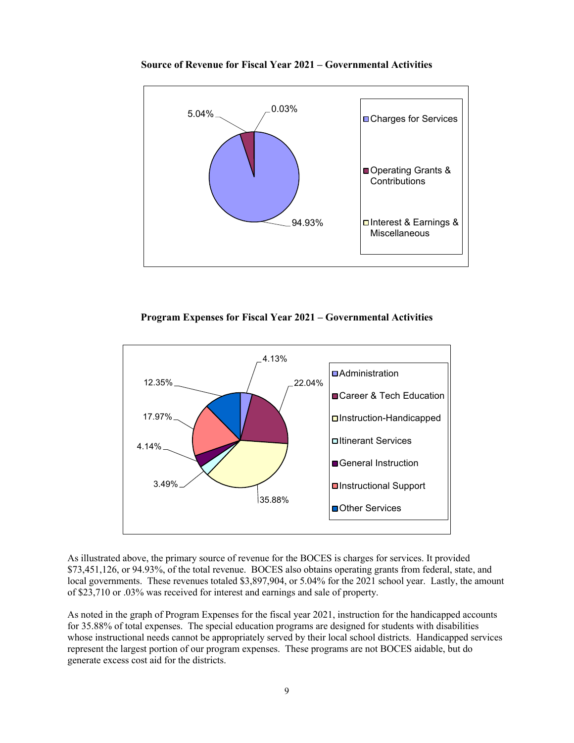

**Source of Revenue for Fiscal Year 2021 – Governmental Activities**





As illustrated above, the primary source of revenue for the BOCES is charges for services. It provided \$73,451,126, or 94.93%, of the total revenue. BOCES also obtains operating grants from federal, state, and local governments. These revenues totaled \$3,897,904, or 5.04% for the 2021 school year. Lastly, the amount of \$23,710 or .03% was received for interest and earnings and sale of property.

As noted in the graph of Program Expenses for the fiscal year 2021, instruction for the handicapped accounts for 35.88% of total expenses. The special education programs are designed for students with disabilities whose instructional needs cannot be appropriately served by their local school districts. Handicapped services represent the largest portion of our program expenses. These programs are not BOCES aidable, but do generate excess cost aid for the districts.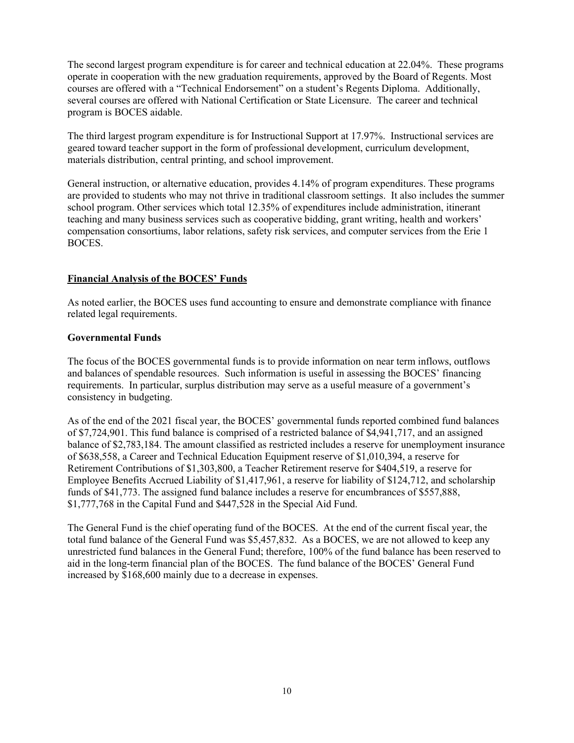The second largest program expenditure is for career and technical education at 22.04%. These programs operate in cooperation with the new graduation requirements, approved by the Board of Regents. Most courses are offered with a "Technical Endorsement" on a student's Regents Diploma. Additionally, several courses are offered with National Certification or State Licensure. The career and technical program is BOCES aidable.

The third largest program expenditure is for Instructional Support at 17.97%. Instructional services are geared toward teacher support in the form of professional development, curriculum development, materials distribution, central printing, and school improvement.

General instruction, or alternative education, provides 4.14% of program expenditures. These programs are provided to students who may not thrive in traditional classroom settings. It also includes the summer school program. Other services which total 12.35% of expenditures include administration, itinerant teaching and many business services such as cooperative bidding, grant writing, health and workers' compensation consortiums, labor relations, safety risk services, and computer services from the Erie 1 BOCES.

# **Financial Analysis of the BOCES' Funds**

As noted earlier, the BOCES uses fund accounting to ensure and demonstrate compliance with finance related legal requirements.

# **Governmental Funds**

The focus of the BOCES governmental funds is to provide information on near term inflows, outflows and balances of spendable resources. Such information is useful in assessing the BOCES' financing requirements. In particular, surplus distribution may serve as a useful measure of a government's consistency in budgeting.

As of the end of the 2021 fiscal year, the BOCES' governmental funds reported combined fund balances of \$7,724,901. This fund balance is comprised of a restricted balance of \$4,941,717, and an assigned balance of \$2,783,184. The amount classified as restricted includes a reserve for unemployment insurance of \$638,558, a Career and Technical Education Equipment reserve of \$1,010,394, a reserve for Retirement Contributions of \$1,303,800, a Teacher Retirement reserve for \$404,519, a reserve for Employee Benefits Accrued Liability of \$1,417,961, a reserve for liability of \$124,712, and scholarship funds of \$41,773. The assigned fund balance includes a reserve for encumbrances of \$557,888, \$1,777,768 in the Capital Fund and \$447,528 in the Special Aid Fund.

The General Fund is the chief operating fund of the BOCES. At the end of the current fiscal year, the total fund balance of the General Fund was \$5,457,832. As a BOCES, we are not allowed to keep any unrestricted fund balances in the General Fund; therefore, 100% of the fund balance has been reserved to aid in the long-term financial plan of the BOCES. The fund balance of the BOCES' General Fund increased by \$168,600 mainly due to a decrease in expenses.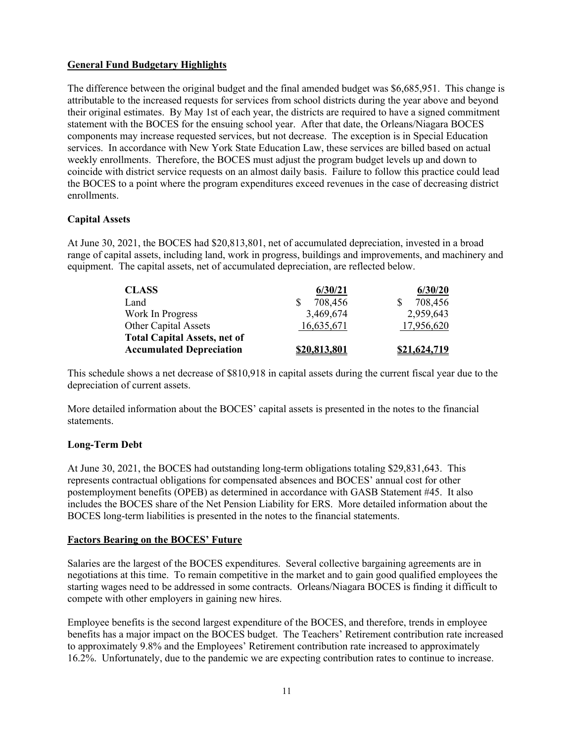# **General Fund Budgetary Highlights**

The difference between the original budget and the final amended budget was \$6,685,951. This change is attributable to the increased requests for services from school districts during the year above and beyond their original estimates. By May 1st of each year, the districts are required to have a signed commitment statement with the BOCES for the ensuing school year. After that date, the Orleans/Niagara BOCES components may increase requested services, but not decrease. The exception is in Special Education services. In accordance with New York State Education Law, these services are billed based on actual weekly enrollments. Therefore, the BOCES must adjust the program budget levels up and down to coincide with district service requests on an almost daily basis. Failure to follow this practice could lead the BOCES to a point where the program expenditures exceed revenues in the case of decreasing district enrollments.

# **Capital Assets**

At June 30, 2021, the BOCES had \$20,813,801, net of accumulated depreciation, invested in a broad range of capital assets, including land, work in progress, buildings and improvements, and machinery and equipment. The capital assets, net of accumulated depreciation, are reflected below.

| <b>CLASS</b>                        | 6/30/21      | 6/30/20      |
|-------------------------------------|--------------|--------------|
| Land                                | 708,456      | 708,456      |
| Work In Progress                    | 3,469,674    | 2,959,643    |
| <b>Other Capital Assets</b>         | 16,635,671   | 17,956,620   |
| <b>Total Capital Assets, net of</b> |              |              |
| <b>Accumulated Depreciation</b>     | \$20,813,801 | \$21,624,719 |

This schedule shows a net decrease of \$810,918 in capital assets during the current fiscal year due to the depreciation of current assets.

More detailed information about the BOCES' capital assets is presented in the notes to the financial statements.

# **Long-Term Debt**

At June 30, 2021, the BOCES had outstanding long-term obligations totaling \$29,831,643. This represents contractual obligations for compensated absences and BOCES' annual cost for other postemployment benefits (OPEB) as determined in accordance with GASB Statement #45. It also includes the BOCES share of the Net Pension Liability for ERS. More detailed information about the BOCES long-term liabilities is presented in the notes to the financial statements.

# **Factors Bearing on the BOCES' Future**

Salaries are the largest of the BOCES expenditures. Several collective bargaining agreements are in negotiations at this time. To remain competitive in the market and to gain good qualified employees the starting wages need to be addressed in some contracts. Orleans/Niagara BOCES is finding it difficult to compete with other employers in gaining new hires.

Employee benefits is the second largest expenditure of the BOCES, and therefore, trends in employee benefits has a major impact on the BOCES budget. The Teachers' Retirement contribution rate increased to approximately 9.8% and the Employees' Retirement contribution rate increased to approximately 16.2%. Unfortunately, due to the pandemic we are expecting contribution rates to continue to increase.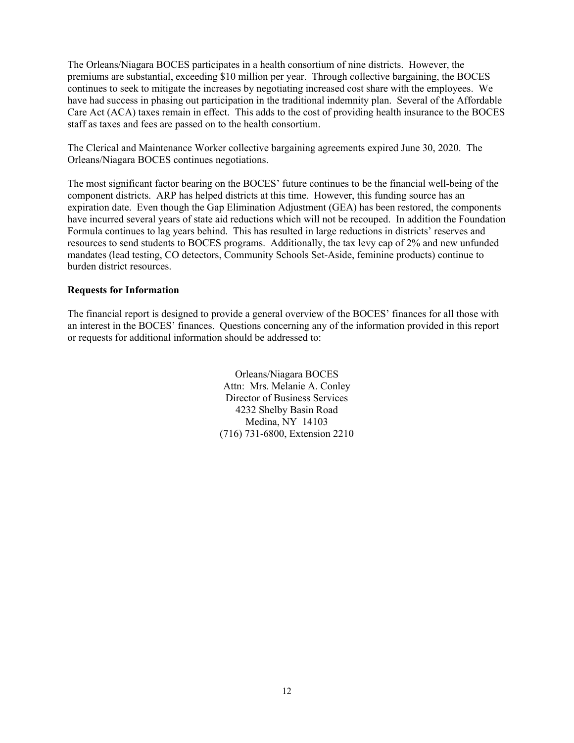The Orleans/Niagara BOCES participates in a health consortium of nine districts. However, the premiums are substantial, exceeding \$10 million per year. Through collective bargaining, the BOCES continues to seek to mitigate the increases by negotiating increased cost share with the employees. We have had success in phasing out participation in the traditional indemnity plan. Several of the Affordable Care Act (ACA) taxes remain in effect. This adds to the cost of providing health insurance to the BOCES staff as taxes and fees are passed on to the health consortium.

The Clerical and Maintenance Worker collective bargaining agreements expired June 30, 2020. The Orleans/Niagara BOCES continues negotiations.

The most significant factor bearing on the BOCES' future continues to be the financial well-being of the component districts. ARP has helped districts at this time. However, this funding source has an expiration date. Even though the Gap Elimination Adjustment (GEA) has been restored, the components have incurred several years of state aid reductions which will not be recouped. In addition the Foundation Formula continues to lag years behind. This has resulted in large reductions in districts' reserves and resources to send students to BOCES programs. Additionally, the tax levy cap of 2% and new unfunded mandates (lead testing, CO detectors, Community Schools Set-Aside, feminine products) continue to burden district resources.

# **Requests for Information**

The financial report is designed to provide a general overview of the BOCES' finances for all those with an interest in the BOCES' finances. Questions concerning any of the information provided in this report or requests for additional information should be addressed to:

> Orleans/Niagara BOCES Attn: Mrs. Melanie A. Conley Director of Business Services 4232 Shelby Basin Road Medina, NY 14103 (716) 731-6800, Extension 2210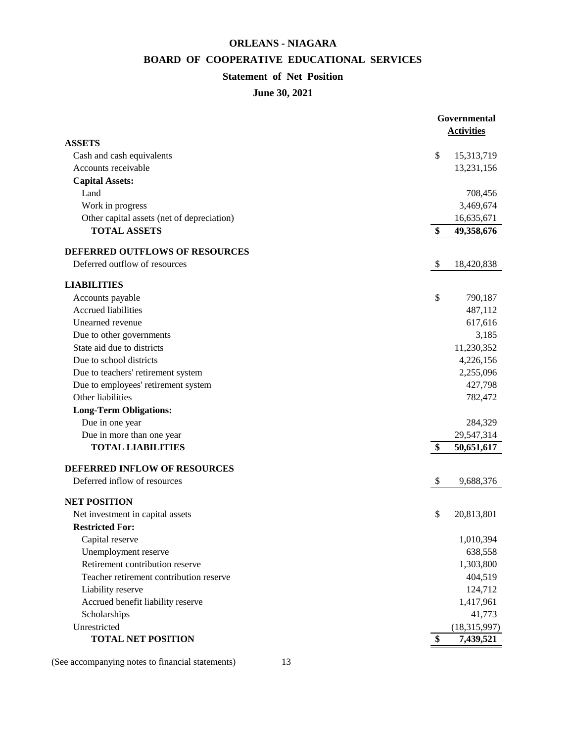# **ORLEANS - NIAGARA**

# **BOARD OF COOPERATIVE EDUCATIONAL SERVICES**

# **Statement of Net Position**

# **June 30, 2021**

|                                                         | Governmental      |
|---------------------------------------------------------|-------------------|
|                                                         | <b>Activities</b> |
| <b>ASSETS</b>                                           |                   |
| Cash and cash equivalents                               | \$<br>15,313,719  |
| Accounts receivable                                     | 13,231,156        |
| <b>Capital Assets:</b>                                  |                   |
| Land                                                    | 708,456           |
| Work in progress                                        | 3,469,674         |
| Other capital assets (net of depreciation)              | 16,635,671        |
| <b>TOTAL ASSETS</b>                                     | \$<br>49,358,676  |
| DEFERRED OUTFLOWS OF RESOURCES                          |                   |
| Deferred outflow of resources                           | \$<br>18,420,838  |
| <b>LIABILITIES</b>                                      |                   |
| Accounts payable                                        | \$<br>790,187     |
| <b>Accrued liabilities</b>                              | 487,112           |
| Unearned revenue                                        | 617,616           |
| Due to other governments                                | 3,185             |
| State aid due to districts                              | 11,230,352        |
| Due to school districts                                 | 4,226,156         |
| Due to teachers' retirement system                      | 2,255,096         |
| Due to employees' retirement system                     | 427,798           |
| Other liabilities                                       | 782,472           |
| <b>Long-Term Obligations:</b>                           |                   |
| Due in one year                                         | 284,329           |
| Due in more than one year                               | 29,547,314        |
| <b>TOTAL LIABILITIES</b>                                | \$<br>50,651,617  |
| DEFERRED INFLOW OF RESOURCES                            |                   |
| Deferred inflow of resources                            | \$<br>9,688,376   |
|                                                         |                   |
| <b>NET POSITION</b><br>Net investment in capital assets | \$<br>20,813,801  |
| <b>Restricted For:</b>                                  |                   |
| Capital reserve                                         | 1,010,394         |
| Unemployment reserve                                    | 638,558           |
| Retirement contribution reserve                         |                   |
|                                                         | 1,303,800         |
| Teacher retirement contribution reserve                 | 404,519           |
| Liability reserve                                       | 124,712           |
| Accrued benefit liability reserve                       | 1,417,961         |
| Scholarships                                            | 41,773            |
| Unrestricted                                            | (18, 315, 997)    |
| <b>TOTAL NET POSITION</b>                               | \$<br>7,439,521   |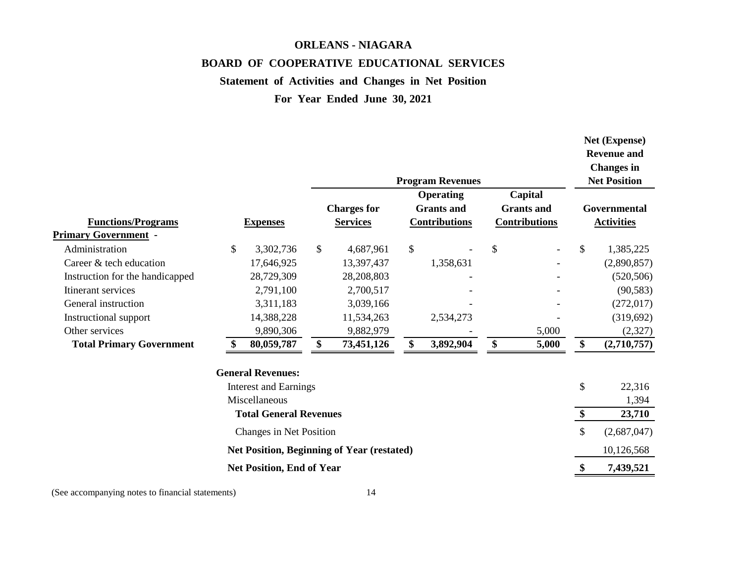# **ORLEANS - NIAGARA BOARD OF COOPERATIVE EDUCATIONAL SERVICES**

# **Statement of Activities and Changes in Net Position**

**For Year Ended June 30, 2021**

| <b>Functions/Programs</b><br><b>Primary Government -</b> | <b>Expenses</b>                  |              | <b>Charges for</b><br><b>Services</b>             | <b>Program Revenues</b><br><b>Operating</b><br><b>Grants</b> and<br><b>Contributions</b> | Capital<br><b>Grants</b> and<br><b>Contributions</b> | Net (Expense)<br><b>Revenue and</b><br><b>Changes</b> in<br><b>Net Position</b><br>Governmental<br><b>Activities</b> |
|----------------------------------------------------------|----------------------------------|--------------|---------------------------------------------------|------------------------------------------------------------------------------------------|------------------------------------------------------|----------------------------------------------------------------------------------------------------------------------|
| Administration                                           | \$<br>3,302,736                  | $\mathbb{S}$ | 4,687,961                                         | \$                                                                                       | \$                                                   | \$<br>1,385,225                                                                                                      |
| Career & tech education                                  | 17,646,925                       |              | 13,397,437                                        | 1,358,631                                                                                |                                                      | (2,890,857)                                                                                                          |
| Instruction for the handicapped                          | 28,729,309                       |              | 28,208,803                                        |                                                                                          |                                                      | (520, 506)                                                                                                           |
| Itinerant services                                       | 2,791,100                        |              | 2,700,517                                         |                                                                                          |                                                      | (90, 583)                                                                                                            |
| General instruction                                      | 3,311,183                        |              | 3,039,166                                         |                                                                                          |                                                      | (272, 017)                                                                                                           |
| Instructional support                                    | 14,388,228                       |              | 11,534,263                                        | 2,534,273                                                                                |                                                      | (319, 692)                                                                                                           |
| Other services                                           | 9,890,306                        |              | 9,882,979                                         |                                                                                          | 5,000                                                | (2,327)                                                                                                              |
| <b>Total Primary Government</b>                          | 80,059,787                       | \$           | 73,451,126                                        | \$<br>3,892,904                                                                          | \$<br>5,000                                          | \$<br>(2,710,757)                                                                                                    |
|                                                          | <b>General Revenues:</b>         |              |                                                   |                                                                                          |                                                      |                                                                                                                      |
|                                                          | <b>Interest and Earnings</b>     |              |                                                   |                                                                                          |                                                      | \$<br>22,316                                                                                                         |
|                                                          | Miscellaneous                    |              |                                                   |                                                                                          |                                                      | 1,394                                                                                                                |
|                                                          | <b>Total General Revenues</b>    |              |                                                   |                                                                                          |                                                      | \$<br>23,710                                                                                                         |
|                                                          | Changes in Net Position          |              |                                                   |                                                                                          |                                                      | \$<br>(2,687,047)                                                                                                    |
|                                                          |                                  |              | <b>Net Position, Beginning of Year (restated)</b> |                                                                                          |                                                      | 10,126,568                                                                                                           |
|                                                          | <b>Net Position, End of Year</b> |              |                                                   |                                                                                          |                                                      | \$<br>7,439,521                                                                                                      |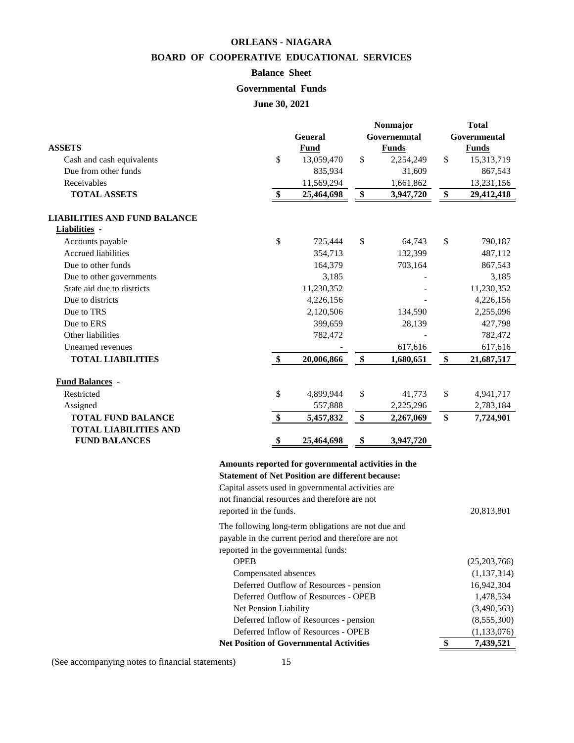# **ORLEANS - NIAGARA BOARD OF COOPERATIVE EDUCATIONAL SERVICES**

# **Balance Sheet**

# **Governmental Funds**

**June 30, 2021**

|                                     |               |                | Nonmajor   |              | <b>Total</b> |              |  |
|-------------------------------------|---------------|----------------|------------|--------------|--------------|--------------|--|
|                                     |               | <b>General</b> |            | Governemntal | Governmental |              |  |
| <b>ASSETS</b>                       |               | Fund           |            | <b>Funds</b> |              | <b>Funds</b> |  |
| Cash and cash equivalents           | \$            | 13,059,470     | \$         | 2,254,249    | \$           | 15,313,719   |  |
| Due from other funds                |               | 835,934        |            | 31,609       |              | 867,543      |  |
| Receivables                         |               | 11,569,294     |            | 1,661,862    |              | 13,231,156   |  |
| <b>TOTAL ASSETS</b>                 |               | 25,464,698     | \$         | 3,947,720    | \$           | 29,412,418   |  |
| <b>LIABILITIES AND FUND BALANCE</b> |               |                |            |              |              |              |  |
| Liabilities -                       |               |                |            |              |              |              |  |
| Accounts payable                    | \$            | 725,444        | \$         | 64,743       | \$           | 790,187      |  |
| <b>Accrued liabilities</b>          |               | 354,713        |            | 132,399      |              | 487,112      |  |
| Due to other funds                  |               | 164,379        |            | 703,164      |              | 867,543      |  |
| Due to other governments            |               | 3,185          |            |              |              | 3,185        |  |
| State aid due to districts          |               | 11,230,352     |            |              |              | 11,230,352   |  |
| Due to districts                    |               | 4,226,156      |            |              |              | 4,226,156    |  |
| Due to TRS                          |               | 2,120,506      |            | 134,590      |              | 2,255,096    |  |
| Due to ERS                          |               | 399,659        |            | 28,139       |              | 427,798      |  |
| Other liabilities                   |               | 782,472        |            |              |              | 782,472      |  |
| Unearned revenues                   |               |                |            | 617,616      |              | 617,616      |  |
| <b>TOTAL LIABILITIES</b>            | $\mathbf{\$}$ | 20,006,866     | \$         | 1,680,651    | \$           | 21,687,517   |  |
| <b>Fund Balances -</b>              |               |                |            |              |              |              |  |
| Restricted                          | \$            | 4,899,944      | \$         | 41,773       | \$           | 4,941,717    |  |
| Assigned                            |               | 557,888        |            | 2,225,296    |              | 2,783,184    |  |
| <b>TOTAL FUND BALANCE</b>           | \$            | 5,457,832      | $\pmb{\$}$ | 2,267,069    | \$           | 7,724,901    |  |
| <b>TOTAL LIABILITIES AND</b>        |               |                |            |              |              |              |  |
| <b>FUND BALANCES</b>                | $\triangleq$  | 25,464,698     | \$         | 3,947,720    |              |              |  |
|                                     |               |                |            |              |              |              |  |

# **Amounts reported for governmental activities in the Statement of Net Position are different because:**

| <b>Net Position of Governmental Activities</b>      | \$<br>7,439,521 |
|-----------------------------------------------------|-----------------|
| Deferred Inflow of Resources - OPEB                 | (1,133,076)     |
| Deferred Inflow of Resources - pension              | (8,555,300)     |
| Net Pension Liability                               | (3,490,563)     |
| Deferred Outflow of Resources - OPEB                | 1,478,534       |
| Deferred Outflow of Resources - pension             | 16,942,304      |
| Compensated absences                                | (1,137,314)     |
| <b>OPEB</b>                                         | (25,203,766)    |
| reported in the governmental funds:                 |                 |
| payable in the current period and therefore are not |                 |
| The following long-term obligations are not due and |                 |
| reported in the funds.                              | 20,813,801      |
| not financial resources and therefore are not       |                 |
| Capital assets used in governmental activities are  |                 |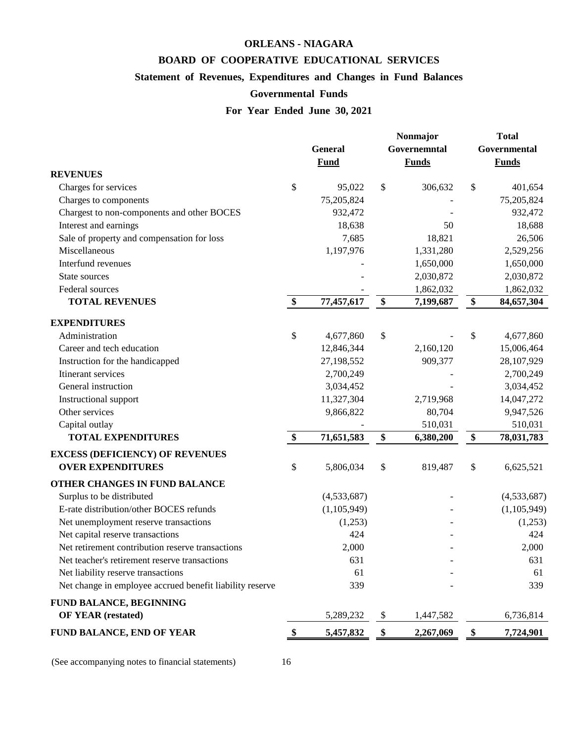# **ORLEANS - NIAGARA**

# **BOARD OF COOPERATIVE EDUCATIONAL SERVICES**

# **Statement of Revenues, Expenditures and Changes in Fund Balances**

# **Governmental Funds**

# **For Year Ended June 30, 2021**

|                                                          | General<br><b>Fund</b> | Nonmajor<br>Governemntal<br><b>Funds</b> | <b>Total</b><br>Governmental<br><b>Funds</b> |
|----------------------------------------------------------|------------------------|------------------------------------------|----------------------------------------------|
| <b>REVENUES</b>                                          |                        |                                          |                                              |
| Charges for services                                     | \$<br>95,022           | \$<br>306,632                            | \$<br>401,654                                |
| Charges to components                                    | 75,205,824             |                                          | 75,205,824                                   |
| Chargest to non-components and other BOCES               | 932,472                |                                          | 932,472                                      |
| Interest and earnings                                    | 18,638                 | 50                                       | 18,688                                       |
| Sale of property and compensation for loss               | 7,685                  | 18,821                                   | 26,506                                       |
| Miscellaneous                                            | 1,197,976              | 1,331,280                                | 2,529,256                                    |
| Interfund revenues                                       |                        | 1,650,000                                | 1,650,000                                    |
| State sources                                            |                        | 2,030,872                                | 2,030,872                                    |
| Federal sources                                          |                        | 1,862,032                                | 1,862,032                                    |
| <b>TOTAL REVENUES</b>                                    | \$<br>77,457,617       | \$<br>7,199,687                          | \$<br>84,657,304                             |
| <b>EXPENDITURES</b>                                      |                        |                                          |                                              |
| Administration                                           | \$<br>4,677,860        | \$                                       | \$<br>4,677,860                              |
| Career and tech education                                | 12,846,344             | 2,160,120                                | 15,006,464                                   |
| Instruction for the handicapped                          | 27,198,552             | 909,377                                  | 28,107,929                                   |
| Itinerant services                                       | 2,700,249              |                                          | 2,700,249                                    |
| General instruction                                      | 3,034,452              |                                          | 3,034,452                                    |
| Instructional support                                    | 11,327,304             | 2,719,968                                | 14,047,272                                   |
| Other services                                           | 9,866,822              | 80,704                                   | 9,947,526                                    |
| Capital outlay                                           |                        | 510,031                                  | 510,031                                      |
| <b>TOTAL EXPENDITURES</b>                                | \$<br>71,651,583       | \$<br>6,380,200                          | \$<br>78,031,783                             |
| <b>EXCESS (DEFICIENCY) OF REVENUES</b>                   |                        |                                          |                                              |
| <b>OVER EXPENDITURES</b>                                 | \$<br>5,806,034        | \$<br>819,487                            | \$<br>6,625,521                              |
| OTHER CHANGES IN FUND BALANCE                            |                        |                                          |                                              |
| Surplus to be distributed                                | (4,533,687)            |                                          | (4,533,687)                                  |
| E-rate distribution/other BOCES refunds                  | (1, 105, 949)          |                                          | (1, 105, 949)                                |
| Net unemployment reserve transactions                    | (1,253)                |                                          | (1,253)                                      |
| Net capital reserve transactions                         | 424                    |                                          | 424                                          |
| Net retirement contribution reserve transactions         | 2,000                  |                                          | 2,000                                        |
| Net teacher's retirement reserve transactions            | 631                    |                                          | 631                                          |
| Net liability reserve transactions                       | 61                     |                                          | 61                                           |
| Net change in employee accrued benefit liability reserve | 339                    |                                          | 339                                          |
| FUND BALANCE, BEGINNING                                  |                        |                                          |                                              |
| <b>OF YEAR (restated)</b>                                | 5,289,232              | \$<br>1,447,582                          | 6,736,814                                    |
| <b>FUND BALANCE, END OF YEAR</b>                         | 5,457,832              | \$<br>2,267,069                          | \$<br>7,724,901                              |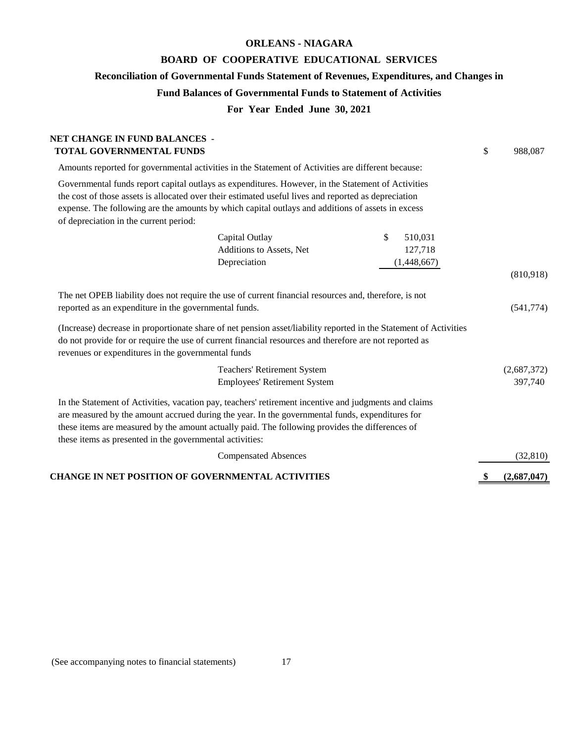# **ORLEANS - NIAGARA**

# **BOARD OF COOPERATIVE EDUCATIONAL SERVICES**

**Reconciliation of Governmental Funds Statement of Revenues, Expenditures, and Changes in**

# **Fund Balances of Governmental Funds to Statement of Activities**

# **For Year Ended June 30, 2021**

| NET CHANGE IN FUND BALANCES -<br><b>TOTAL GOVERNMENTAL FUNDS</b>                                            |                                                                                                                                                                                                                                                                                                                                      |               | \$<br>988,087 |
|-------------------------------------------------------------------------------------------------------------|--------------------------------------------------------------------------------------------------------------------------------------------------------------------------------------------------------------------------------------------------------------------------------------------------------------------------------------|---------------|---------------|
|                                                                                                             | Amounts reported for governmental activities in the Statement of Activities are different because:                                                                                                                                                                                                                                   |               |               |
| of depreciation in the current period:                                                                      | Governmental funds report capital outlays as expenditures. However, in the Statement of Activities<br>the cost of those assets is allocated over their estimated useful lives and reported as depreciation<br>expense. The following are the amounts by which capital outlays and additions of assets in excess                      |               |               |
|                                                                                                             | Capital Outlay                                                                                                                                                                                                                                                                                                                       | \$<br>510,031 |               |
|                                                                                                             | Additions to Assets, Net                                                                                                                                                                                                                                                                                                             | 127,718       |               |
|                                                                                                             | Depreciation                                                                                                                                                                                                                                                                                                                         | (1,448,667)   |               |
|                                                                                                             |                                                                                                                                                                                                                                                                                                                                      |               | (810,918)     |
| reported as an expenditure in the governmental funds.<br>revenues or expenditures in the governmental funds | The net OPEB liability does not require the use of current financial resources and, therefore, is not<br>(Increase) decrease in proportionate share of net pension asset/liability reported in the Statement of Activities<br>do not provide for or require the use of current financial resources and therefore are not reported as |               | (541, 774)    |
|                                                                                                             | <b>Teachers' Retirement System</b>                                                                                                                                                                                                                                                                                                   |               | (2,687,372)   |
|                                                                                                             | <b>Employees' Retirement System</b>                                                                                                                                                                                                                                                                                                  |               | 397,740       |
| these items as presented in the governmental activities:                                                    | In the Statement of Activities, vacation pay, teachers' retirement incentive and judgments and claims<br>are measured by the amount accrued during the year. In the governmental funds, expenditures for<br>these items are measured by the amount actually paid. The following provides the differences of                          |               |               |
|                                                                                                             | <b>Compensated Absences</b>                                                                                                                                                                                                                                                                                                          |               | (32, 810)     |
|                                                                                                             | CHANGE IN NET POSITION OF GOVERNMENTAL ACTIVITIES                                                                                                                                                                                                                                                                                    |               | (2,687,047)   |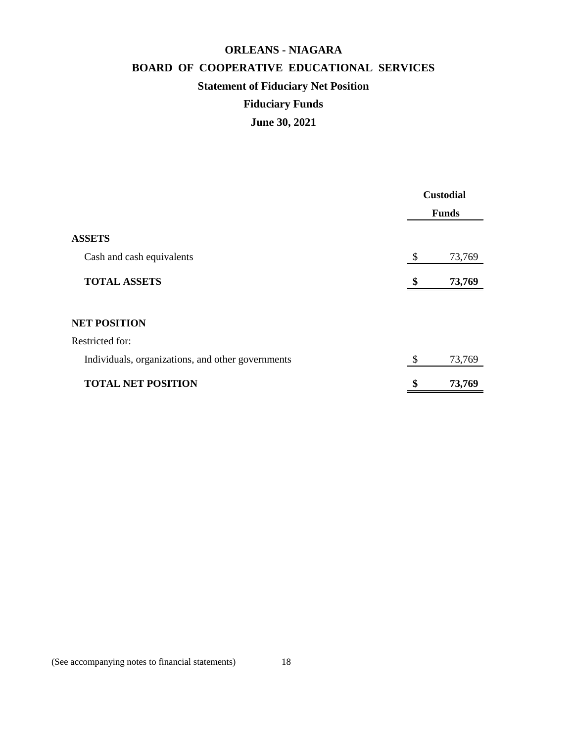# **BOARD OF COOPERATIVE EDUCATIONAL SERVICES ORLEANS - NIAGARA Statement of Fiduciary Net Position Fiduciary Funds June 30, 2021**

|                                                   | <b>Custodial</b> |              |
|---------------------------------------------------|------------------|--------------|
|                                                   |                  | <b>Funds</b> |
| <b>ASSETS</b>                                     |                  |              |
| Cash and cash equivalents                         | \$               | 73,769       |
| <b>TOTAL ASSETS</b>                               | \$               | 73,769       |
|                                                   |                  |              |
| <b>NET POSITION</b>                               |                  |              |
| <b>Restricted for:</b>                            |                  |              |
| Individuals, organizations, and other governments | \$               | 73,769       |
| <b>TOTAL NET POSITION</b>                         | \$               | 73,769       |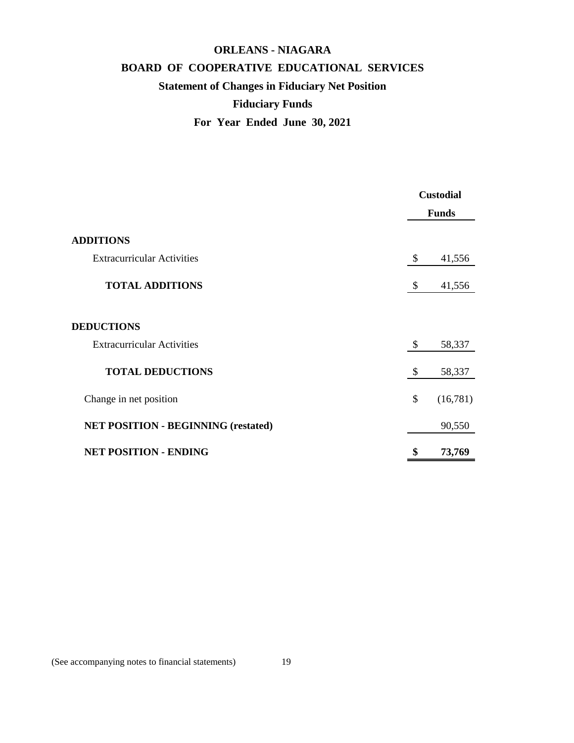# **ORLEANS - NIAGARA BOARD OF COOPERATIVE EDUCATIONAL SERVICES Statement of Changes in Fiduciary Net Position Fiduciary Funds**

**For Year Ended June 30, 2021**

|                                            |                           | <b>Custodial</b> |
|--------------------------------------------|---------------------------|------------------|
|                                            |                           | <b>Funds</b>     |
| <b>ADDITIONS</b>                           |                           |                  |
| <b>Extracurricular Activities</b>          | $\boldsymbol{\mathsf{S}}$ | 41,556           |
| <b>TOTAL ADDITIONS</b>                     | $\boldsymbol{\mathsf{S}}$ | 41,556           |
| <b>DEDUCTIONS</b>                          |                           |                  |
| <b>Extracurricular Activities</b>          | \$                        | 58,337           |
| <b>TOTAL DEDUCTIONS</b>                    | \$                        | 58,337           |
| Change in net position                     | \$                        | (16,781)         |
| <b>NET POSITION - BEGINNING (restated)</b> |                           | 90,550           |
| <b>NET POSITION - ENDING</b>               | \$                        | 73,769           |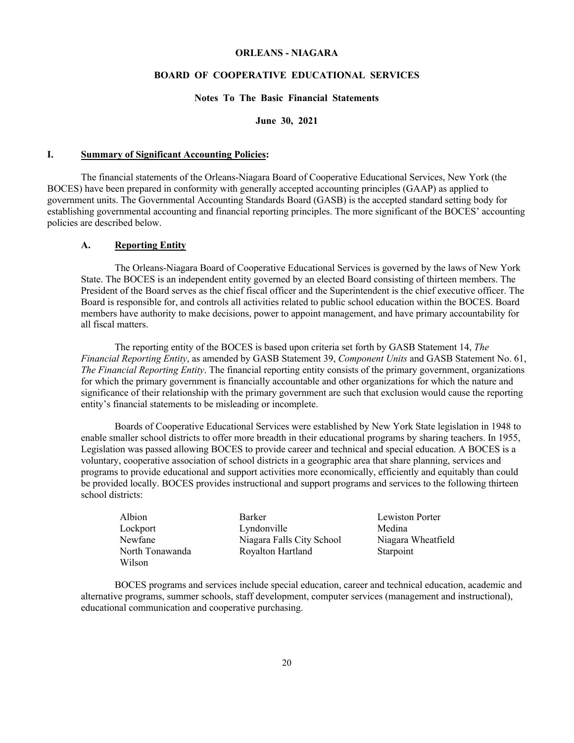# **ORLEANS - NIAGARA**

# **BOARD OF COOPERATIVE EDUCATIONAL SERVICES**

# **Notes To The Basic Financial Statements**

#### **June 30, 2021**

# **I. Summary of Significant Accounting Policies:**

The financial statements of the Orleans-Niagara Board of Cooperative Educational Services, New York (the BOCES) have been prepared in conformity with generally accepted accounting principles (GAAP) as applied to government units. The Governmental Accounting Standards Board (GASB) is the accepted standard setting body for establishing governmental accounting and financial reporting principles. The more significant of the BOCES' accounting policies are described below.

# **A. Reporting Entity**

The Orleans-Niagara Board of Cooperative Educational Services is governed by the laws of New York State. The BOCES is an independent entity governed by an elected Board consisting of thirteen members. The President of the Board serves as the chief fiscal officer and the Superintendent is the chief executive officer. The Board is responsible for, and controls all activities related to public school education within the BOCES. Board members have authority to make decisions, power to appoint management, and have primary accountability for all fiscal matters.

The reporting entity of the BOCES is based upon criteria set forth by GASB Statement 14, *The Financial Reporting Entity*, as amended by GASB Statement 39, *Component Units* and GASB Statement No. 61, *The Financial Reporting Entity*. The financial reporting entity consists of the primary government, organizations for which the primary government is financially accountable and other organizations for which the nature and significance of their relationship with the primary government are such that exclusion would cause the reporting entity's financial statements to be misleading or incomplete.

Boards of Cooperative Educational Services were established by New York State legislation in 1948 to enable smaller school districts to offer more breadth in their educational programs by sharing teachers. In 1955, Legislation was passed allowing BOCES to provide career and technical and special education. A BOCES is a voluntary, cooperative association of school districts in a geographic area that share planning, services and programs to provide educational and support activities more economically, efficiently and equitably than could be provided locally. BOCES provides instructional and support programs and services to the following thirteen school districts:

| Albion          | Barker                    | Lewiston Porter    |
|-----------------|---------------------------|--------------------|
| Lockport        | Lyndonville               | Medina             |
| Newfane         | Niagara Falls City School | Niagara Wheatfield |
| North Tonawanda | Royalton Hartland         | Starpoint          |
| Wilson          |                           |                    |

BOCES programs and services include special education, career and technical education, academic and alternative programs, summer schools, staff development, computer services (management and instructional), educational communication and cooperative purchasing.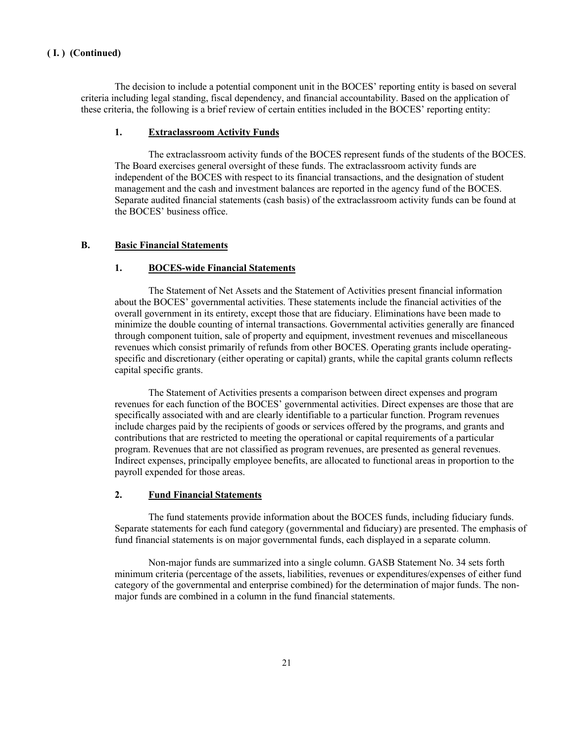The decision to include a potential component unit in the BOCES' reporting entity is based on several criteria including legal standing, fiscal dependency, and financial accountability. Based on the application of these criteria, the following is a brief review of certain entities included in the BOCES' reporting entity:

# **1. Extraclassroom Activity Funds**

The extraclassroom activity funds of the BOCES represent funds of the students of the BOCES. The Board exercises general oversight of these funds. The extraclassroom activity funds are independent of the BOCES with respect to its financial transactions, and the designation of student management and the cash and investment balances are reported in the agency fund of the BOCES. Separate audited financial statements (cash basis) of the extraclassroom activity funds can be found at the BOCES' business office.

# **B. Basic Financial Statements**

# **1. BOCES-wide Financial Statements**

The Statement of Net Assets and the Statement of Activities present financial information about the BOCES' governmental activities. These statements include the financial activities of the overall government in its entirety, except those that are fiduciary. Eliminations have been made to minimize the double counting of internal transactions. Governmental activities generally are financed through component tuition, sale of property and equipment, investment revenues and miscellaneous revenues which consist primarily of refunds from other BOCES. Operating grants include operatingspecific and discretionary (either operating or capital) grants, while the capital grants column reflects capital specific grants.

The Statement of Activities presents a comparison between direct expenses and program revenues for each function of the BOCES' governmental activities. Direct expenses are those that are specifically associated with and are clearly identifiable to a particular function. Program revenues include charges paid by the recipients of goods or services offered by the programs, and grants and contributions that are restricted to meeting the operational or capital requirements of a particular program. Revenues that are not classified as program revenues, are presented as general revenues. Indirect expenses, principally employee benefits, are allocated to functional areas in proportion to the payroll expended for those areas.

# **2. Fund Financial Statements**

The fund statements provide information about the BOCES funds, including fiduciary funds. Separate statements for each fund category (governmental and fiduciary) are presented. The emphasis of fund financial statements is on major governmental funds, each displayed in a separate column.

Non-major funds are summarized into a single column. GASB Statement No. 34 sets forth minimum criteria (percentage of the assets, liabilities, revenues or expenditures/expenses of either fund category of the governmental and enterprise combined) for the determination of major funds. The nonmajor funds are combined in a column in the fund financial statements.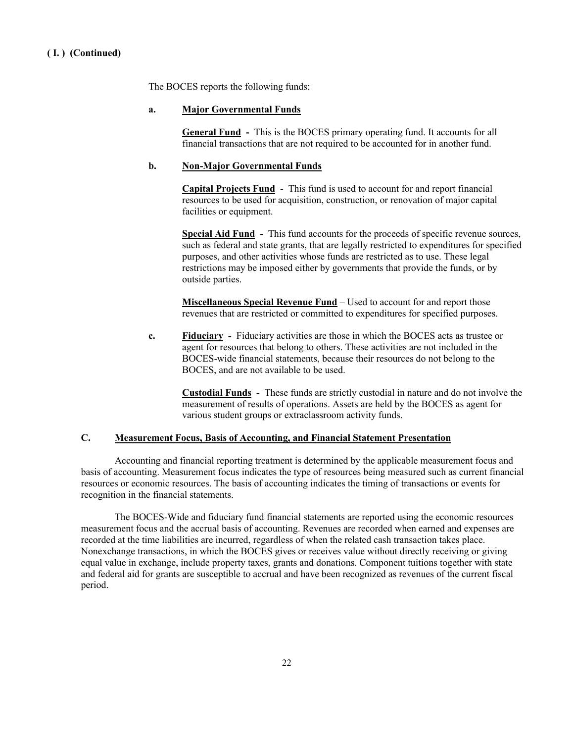The BOCES reports the following funds:

# **a. Major Governmental Funds**

**General Fund -** This is the BOCES primary operating fund. It accounts for all financial transactions that are not required to be accounted for in another fund.

# **b. Non-Major Governmental Funds**

**Capital Projects Fund** - This fund is used to account for and report financial resources to be used for acquisition, construction, or renovation of major capital facilities or equipment.

**Special Aid Fund -** This fund accounts for the proceeds of specific revenue sources, such as federal and state grants, that are legally restricted to expenditures for specified purposes, and other activities whose funds are restricted as to use. These legal restrictions may be imposed either by governments that provide the funds, or by outside parties.

**Miscellaneous Special Revenue Fund** – Used to account for and report those revenues that are restricted or committed to expenditures for specified purposes.

**c. Fiduciary -** Fiduciary activities are those in which the BOCES acts as trustee or agent for resources that belong to others. These activities are not included in the BOCES-wide financial statements, because their resources do not belong to the BOCES, and are not available to be used.

**Custodial Funds -** These funds are strictly custodial in nature and do not involve the measurement of results of operations. Assets are held by the BOCES as agent for various student groups or extraclassroom activity funds.

#### **C. Measurement Focus, Basis of Accounting, and Financial Statement Presentation**

Accounting and financial reporting treatment is determined by the applicable measurement focus and basis of accounting. Measurement focus indicates the type of resources being measured such as current financial resources or economic resources. The basis of accounting indicates the timing of transactions or events for recognition in the financial statements.

The BOCES-Wide and fiduciary fund financial statements are reported using the economic resources measurement focus and the accrual basis of accounting. Revenues are recorded when earned and expenses are recorded at the time liabilities are incurred, regardless of when the related cash transaction takes place. Nonexchange transactions, in which the BOCES gives or receives value without directly receiving or giving equal value in exchange, include property taxes, grants and donations. Component tuitions together with state and federal aid for grants are susceptible to accrual and have been recognized as revenues of the current fiscal period.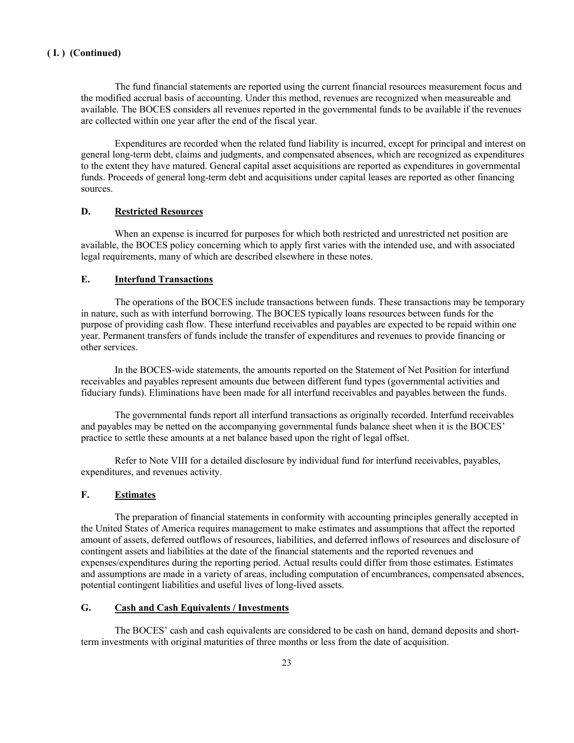The fund financial statements are reported using the current financial resources measurement focus and the modified accrual basis of accounting. Under this method, revenues are recognized when measureable and available. The BOCES considers all revenues reported in the governmental funds to be available if the revenues are collected within one year after the end of the fiscal year.

Expenditures are recorded when the related fund liability is incurred, except for principal and interest on general long-term debt, claims and judgments, and compensated absences, which are recognized as expenditures to the extent they have matured. General capital asset acquisitions are reported as expenditures in governmental funds. Proceeds of general long-term debt and acquisitions under capital leases are reported as other financing sources.

# **D. Restricted Resources**

When an expense is incurred for purposes for which both restricted and unrestricted net position are available, the BOCES policy concerning which to apply first varies with the intended use, and with associated legal requirements, many of which are described elsewhere in these notes.

# **E. Interfund Transactions**

The operations of the BOCES include transactions between funds. These transactions may be temporary in nature, such as with interfund borrowing. The BOCES typically loans resources between funds for the purpose of providing cash flow. These interfund receivables and payables are expected to be repaid within one year. Permanent transfers of funds include the transfer of expenditures and revenues to provide financing or other services.

In the BOCES-wide statements, the amounts reported on the Statement of Net Position for interfund receivables and payables represent amounts due between different fund types (governmental activities and fiduciary funds). Eliminations have been made for all interfund receivables and payables between the funds.

The governmental funds report all interfund transactions as originally recorded. Interfund receivables and payables may be netted on the accompanying governmental funds balance sheet when it is the BOCES' practice to settle these amounts at a net balance based upon the right of legal offset.

Refer to Note VIII for a detailed disclosure by individual fund for interfund receivables, payables, expenditures, and revenues activity.

# **F. Estimates**

The preparation of financial statements in conformity with accounting principles generally accepted in the United States of America requires management to make estimates and assumptions that affect the reported amount of assets, deferred outflows of resources, liabilities, and deferred inflows of resources and disclosure of contingent assets and liabilities at the date of the financial statements and the reported revenues and expenses/expenditures during the reporting period. Actual results could differ from those estimates. Estimates and assumptions are made in a variety of areas, including computation of encumbrances, compensated absences, potential contingent liabilities and useful lives of long-lived assets.

### **G. Cash and Cash Equivalents / Investments**

The BOCES' cash and cash equivalents are considered to be cash on hand, demand deposits and shortterm investments with original maturities of three months or less from the date of acquisition.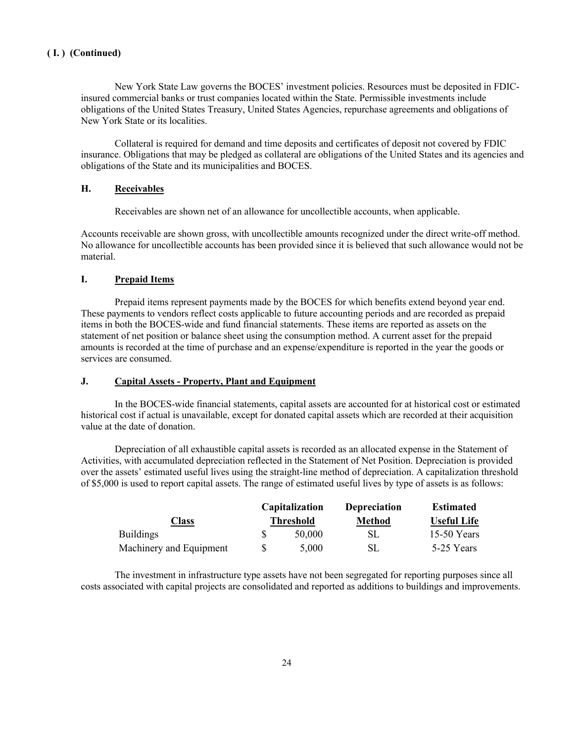New York State Law governs the BOCES' investment policies. Resources must be deposited in FDICinsured commercial banks or trust companies located within the State. Permissible investments include obligations of the United States Treasury, United States Agencies, repurchase agreements and obligations of New York State or its localities.

Collateral is required for demand and time deposits and certificates of deposit not covered by FDIC insurance. Obligations that may be pledged as collateral are obligations of the United States and its agencies and obligations of the State and its municipalities and BOCES.

# **H. Receivables**

Receivables are shown net of an allowance for uncollectible accounts, when applicable.

Accounts receivable are shown gross, with uncollectible amounts recognized under the direct write-off method. No allowance for uncollectible accounts has been provided since it is believed that such allowance would not be material.

# **I. Prepaid Items**

Prepaid items represent payments made by the BOCES for which benefits extend beyond year end. These payments to vendors reflect costs applicable to future accounting periods and are recorded as prepaid items in both the BOCES-wide and fund financial statements. These items are reported as assets on the statement of net position or balance sheet using the consumption method. A current asset for the prepaid amounts is recorded at the time of purchase and an expense/expenditure is reported in the year the goods or services are consumed.

#### **J. Capital Assets - Property, Plant and Equipment**

In the BOCES-wide financial statements, capital assets are accounted for at historical cost or estimated historical cost if actual is unavailable, except for donated capital assets which are recorded at their acquisition value at the date of donation.

Depreciation of all exhaustible capital assets is recorded as an allocated expense in the Statement of Activities, with accumulated depreciation reflected in the Statement of Net Position. Depreciation is provided over the assets' estimated useful lives using the straight-line method of depreciation. A capitalization threshold of \$5,000 is used to report capital assets. The range of estimated useful lives by type of assets is as follows:

|                         | Capitalization   | <b>Depreciation</b> | <b>Estimated</b>   |
|-------------------------|------------------|---------------------|--------------------|
| Class                   | <b>Threshold</b> | <b>Method</b>       | <b>Useful Life</b> |
| <b>Buildings</b>        | 50.000           | SL.                 | $15-50$ Years      |
| Machinery and Equipment | 5.000            | SL.                 | 5-25 Years         |

The investment in infrastructure type assets have not been segregated for reporting purposes since all costs associated with capital projects are consolidated and reported as additions to buildings and improvements.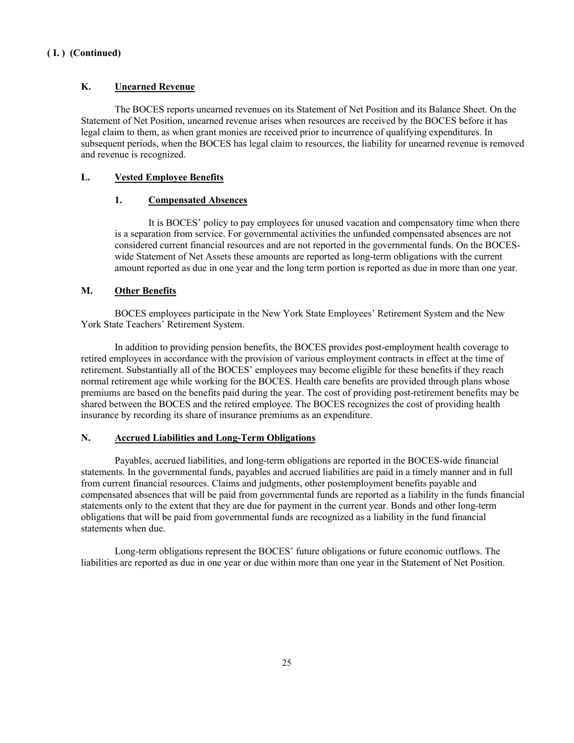# **K. Unearned Revenue**

The BOCES reports unearned revenues on its Statement of Net Position and its Balance Sheet. On the Statement of Net Position, unearned revenue arises when resources are received by the BOCES before it has legal claim to them, as when grant monies are received prior to incurrence of qualifying expenditures. In subsequent periods, when the BOCES has legal claim to resources, the liability for unearned revenue is removed and revenue is recognized.

# **L. Vested Employee Benefits**

# **1. Compensated Absences**

It is BOCES' policy to pay employees for unused vacation and compensatory time when there is a separation from service. For governmental activities the unfunded compensated absences are not considered current financial resources and are not reported in the governmental funds. On the BOCESwide Statement of Net Assets these amounts are reported as long-term obligations with the current amount reported as due in one year and the long term portion is reported as due in more than one year.

# **M. Other Benefits**

BOCES employees participate in the New York State Employees' Retirement System and the New York State Teachers' Retirement System.

In addition to providing pension benefits, the BOCES provides post-employment health coverage to retired employees in accordance with the provision of various employment contracts in effect at the time of retirement. Substantially all of the BOCES' employees may become eligible for these benefits if they reach normal retirement age while working for the BOCES. Health care benefits are provided through plans whose premiums are based on the benefits paid during the year. The cost of providing post-retirement benefits may be shared between the BOCES and the retired employee. The BOCES recognizes the cost of providing health insurance by recording its share of insurance premiums as an expenditure.

# **N. Accrued Liabilities and Long-Term Obligations**

Payables, accrued liabilities, and long-term obligations are reported in the BOCES-wide financial statements. In the governmental funds, payables and accrued liabilities are paid in a timely manner and in full from current financial resources. Claims and judgments, other postemployment benefits payable and compensated absences that will be paid from governmental funds are reported as a liability in the funds financial statements only to the extent that they are due for payment in the current year. Bonds and other long-term obligations that will be paid from governmental funds are recognized as a liability in the fund financial statements when due.

Long-term obligations represent the BOCES' future obligations or future economic outflows. The liabilities are reported as due in one year or due within more than one year in the Statement of Net Position.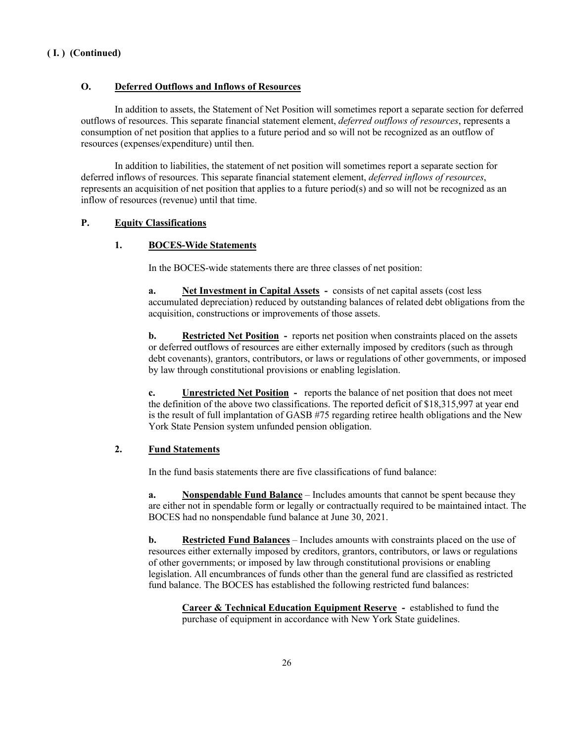# **O. Deferred Outflows and Inflows of Resources**

In addition to assets, the Statement of Net Position will sometimes report a separate section for deferred outflows of resources. This separate financial statement element, *deferred outflows of resources*, represents a consumption of net position that applies to a future period and so will not be recognized as an outflow of resources (expenses/expenditure) until then.

In addition to liabilities, the statement of net position will sometimes report a separate section for deferred inflows of resources. This separate financial statement element, *deferred inflows of resources*, represents an acquisition of net position that applies to a future period(s) and so will not be recognized as an inflow of resources (revenue) until that time.

# **P. Equity Classifications**

# **1. BOCES-Wide Statements**

In the BOCES-wide statements there are three classes of net position:

**a. Net Investment in Capital Assets -** consists of net capital assets (cost less accumulated depreciation) reduced by outstanding balances of related debt obligations from the acquisition, constructions or improvements of those assets.

**b. Restricted Net Position** - reports net position when constraints placed on the assets or deferred outflows of resources are either externally imposed by creditors (such as through debt covenants), grantors, contributors, or laws or regulations of other governments, or imposed by law through constitutional provisions or enabling legislation.

**c. Unrestricted Net Position -** reports the balance of net position that does not meet the definition of the above two classifications. The reported deficit of \$18,315,997 at year end is the result of full implantation of GASB #75 regarding retiree health obligations and the New York State Pension system unfunded pension obligation.

# **2. Fund Statements**

In the fund basis statements there are five classifications of fund balance:

**a. Nonspendable Fund Balance** – Includes amounts that cannot be spent because they are either not in spendable form or legally or contractually required to be maintained intact. The BOCES had no nonspendable fund balance at June 30, 2021.

**b. Restricted Fund Balances** – Includes amounts with constraints placed on the use of resources either externally imposed by creditors, grantors, contributors, or laws or regulations of other governments; or imposed by law through constitutional provisions or enabling legislation. All encumbrances of funds other than the general fund are classified as restricted fund balance. The BOCES has established the following restricted fund balances:

**Career & Technical Education Equipment Reserve -** established to fund the purchase of equipment in accordance with New York State guidelines.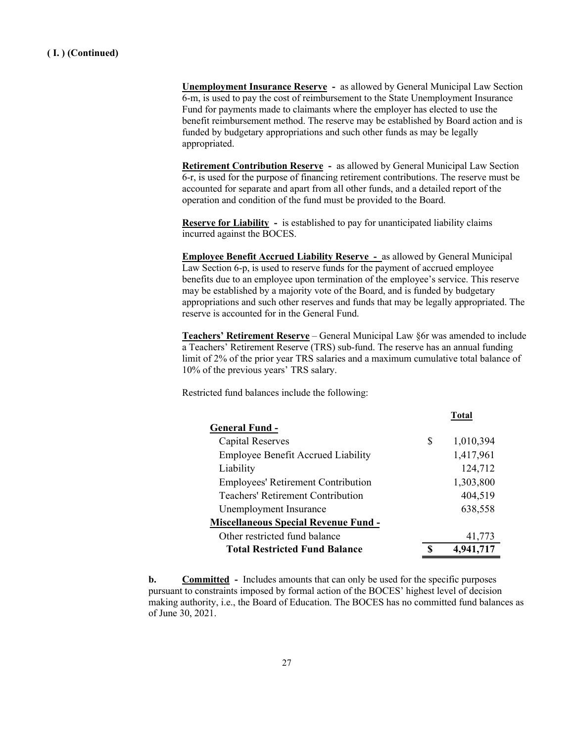**Unemployment Insurance Reserve -** as allowed by General Municipal Law Section 6-m, is used to pay the cost of reimbursement to the State Unemployment Insurance Fund for payments made to claimants where the employer has elected to use the benefit reimbursement method. The reserve may be established by Board action and is funded by budgetary appropriations and such other funds as may be legally appropriated.

**Retirement Contribution Reserve -** as allowed by General Municipal Law Section 6-r, is used for the purpose of financing retirement contributions. The reserve must be accounted for separate and apart from all other funds, and a detailed report of the operation and condition of the fund must be provided to the Board.

**Reserve for Liability -** is established to pay for unanticipated liability claims incurred against the BOCES.

**Employee Benefit Accrued Liability Reserve -** as allowed by General Municipal Law Section 6-p, is used to reserve funds for the payment of accrued employee benefits due to an employee upon termination of the employee's service. This reserve may be established by a majority vote of the Board, and is funded by budgetary appropriations and such other reserves and funds that may be legally appropriated. The reserve is accounted for in the General Fund.

**Teachers' Retirement Reserve** – General Municipal Law §6r was amended to include a Teachers' Retirement Reserve (TRS) sub-fund. The reserve has an annual funding limit of 2% of the prior year TRS salaries and a maximum cumulative total balance of 10% of the previous years' TRS salary.

Restricted fund balances include the following:

|                                             | Total |           |  |  |
|---------------------------------------------|-------|-----------|--|--|
| <b>General Fund -</b>                       |       |           |  |  |
| Capital Reserves                            | S     | 1,010,394 |  |  |
| <b>Employee Benefit Accrued Liability</b>   |       | 1,417,961 |  |  |
| Liability                                   |       | 124,712   |  |  |
| <b>Employees' Retirement Contribution</b>   |       | 1,303,800 |  |  |
| <b>Teachers' Retirement Contribution</b>    |       | 404,519   |  |  |
| Unemployment Insurance                      |       | 638,558   |  |  |
| <b>Miscellaneous Special Revenue Fund -</b> |       |           |  |  |
| Other restricted fund balance               |       | 41,773    |  |  |
| <b>Total Restricted Fund Balance</b>        |       | 4,941,717 |  |  |

**b. Committed** - Includes amounts that can only be used for the specific purposes pursuant to constraints imposed by formal action of the BOCES' highest level of decision making authority, i.e., the Board of Education. The BOCES has no committed fund balances as of June 30, 2021.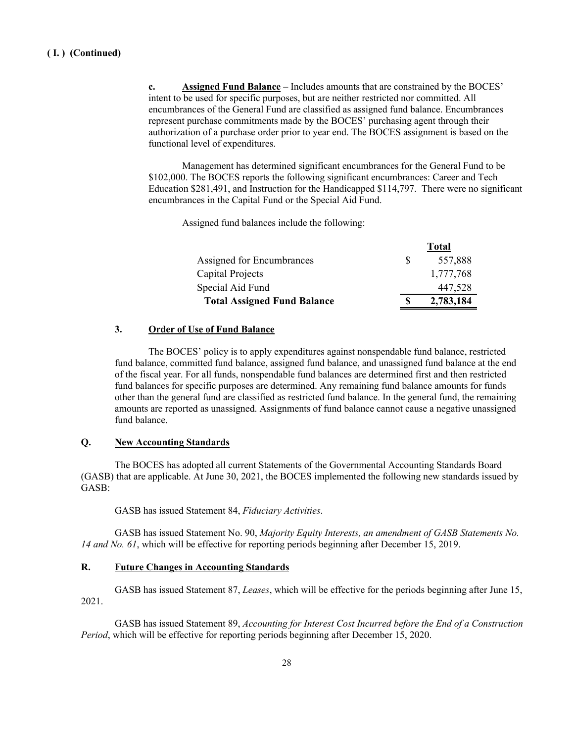**c. Assigned Fund Balance** – Includes amounts that are constrained by the BOCES' intent to be used for specific purposes, but are neither restricted nor committed. All encumbrances of the General Fund are classified as assigned fund balance. Encumbrances represent purchase commitments made by the BOCES' purchasing agent through their authorization of a purchase order prior to year end. The BOCES assignment is based on the functional level of expenditures.

Management has determined significant encumbrances for the General Fund to be \$102,000. The BOCES reports the following significant encumbrances: Career and Tech Education \$281,491, and Instruction for the Handicapped \$114,797. There were no significant encumbrances in the Capital Fund or the Special Aid Fund.

Assigned fund balances include the following:

|                                    |    | 1 otal    |
|------------------------------------|----|-----------|
| Assigned for Encumbrances          | -S | 557,888   |
| Capital Projects                   |    | 1,777,768 |
| Special Aid Fund                   |    | 447,528   |
| <b>Total Assigned Fund Balance</b> | S  | 2,783,184 |

**Total**

# **3. Order of Use of Fund Balance**

The BOCES' policy is to apply expenditures against nonspendable fund balance, restricted fund balance, committed fund balance, assigned fund balance, and unassigned fund balance at the end of the fiscal year. For all funds, nonspendable fund balances are determined first and then restricted fund balances for specific purposes are determined. Any remaining fund balance amounts for funds other than the general fund are classified as restricted fund balance. In the general fund, the remaining amounts are reported as unassigned. Assignments of fund balance cannot cause a negative unassigned fund balance.

# **Q. New Accounting Standards**

The BOCES has adopted all current Statements of the Governmental Accounting Standards Board (GASB) that are applicable. At June 30, 2021, the BOCES implemented the following new standards issued by GASB:

GASB has issued Statement 84, *Fiduciary Activities*.

GASB has issued Statement No. 90, *Majority Equity Interests, an amendment of GASB Statements No. 14 and No. 61*, which will be effective for reporting periods beginning after December 15, 2019.

# **R. Future Changes in Accounting Standards**

GASB has issued Statement 87, *Leases*, which will be effective for the periods beginning after June 15, 2021.

GASB has issued Statement 89, *Accounting for Interest Cost Incurred before the End of a Construction Period*, which will be effective for reporting periods beginning after December 15, 2020.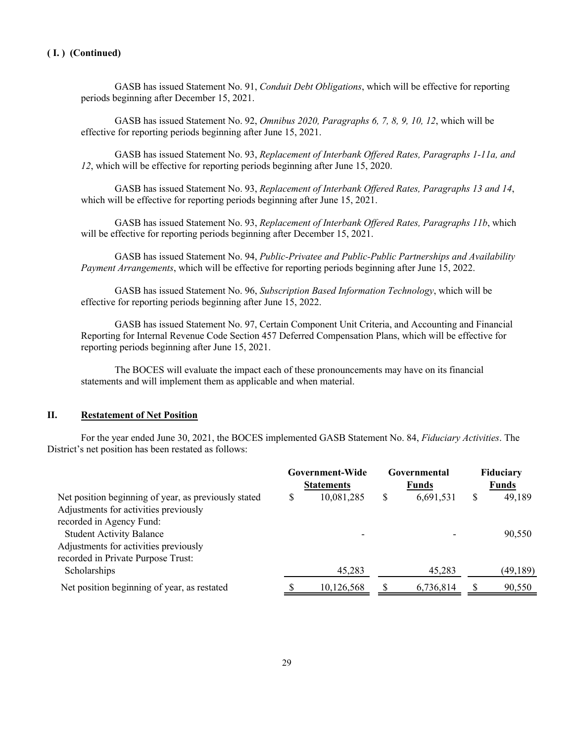GASB has issued Statement No. 91, *Conduit Debt Obligations*, which will be effective for reporting periods beginning after December 15, 2021.

GASB has issued Statement No. 92, *Omnibus 2020, Paragraphs 6, 7, 8, 9, 10, 12*, which will be effective for reporting periods beginning after June 15, 2021.

GASB has issued Statement No. 93, *Replacement of Interbank Offered Rates, Paragraphs 1-11a, and 12*, which will be effective for reporting periods beginning after June 15, 2020.

GASB has issued Statement No. 93, *Replacement of Interbank Offered Rates, Paragraphs 13 and 14*, which will be effective for reporting periods beginning after June 15, 2021.

GASB has issued Statement No. 93, *Replacement of Interbank Offered Rates, Paragraphs 11b*, which will be effective for reporting periods beginning after December 15, 2021.

GASB has issued Statement No. 94, *Public-Privatee and Public-Public Partnerships and Availability Payment Arrangements*, which will be effective for reporting periods beginning after June 15, 2022.

GASB has issued Statement No. 96, *Subscription Based Information Technology*, which will be effective for reporting periods beginning after June 15, 2022.

GASB has issued Statement No. 97, Certain Component Unit Criteria, and Accounting and Financial Reporting for Internal Revenue Code Section 457 Deferred Compensation Plans, which will be effective for reporting periods beginning after June 15, 2021.

The BOCES will evaluate the impact each of these pronouncements may have on its financial statements and will implement them as applicable and when material.

# **II. Restatement of Net Position**

For the year ended June 30, 2021, the BOCES implemented GASB Statement No. 84, *Fiduciary Activities*. The District's net position has been restated as follows:

|                                                                   |   | Government-Wide<br><b>Statements</b> |   | Governmental<br><b>Funds</b> | <b>Fiduciary</b><br><b>Funds</b> |          |  |
|-------------------------------------------------------------------|---|--------------------------------------|---|------------------------------|----------------------------------|----------|--|
| Net position beginning of year, as previously stated              | S | 10,081,285                           | S | 6,691,531                    | S                                | 49,189   |  |
| Adjustments for activities previously<br>recorded in Agency Fund: |   |                                      |   |                              |                                  |          |  |
| <b>Student Activity Balance</b>                                   |   |                                      |   |                              |                                  | 90,550   |  |
| Adjustments for activities previously                             |   |                                      |   |                              |                                  |          |  |
| recorded in Private Purpose Trust:<br>Scholarships                |   | 45,283                               |   | 45,283                       |                                  | (49,189) |  |
|                                                                   |   |                                      |   |                              |                                  |          |  |
| Net position beginning of year, as restated                       |   | 10,126,568                           |   | 6,736,814                    |                                  | 90,550   |  |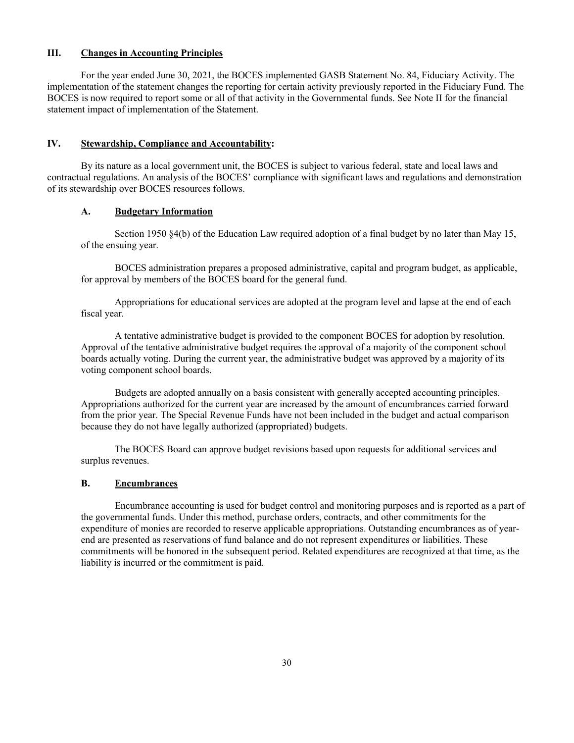# **III. Changes in Accounting Principles**

For the year ended June 30, 2021, the BOCES implemented GASB Statement No. 84, Fiduciary Activity. The implementation of the statement changes the reporting for certain activity previously reported in the Fiduciary Fund. The BOCES is now required to report some or all of that activity in the Governmental funds. See Note II for the financial statement impact of implementation of the Statement.

# **IV. Stewardship, Compliance and Accountability:**

By its nature as a local government unit, the BOCES is subject to various federal, state and local laws and contractual regulations. An analysis of the BOCES' compliance with significant laws and regulations and demonstration of its stewardship over BOCES resources follows.

# **A. Budgetary Information**

Section 1950 §4(b) of the Education Law required adoption of a final budget by no later than May 15, of the ensuing year.

BOCES administration prepares a proposed administrative, capital and program budget, as applicable, for approval by members of the BOCES board for the general fund.

Appropriations for educational services are adopted at the program level and lapse at the end of each fiscal year.

A tentative administrative budget is provided to the component BOCES for adoption by resolution. Approval of the tentative administrative budget requires the approval of a majority of the component school boards actually voting. During the current year, the administrative budget was approved by a majority of its voting component school boards.

Budgets are adopted annually on a basis consistent with generally accepted accounting principles. Appropriations authorized for the current year are increased by the amount of encumbrances carried forward from the prior year. The Special Revenue Funds have not been included in the budget and actual comparison because they do not have legally authorized (appropriated) budgets.

The BOCES Board can approve budget revisions based upon requests for additional services and surplus revenues.

# **B. Encumbrances**

Encumbrance accounting is used for budget control and monitoring purposes and is reported as a part of the governmental funds. Under this method, purchase orders, contracts, and other commitments for the expenditure of monies are recorded to reserve applicable appropriations. Outstanding encumbrances as of yearend are presented as reservations of fund balance and do not represent expenditures or liabilities. These commitments will be honored in the subsequent period. Related expenditures are recognized at that time, as the liability is incurred or the commitment is paid.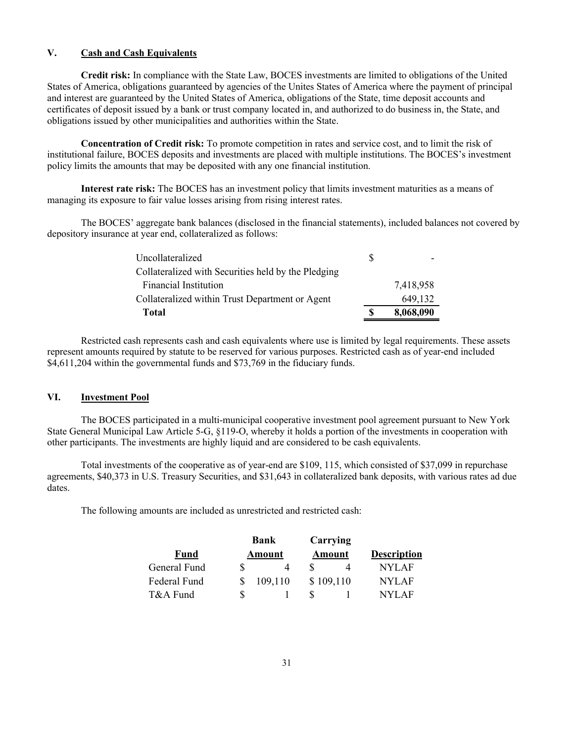# **V. Cash and Cash Equivalents**

**Credit risk:** In compliance with the State Law, BOCES investments are limited to obligations of the United States of America, obligations guaranteed by agencies of the Unites States of America where the payment of principal and interest are guaranteed by the United States of America, obligations of the State, time deposit accounts and certificates of deposit issued by a bank or trust company located in, and authorized to do business in, the State, and obligations issued by other municipalities and authorities within the State.

**Concentration of Credit risk:** To promote competition in rates and service cost, and to limit the risk of institutional failure, BOCES deposits and investments are placed with multiple institutions. The BOCES's investment policy limits the amounts that may be deposited with any one financial institution.

**Interest rate risk:** The BOCES has an investment policy that limits investment maturities as a means of managing its exposure to fair value losses arising from rising interest rates.

The BOCES' aggregate bank balances (disclosed in the financial statements), included balances not covered by depository insurance at year end, collateralized as follows:

| Uncollateralized                                    | S  |           |
|-----------------------------------------------------|----|-----------|
| Collateralized with Securities held by the Pledging |    |           |
| <b>Financial Institution</b>                        |    | 7,418,958 |
| Collateralized within Trust Department or Agent     |    | 649,132   |
| <b>Total</b>                                        | \$ | 8,068,090 |

Restricted cash represents cash and cash equivalents where use is limited by legal requirements. These assets represent amounts required by statute to be reserved for various purposes. Restricted cash as of year-end included \$4,611,204 within the governmental funds and \$73,769 in the fiduciary funds.

# **VI. Investment Pool**

The BOCES participated in a multi-municipal cooperative investment pool agreement pursuant to New York State General Municipal Law Article 5-G, §119-O, whereby it holds a portion of the investments in cooperation with other participants. The investments are highly liquid and are considered to be cash equivalents.

Total investments of the cooperative as of year-end are \$109, 115, which consisted of \$37,099 in repurchase agreements, \$40,373 in U.S. Treasury Securities, and \$31,643 in collateralized bank deposits, with various rates ad due dates.

The following amounts are included as unrestricted and restricted cash:

|              | Bank    | Carrying  |                    |  |  |
|--------------|---------|-----------|--------------------|--|--|
| Fund         | Amount  | Amount    | <b>Description</b> |  |  |
| General Fund |         |           | NYLAF              |  |  |
| Federal Fund | 109,110 | \$109,110 | NYLAF              |  |  |
| T&A Fund     |         |           | NYI AF             |  |  |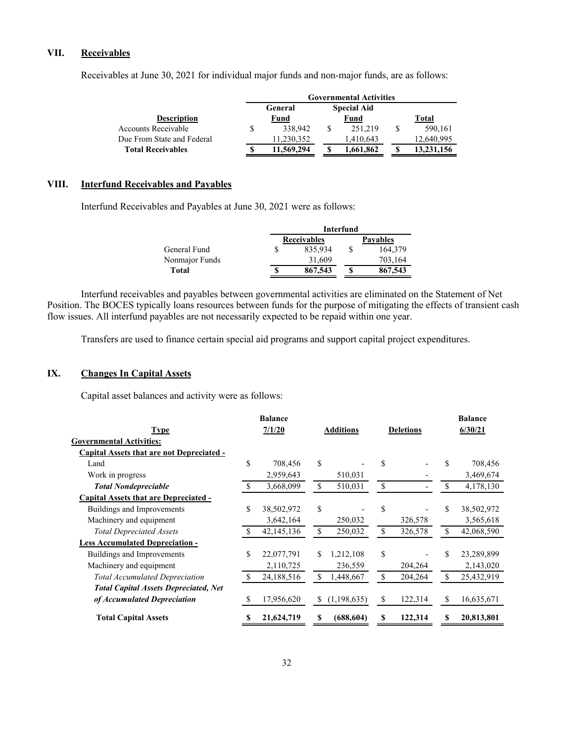# **VII. Receivables**

|                            | <b>Governmental Activities</b> |                    |   |            |
|----------------------------|--------------------------------|--------------------|---|------------|
|                            | General                        | <b>Special Aid</b> |   |            |
| <b>Description</b>         | <u>Fund</u>                    | <u>Fund</u>        |   | Total      |
| <b>Accounts Receivable</b> | 338,942                        | 251.219            | S | 590,161    |
| Due From State and Federal | 11,230,352                     | 1,410,643          |   | 12,640,995 |
| <b>Total Receivables</b>   | 11.569.294                     | 1,661,862          |   | 13,231,156 |

Receivables at June 30, 2021 for individual major funds and non-major funds, are as follows:

# **VIII. Interfund Receivables and Payables**

Interfund Receivables and Payables at June 30, 2021 were as follows:

|                |   | Interfund          |   |                 |  |  |  |  |  |
|----------------|---|--------------------|---|-----------------|--|--|--|--|--|
|                |   | <b>Receivables</b> |   | <b>Pavables</b> |  |  |  |  |  |
| General Fund   |   | 835,934            | S | 164.379         |  |  |  |  |  |
| Nonmajor Funds |   | 31.609             |   | 703,164         |  |  |  |  |  |
| Total          | S | 867,543            | S | 867,543         |  |  |  |  |  |

Interfund receivables and payables between governmental activities are eliminated on the Statement of Net Position. The BOCES typically loans resources between funds for the purpose of mitigating the effects of transient cash flow issues. All interfund payables are not necessarily expected to be repaid within one year.

Transfers are used to finance certain special aid programs and support capital project expenditures.

# **IX. Changes In Capital Assets**

Capital asset balances and activity were as follows:

| <b>Balance</b> |              |               |                  |    |         | <b>Balance</b>   |            |  |
|----------------|--------------|---------------|------------------|----|---------|------------------|------------|--|
| 7/1/20         |              |               | <b>Additions</b> |    |         |                  | 6/30/21    |  |
|                |              |               |                  |    |         |                  |            |  |
|                |              |               |                  |    |         |                  |            |  |
| \$             | 708,456      | \$            |                  | \$ |         |                  | 708,456    |  |
|                | 2,959,643    |               | 510,031          |    |         |                  | 3,469,674  |  |
|                | 3,668,099    | <sup>\$</sup> | 510,031          | \$ |         |                  | 4,178,130  |  |
|                |              |               |                  |    |         |                  |            |  |
| \$             | 38,502,972   | \$            |                  | \$ |         |                  | 38,502,972 |  |
|                | 3,642,164    |               | 250,032          |    | 326,578 |                  | 3,565,618  |  |
|                | 42, 145, 136 | <sup>\$</sup> | 250,032          | \$ | 326,578 |                  | 42,068,590 |  |
|                |              |               |                  |    |         |                  |            |  |
| \$             | 22,077,791   | S.            | 1,212,108        | \$ |         |                  | 23,289,899 |  |
|                | 2,110,725    |               | 236,559          |    | 204,264 |                  | 2,143,020  |  |
| S              | 24,188,516   | \$.           | 1,448,667        | \$ | 204,264 | S                | 25,432,919 |  |
|                |              |               |                  |    |         |                  |            |  |
| \$             | 17,956,620   | <sup>S</sup>  | (1, 198, 635)    | \$ | 122,314 | S                | 16,635,671 |  |
| S              | 21,624,719   |               | (688, 604)       | S  | 122,314 | S                | 20,813,801 |  |
|                |              |               |                  |    |         | <b>Deletions</b> |            |  |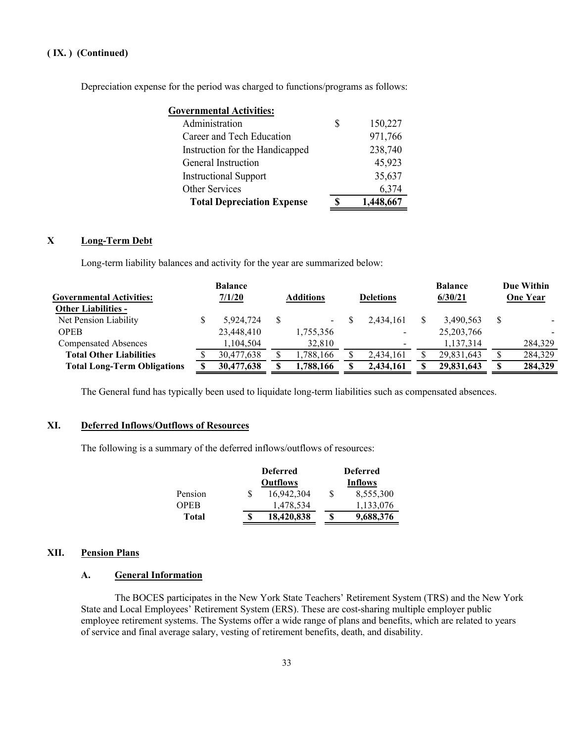Depreciation expense for the period was charged to functions/programs as follows:

| <b>Governmental Activities:</b>   |           |
|-----------------------------------|-----------|
| Administration                    | 150,227   |
| Career and Tech Education         | 971,766   |
| Instruction for the Handicapped   | 238,740   |
| General Instruction               | 45,923    |
| <b>Instructional Support</b>      | 35,637    |
| Other Services                    | 6,374     |
| <b>Total Depreciation Expense</b> | 1,448,667 |

# **X Long-Term Debt**

Long-term liability balances and activity for the year are summarized below:

| <b>Governmental Activities:</b><br><b>Other Liabilities -</b> | <b>Balance</b><br>7/1/20 | <b>Additions</b>         | <b>Deletions</b> | <b>Balance</b><br>6/30/21 |    | Due Within<br><b>One Year</b> |
|---------------------------------------------------------------|--------------------------|--------------------------|------------------|---------------------------|----|-------------------------------|
| Net Pension Liability                                         | 5,924,724                | <b>Contract Contract</b> | 2.434.161        | 3,490,563                 | \$ |                               |
| <b>OPEB</b>                                                   | 23,448,410               | 1,755,356                |                  | 25, 203, 766              |    |                               |
| <b>Compensated Absences</b>                                   | 1,104,504                | 32,810                   |                  | 1,137,314                 |    | 284,329                       |
| <b>Total Other Liabilities</b>                                | 30,477,638               | ,788,166                 | 2,434,161        | 29,831,643                |    | 284,329                       |
| <b>Total Long-Term Obligations</b>                            | 30,477,638               | ,788,166                 | 2,434,161        | 29,831,643                | S  | 284,329                       |
|                                                               |                          |                          |                  |                           |    |                               |

The General fund has typically been used to liquidate long-term liabilities such as compensated absences.

# **XI. Deferred Inflows/Outflows of Resources**

The following is a summary of the deferred inflows/outflows of resources:

|              |   | <b>Deferred</b> |   | <b>Deferred</b> |
|--------------|---|-----------------|---|-----------------|
|              |   | <b>Outflows</b> |   | Inflows         |
| Pension      | S | 16,942,304      | S | 8,555,300       |
| OPEB         |   | 1,478,534       |   | 1,133,076       |
| <b>Total</b> | S | 18,420,838      | S | 9,688,376       |

# **XII. Pension Plans**

# **A. General Information**

The BOCES participates in the New York State Teachers' Retirement System (TRS) and the New York State and Local Employees' Retirement System (ERS). These are cost-sharing multiple employer public employee retirement systems. The Systems offer a wide range of plans and benefits, which are related to years of service and final average salary, vesting of retirement benefits, death, and disability.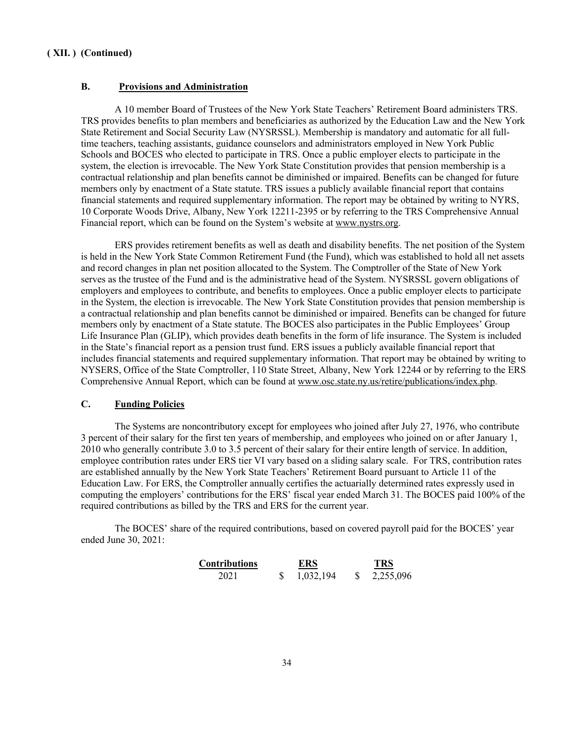#### **B. Provisions and Administration**

A 10 member Board of Trustees of the New York State Teachers' Retirement Board administers TRS. TRS provides benefits to plan members and beneficiaries as authorized by the Education Law and the New York State Retirement and Social Security Law (NYSRSSL). Membership is mandatory and automatic for all fulltime teachers, teaching assistants, guidance counselors and administrators employed in New York Public Schools and BOCES who elected to participate in TRS. Once a public employer elects to participate in the system, the election is irrevocable. The New York State Constitution provides that pension membership is a contractual relationship and plan benefits cannot be diminished or impaired. Benefits can be changed for future members only by enactment of a State statute. TRS issues a publicly available financial report that contains financial statements and required supplementary information. The report may be obtained by writing to NYRS, 10 Corporate Woods Drive, Albany, New York 12211-2395 or by referring to the TRS Comprehensive Annual Financial report, which can be found on the System's website at www.nystrs.org.

ERS provides retirement benefits as well as death and disability benefits. The net position of the System is held in the New York State Common Retirement Fund (the Fund), which was established to hold all net assets and record changes in plan net position allocated to the System. The Comptroller of the State of New York serves as the trustee of the Fund and is the administrative head of the System. NYSRSSL govern obligations of employers and employees to contribute, and benefits to employees. Once a public employer elects to participate in the System, the election is irrevocable. The New York State Constitution provides that pension membership is a contractual relationship and plan benefits cannot be diminished or impaired. Benefits can be changed for future members only by enactment of a State statute. The BOCES also participates in the Public Employees' Group Life Insurance Plan (GLIP), which provides death benefits in the form of life insurance. The System is included in the State's financial report as a pension trust fund. ERS issues a publicly available financial report that includes financial statements and required supplementary information. That report may be obtained by writing to NYSERS, Office of the State Comptroller, 110 State Street, Albany, New York 12244 or by referring to the ERS Comprehensive Annual Report, which can be found at www.osc.state.ny.us/retire/publications/index.php.

# **C. Funding Policies**

The Systems are noncontributory except for employees who joined after July 27, 1976, who contribute 3 percent of their salary for the first ten years of membership, and employees who joined on or after January 1, 2010 who generally contribute 3.0 to 3.5 percent of their salary for their entire length of service. In addition, employee contribution rates under ERS tier VI vary based on a sliding salary scale. For TRS, contribution rates are established annually by the New York State Teachers' Retirement Board pursuant to Article 11 of the Education Law. For ERS, the Comptroller annually certifies the actuarially determined rates expressly used in computing the employers' contributions for the ERS' fiscal year ended March 31. The BOCES paid 100% of the required contributions as billed by the TRS and ERS for the current year.

The BOCES' share of the required contributions, based on covered payroll paid for the BOCES' year ended June 30, 2021:

| Contributions | ERS       | <b>TRS</b> |
|---------------|-----------|------------|
| 2021          | 1,032,194 | 2,255,096  |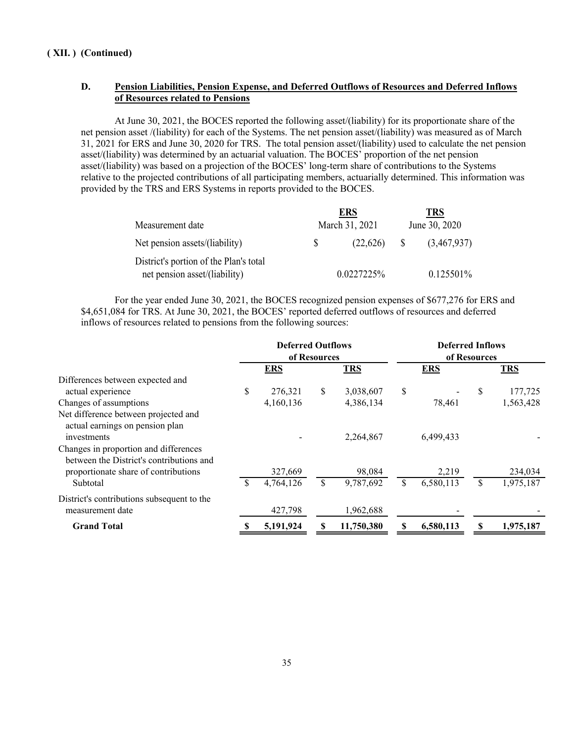# **D. Pension Liabilities, Pension Expense, and Deferred Outflows of Resources and Deferred Inflows of Resources related to Pensions**

At June 30, 2021, the BOCES reported the following asset/(liability) for its proportionate share of the net pension asset /(liability) for each of the Systems. The net pension asset/(liability) was measured as of March 31, 2021 for ERS and June 30, 2020 for TRS. The total pension asset/(liability) used to calculate the net pension asset/(liability) was determined by an actuarial valuation. The BOCES' proportion of the net pension asset/(liability) was based on a projection of the BOCES' long-term share of contributions to the Systems relative to the projected contributions of all participating members, actuarially determined. This information was provided by the TRS and ERS Systems in reports provided to the BOCES.

|                                        |    | <b>ERS</b>     |              | <b>TRS</b>    |
|----------------------------------------|----|----------------|--------------|---------------|
| Measurement date                       |    | March 31, 2021 |              | June 30, 2020 |
| Net pension assets/(liability)         | S. | (22,626)       | <sup>S</sup> | (3,467,937)   |
| District's portion of the Plan's total |    |                |              |               |
| net pension asset/(liability)          |    | 0.0227225%     |              | 0.125501%     |

For the year ended June 30, 2021, the BOCES recognized pension expenses of \$677,276 for ERS and \$4,651,084 for TRS. At June 30, 2021, the BOCES' reported deferred outflows of resources and deferred inflows of resources related to pensions from the following sources:

|                                                                                   | <b>Deferred Outflows</b><br>of Resources |            | <b>Deferred Inflows</b><br>of Resources |            |    |            |    |            |
|-----------------------------------------------------------------------------------|------------------------------------------|------------|-----------------------------------------|------------|----|------------|----|------------|
|                                                                                   |                                          | <b>ERS</b> |                                         | <b>TRS</b> |    | <b>ERS</b> |    | <b>TRS</b> |
| Differences between expected and                                                  |                                          |            |                                         |            |    |            |    |            |
| actual experience                                                                 | \$                                       | 276,321    | \$                                      | 3,038,607  | \$ |            | \$ | 177,725    |
| Changes of assumptions                                                            |                                          | 4,160,136  |                                         | 4,386,134  |    | 78,461     |    | 1,563,428  |
| Net difference between projected and<br>actual earnings on pension plan           |                                          |            |                                         |            |    |            |    |            |
| investments                                                                       |                                          |            |                                         | 2,264,867  |    | 6,499,433  |    |            |
| Changes in proportion and differences<br>between the District's contributions and |                                          |            |                                         |            |    |            |    |            |
| proportionate share of contributions                                              |                                          | 327,669    |                                         | 98,084     |    | 2,219      |    | 234,034    |
| Subtotal                                                                          |                                          | 4,764,126  | S                                       | 9,787,692  | \$ | 6,580,113  |    | 1,975,187  |
| District's contributions subsequent to the<br>measurement date                    |                                          | 427,798    |                                         | 1,962,688  |    |            |    |            |
| <b>Grand Total</b>                                                                |                                          | 5,191,924  |                                         | 11,750,380 |    | 6,580,113  |    | 1,975,187  |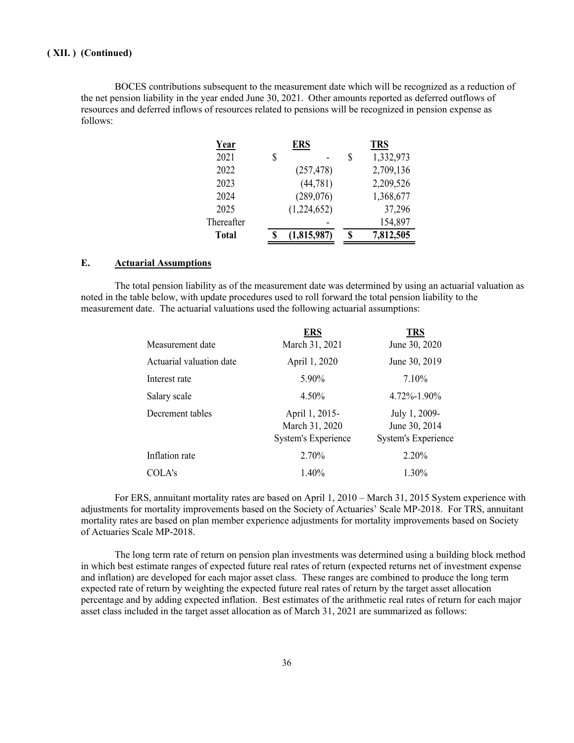BOCES contributions subsequent to the measurement date which will be recognized as a reduction of the net pension liability in the year ended June 30, 2021. Other amounts reported as deferred outflows of resources and deferred inflows of resources related to pensions will be recognized in pension expense as follows:

| Year         | ERS         |   | <b>TRS</b> |
|--------------|-------------|---|------------|
| 2021         | \$          | S | 1,332,973  |
| 2022         | (257, 478)  |   | 2,709,136  |
| 2023         | (44, 781)   |   | 2,209,526  |
| 2024         | (289, 076)  |   | 1,368,677  |
| 2025         | (1,224,652) |   | 37,296     |
| Thereafter   |             |   | 154,897    |
| <b>Total</b> | (1,815,987) |   | 7,812,505  |

# **E. Actuarial Assumptions**

The total pension liability as of the measurement date was determined by using an actuarial valuation as noted in the table below, with update procedures used to roll forward the total pension liability to the measurement date. The actuarial valuations used the following actuarial assumptions:

| <b>ERS</b>                                                     | <b>TRS</b>                                                   |
|----------------------------------------------------------------|--------------------------------------------------------------|
| March 31, 2021                                                 | June 30, 2020                                                |
| April 1, 2020                                                  | June 30, 2019                                                |
| 5.90%                                                          | 7.10%                                                        |
| 4.50%                                                          | 4.72%-1.90%                                                  |
| April 1, 2015-<br>March 31, 2020<br><b>System's Experience</b> | July 1, 2009-<br>June 30, 2014<br><b>System's Experience</b> |
| 2.70%                                                          | 2.20%                                                        |
| 1.40%                                                          | 1.30%                                                        |
|                                                                |                                                              |

For ERS, annuitant mortality rates are based on April 1, 2010 – March 31, 2015 System experience with adjustments for mortality improvements based on the Society of Actuaries' Scale MP-2018. For TRS, annuitant mortality rates are based on plan member experience adjustments for mortality improvements based on Society of Actuaries Scale MP-2018.

The long term rate of return on pension plan investments was determined using a building block method in which best estimate ranges of expected future real rates of return (expected returns net of investment expense and inflation) are developed for each major asset class. These ranges are combined to produce the long term expected rate of return by weighting the expected future real rates of return by the target asset allocation percentage and by adding expected inflation. Best estimates of the arithmetic real rates of return for each major asset class included in the target asset allocation as of March 31, 2021 are summarized as follows: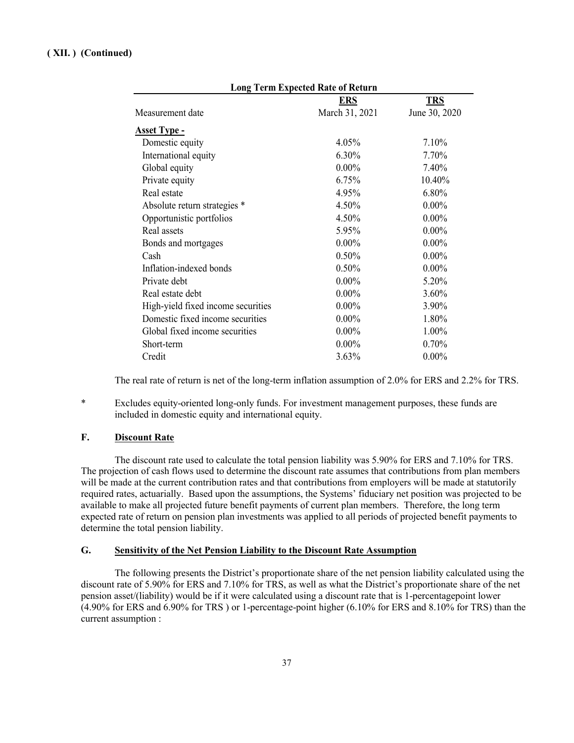|                                    | <b>Long Term Expected Rate of Return</b> |               |
|------------------------------------|------------------------------------------|---------------|
|                                    | <u>ERS</u>                               | <b>TRS</b>    |
| Measurement date                   | March 31, 2021                           | June 30, 2020 |
| <u> Asset Type -</u>               |                                          |               |
| Domestic equity                    | 4.05%                                    | 7.10%         |
| International equity               | 6.30%                                    | 7.70%         |
| Global equity                      | $0.00\%$                                 | 7.40%         |
| Private equity                     | 6.75%                                    | 10.40%        |
| Real estate                        | 4.95%                                    | 6.80%         |
| Absolute return strategies *       | 4.50%                                    | $0.00\%$      |
| Opportunistic portfolios           | 4.50%                                    | $0.00\%$      |
| Real assets                        | 5.95%                                    | $0.00\%$      |
| Bonds and mortgages                | $0.00\%$                                 | $0.00\%$      |
| Cash                               | 0.50%                                    | $0.00\%$      |
| Inflation-indexed bonds            | 0.50%                                    | $0.00\%$      |
| Private debt                       | $0.00\%$                                 | 5.20%         |
| Real estate debt                   | $0.00\%$                                 | 3.60%         |
| High-yield fixed income securities | $0.00\%$                                 | 3.90%         |
| Domestic fixed income securities   | $0.00\%$                                 | 1.80%         |
| Global fixed income securities     | $0.00\%$                                 | 1.00%         |
| Short-term                         | $0.00\%$                                 | 0.70%         |
| Credit                             | 3.63%                                    | $0.00\%$      |

The real rate of return is net of the long-term inflation assumption of 2.0% for ERS and 2.2% for TRS.

\* Excludes equity-oriented long-only funds. For investment management purposes, these funds are included in domestic equity and international equity.

# **F. Discount Rate**

The discount rate used to calculate the total pension liability was 5.90% for ERS and 7.10% for TRS. The projection of cash flows used to determine the discount rate assumes that contributions from plan members will be made at the current contribution rates and that contributions from employers will be made at statutorily required rates, actuarially. Based upon the assumptions, the Systems' fiduciary net position was projected to be available to make all projected future benefit payments of current plan members. Therefore, the long term expected rate of return on pension plan investments was applied to all periods of projected benefit payments to determine the total pension liability.

# **G. Sensitivity of the Net Pension Liability to the Discount Rate Assumption**

The following presents the District's proportionate share of the net pension liability calculated using the discount rate of 5.90% for ERS and 7.10% for TRS, as well as what the District's proportionate share of the net pension asset/(liability) would be if it were calculated using a discount rate that is 1-percentagepoint lower (4.90% for ERS and 6.90% for TRS ) or 1-percentage-point higher (6.10% for ERS and 8.10% for TRS) than the current assumption :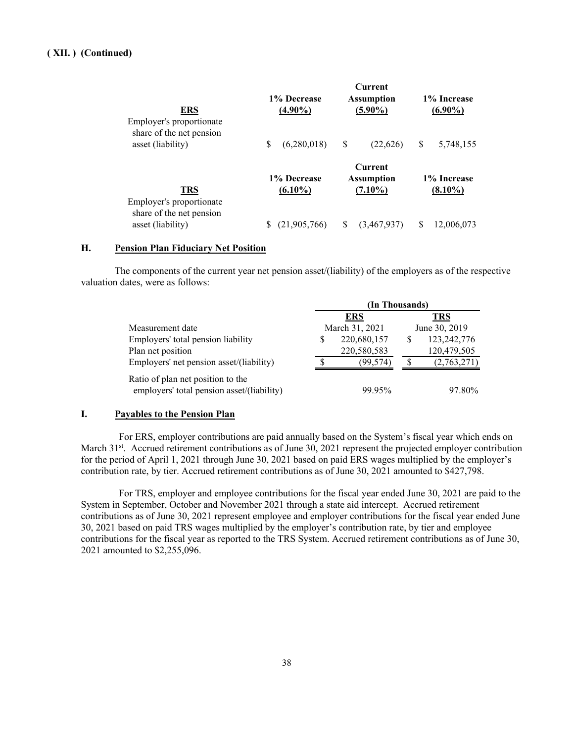| ERS<br>Employer's proportionate<br>share of the net pension | 1% Decrease<br>$(4.90\%)$ | <b>Current</b><br><b>Assumption</b><br>$(5.90\%)$ | 1% Increase<br>$(6.90\%)$ |
|-------------------------------------------------------------|---------------------------|---------------------------------------------------|---------------------------|
| asset (liability)                                           | S                         | S                                                 | S                         |
|                                                             | (6,280,018)               | (22,626)                                          | 5,748,155                 |
| TRS<br>Employer's proportionate                             | 1% Decrease<br>$(6.10\%)$ | Current<br><b>Assumption</b><br>$(7.10\%)$        | 1% Increase<br>$(8.10\%)$ |
| share of the net pension                                    | (21,905,766)              | S                                                 | S                         |
| asset (liability)                                           |                           | (3,467,937)                                       | 12,006,073                |

# **H. Pension Plan Fiduciary Net Position**

The components of the current year net pension asset/(liability) of the employers as of the respective valuation dates, were as follows:

|                                                                                 | (In Thousands) |                |   |               |  |
|---------------------------------------------------------------------------------|----------------|----------------|---|---------------|--|
|                                                                                 |                | <b>ERS</b>     |   | <b>TRS</b>    |  |
| Measurement date                                                                |                | March 31, 2021 |   | June 30, 2019 |  |
| Employers' total pension liability                                              | S              | 220,680,157    | S | 123,242,776   |  |
| Plan net position                                                               |                | 220,580,583    |   | 120,479,505   |  |
| Employers' net pension asset/(liability)                                        |                | (99.574)       | S | (2,763,271)   |  |
| Ratio of plan net position to the<br>employers' total pension asset/(liability) |                | 99.95%         |   | 97.80%        |  |

# **I. Payables to the Pension Plan**

For ERS, employer contributions are paid annually based on the System's fiscal year which ends on March 31<sup>st</sup>. Accrued retirement contributions as of June 30, 2021 represent the projected employer contribution for the period of April 1, 2021 through June 30, 2021 based on paid ERS wages multiplied by the employer's contribution rate, by tier. Accrued retirement contributions as of June 30, 2021 amounted to \$427,798.

For TRS, employer and employee contributions for the fiscal year ended June 30, 2021 are paid to the System in September, October and November 2021 through a state aid intercept. Accrued retirement contributions as of June 30, 2021 represent employee and employer contributions for the fiscal year ended June 30, 2021 based on paid TRS wages multiplied by the employer's contribution rate, by tier and employee contributions for the fiscal year as reported to the TRS System. Accrued retirement contributions as of June 30, 2021 amounted to \$2,255,096.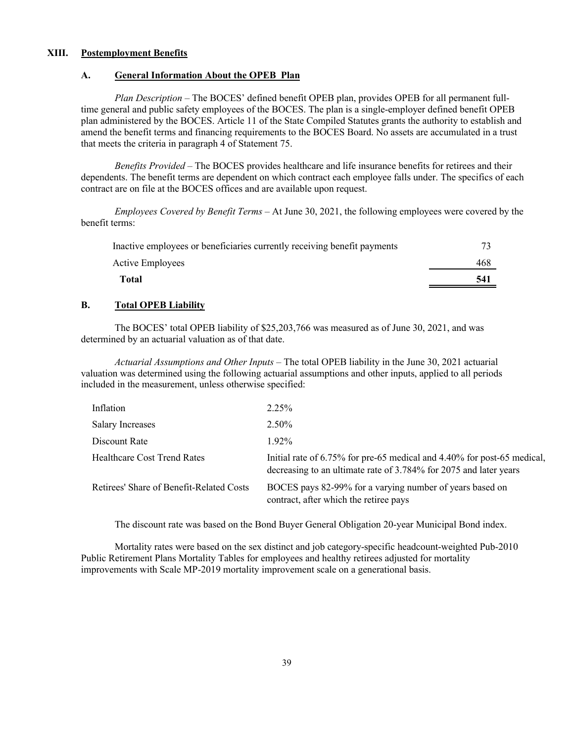# **XIII. Postemployment Benefits**

#### **A. General Information About the OPEB Plan**

*Plan Description* – The BOCES' defined benefit OPEB plan, provides OPEB for all permanent fulltime general and public safety employees of the BOCES. The plan is a single-employer defined benefit OPEB plan administered by the BOCES. Article 11 of the State Compiled Statutes grants the authority to establish and amend the benefit terms and financing requirements to the BOCES Board. No assets are accumulated in a trust that meets the criteria in paragraph 4 of Statement 75.

*Benefits Provided* – The BOCES provides healthcare and life insurance benefits for retirees and their dependents. The benefit terms are dependent on which contract each employee falls under. The specifics of each contract are on file at the BOCES offices and are available upon request.

*Employees Covered by Benefit Terms* – At June 30, 2021, the following employees were covered by the benefit terms:

| Inactive employees or beneficiaries currently receiving benefit payments |     |
|--------------------------------------------------------------------------|-----|
| Active Employees                                                         | 468 |
| Total                                                                    | 541 |

# **B. Total OPEB Liability**

The BOCES' total OPEB liability of \$25,203,766 was measured as of June 30, 2021, and was determined by an actuarial valuation as of that date.

*Actuarial Assumptions and Other Inputs* – The total OPEB liability in the June 30, 2021 actuarial valuation was determined using the following actuarial assumptions and other inputs, applied to all periods included in the measurement, unless otherwise specified:

| Inflation                                | 2.25%                                                                                                                                        |
|------------------------------------------|----------------------------------------------------------------------------------------------------------------------------------------------|
| <b>Salary Increases</b>                  | $2.50\%$                                                                                                                                     |
| Discount Rate                            | 192%                                                                                                                                         |
| <b>Healthcare Cost Trend Rates</b>       | Initial rate of 6.75% for pre-65 medical and 4.40% for post-65 medical,<br>decreasing to an ultimate rate of 3.784% for 2075 and later years |
| Retirees' Share of Benefit-Related Costs | BOCES pays 82-99% for a varying number of years based on<br>contract, after which the retiree pays                                           |

The discount rate was based on the Bond Buyer General Obligation 20-year Municipal Bond index.

Mortality rates were based on the sex distinct and job category-specific headcount-weighted Pub-2010 Public Retirement Plans Mortality Tables for employees and healthy retirees adjusted for mortality improvements with Scale MP-2019 mortality improvement scale on a generational basis.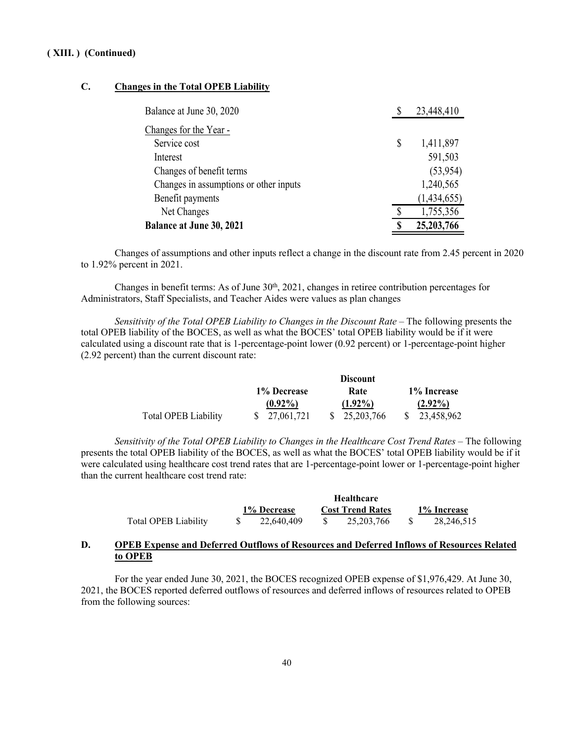# **C. Changes in the Total OPEB Liability**

| Balance at June 30, 2020               |    | 23,448,410  |
|----------------------------------------|----|-------------|
| Changes for the Year -                 |    |             |
| Service cost                           | \$ | 1,411,897   |
| Interest                               |    | 591,503     |
| Changes of benefit terms               |    | (53,954)    |
| Changes in assumptions or other inputs |    | 1,240,565   |
| Benefit payments                       |    | (1,434,655) |
| Net Changes                            |    | 1,755,356   |
| <b>Balance at June 30, 2021</b>        | S  | 25,203,766  |

Changes of assumptions and other inputs reflect a change in the discount rate from 2.45 percent in 2020 to 1.92% percent in 2021.

Changes in benefit terms: As of June 30<sup>th</sup>, 2021, changes in retiree contribution percentages for Administrators, Staff Specialists, and Teacher Aides were values as plan changes

*Sensitivity of the Total OPEB Liability to Changes in the Discount Rate* – The following presents the total OPEB liability of the BOCES, as well as what the BOCES' total OPEB liability would be if it were calculated using a discount rate that is 1-percentage-point lower (0.92 percent) or 1-percentage-point higher (2.92 percent) than the current discount rate:

|                             |               | <b>Discount</b> |             |
|-----------------------------|---------------|-----------------|-------------|
|                             | 1% Decrease   | Rate            | 1% Increase |
|                             | $(0.92\%)$    | $(1.92\%)$      | $(2.92\%)$  |
| <b>Total OPEB Liability</b> | \$ 27,061,721 | \$ 25,203,766   | 23,458,962  |

*Sensitivity of the Total OPEB Liability to Changes in the Healthcare Cost Trend Rates* – The following presents the total OPEB liability of the BOCES, as well as what the BOCES' total OPEB liability would be if it were calculated using healthcare cost trend rates that are 1-percentage-point lower or 1-percentage-point higher than the current healthcare cost trend rate:

|                             |             | <b>Healthcare</b>       |             |
|-----------------------------|-------------|-------------------------|-------------|
|                             | 1% Decrease | <b>Cost Trend Rates</b> | 1% Increase |
| <b>Total OPEB Liability</b> | 22.640.409  | 25, 203, 766            | 28.246.515  |

**Healthcare**

# **D. OPEB Expense and Deferred Outflows of Resources and Deferred Inflows of Resources Related to OPEB**

For the year ended June 30, 2021, the BOCES recognized OPEB expense of \$1,976,429. At June 30, 2021, the BOCES reported deferred outflows of resources and deferred inflows of resources related to OPEB from the following sources: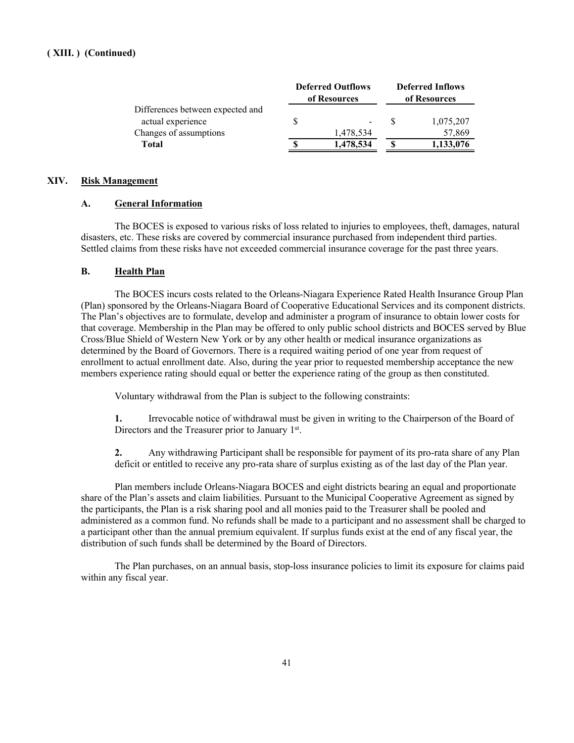|                                  | <b>Deferred Outflows</b><br>of Resources | <b>Deferred Inflows</b><br>of Resources |
|----------------------------------|------------------------------------------|-----------------------------------------|
| Differences between expected and |                                          |                                         |
| actual experience                |                                          | 1,075,207                               |
| Changes of assumptions           | 1,478,534                                | 57,869                                  |
| <b>Total</b>                     | 1,478,534                                | 1,133,076                               |

# **XIV. Risk Management**

# **A. General Information**

The BOCES is exposed to various risks of loss related to injuries to employees, theft, damages, natural disasters, etc. These risks are covered by commercial insurance purchased from independent third parties. Settled claims from these risks have not exceeded commercial insurance coverage for the past three years.

# **B. Health Plan**

The BOCES incurs costs related to the Orleans-Niagara Experience Rated Health Insurance Group Plan (Plan) sponsored by the Orleans-Niagara Board of Cooperative Educational Services and its component districts. The Plan's objectives are to formulate, develop and administer a program of insurance to obtain lower costs for that coverage. Membership in the Plan may be offered to only public school districts and BOCES served by Blue Cross/Blue Shield of Western New York or by any other health or medical insurance organizations as determined by the Board of Governors. There is a required waiting period of one year from request of enrollment to actual enrollment date. Also, during the year prior to requested membership acceptance the new members experience rating should equal or better the experience rating of the group as then constituted.

Voluntary withdrawal from the Plan is subject to the following constraints:

**1.** Irrevocable notice of withdrawal must be given in writing to the Chairperson of the Board of Directors and the Treasurer prior to January 1st.

**2.** Any withdrawing Participant shall be responsible for payment of its pro-rata share of any Plan deficit or entitled to receive any pro-rata share of surplus existing as of the last day of the Plan year.

Plan members include Orleans-Niagara BOCES and eight districts bearing an equal and proportionate share of the Plan's assets and claim liabilities. Pursuant to the Municipal Cooperative Agreement as signed by the participants, the Plan is a risk sharing pool and all monies paid to the Treasurer shall be pooled and administered as a common fund. No refunds shall be made to a participant and no assessment shall be charged to a participant other than the annual premium equivalent. If surplus funds exist at the end of any fiscal year, the distribution of such funds shall be determined by the Board of Directors.

The Plan purchases, on an annual basis, stop-loss insurance policies to limit its exposure for claims paid within any fiscal year.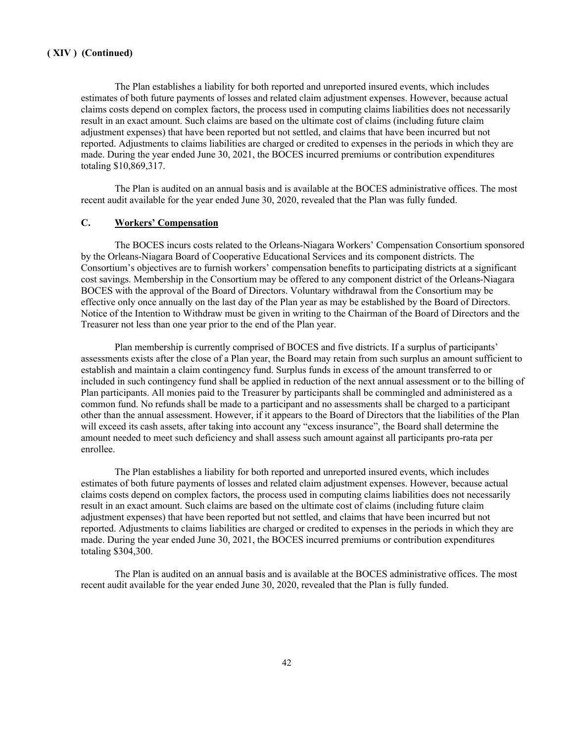The Plan establishes a liability for both reported and unreported insured events, which includes estimates of both future payments of losses and related claim adjustment expenses. However, because actual claims costs depend on complex factors, the process used in computing claims liabilities does not necessarily result in an exact amount. Such claims are based on the ultimate cost of claims (including future claim adjustment expenses) that have been reported but not settled, and claims that have been incurred but not reported. Adjustments to claims liabilities are charged or credited to expenses in the periods in which they are made. During the year ended June 30, 2021, the BOCES incurred premiums or contribution expenditures totaling \$10,869,317.

The Plan is audited on an annual basis and is available at the BOCES administrative offices. The most recent audit available for the year ended June 30, 2020, revealed that the Plan was fully funded.

# **C. Workers' Compensation**

The BOCES incurs costs related to the Orleans-Niagara Workers' Compensation Consortium sponsored by the Orleans-Niagara Board of Cooperative Educational Services and its component districts. The Consortium's objectives are to furnish workers' compensation benefits to participating districts at a significant cost savings. Membership in the Consortium may be offered to any component district of the Orleans-Niagara BOCES with the approval of the Board of Directors. Voluntary withdrawal from the Consortium may be effective only once annually on the last day of the Plan year as may be established by the Board of Directors. Notice of the Intention to Withdraw must be given in writing to the Chairman of the Board of Directors and the Treasurer not less than one year prior to the end of the Plan year.

Plan membership is currently comprised of BOCES and five districts. If a surplus of participants' assessments exists after the close of a Plan year, the Board may retain from such surplus an amount sufficient to establish and maintain a claim contingency fund. Surplus funds in excess of the amount transferred to or included in such contingency fund shall be applied in reduction of the next annual assessment or to the billing of Plan participants. All monies paid to the Treasurer by participants shall be commingled and administered as a common fund. No refunds shall be made to a participant and no assessments shall be charged to a participant other than the annual assessment. However, if it appears to the Board of Directors that the liabilities of the Plan will exceed its cash assets, after taking into account any "excess insurance", the Board shall determine the amount needed to meet such deficiency and shall assess such amount against all participants pro-rata per enrollee.

The Plan establishes a liability for both reported and unreported insured events, which includes estimates of both future payments of losses and related claim adjustment expenses. However, because actual claims costs depend on complex factors, the process used in computing claims liabilities does not necessarily result in an exact amount. Such claims are based on the ultimate cost of claims (including future claim adjustment expenses) that have been reported but not settled, and claims that have been incurred but not reported. Adjustments to claims liabilities are charged or credited to expenses in the periods in which they are made. During the year ended June 30, 2021, the BOCES incurred premiums or contribution expenditures totaling \$304,300.

The Plan is audited on an annual basis and is available at the BOCES administrative offices. The most recent audit available for the year ended June 30, 2020, revealed that the Plan is fully funded.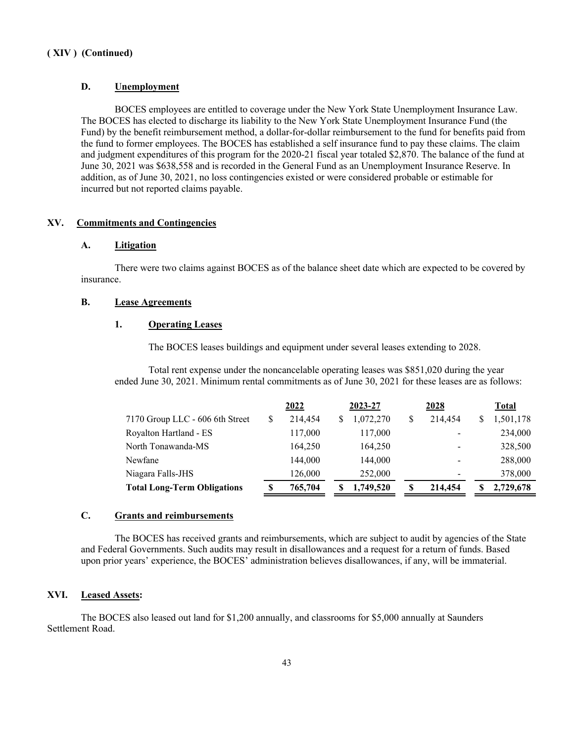# **D. Unemployment**

BOCES employees are entitled to coverage under the New York State Unemployment Insurance Law. The BOCES has elected to discharge its liability to the New York State Unemployment Insurance Fund (the Fund) by the benefit reimbursement method, a dollar-for-dollar reimbursement to the fund for benefits paid from the fund to former employees. The BOCES has established a self insurance fund to pay these claims. The claim and judgment expenditures of this program for the 2020-21 fiscal year totaled \$2,870. The balance of the fund at June 30, 2021 was \$638,558 and is recorded in the General Fund as an Unemployment Insurance Reserve. In addition, as of June 30, 2021, no loss contingencies existed or were considered probable or estimable for incurred but not reported claims payable.

# **XV. Commitments and Contingencies**

#### **A. Litigation**

There were two claims against BOCES as of the balance sheet date which are expected to be covered by insurance.

# **B. Lease Agreements**

# **1. Operating Leases**

The BOCES leases buildings and equipment under several leases extending to 2028.

Total rent expense under the noncancelable operating leases was \$851,020 during the year ended June 30, 2021. Minimum rental commitments as of June 30, 2021 for these leases are as follows:

|                                    |   | 2022    |  | 2023-27   | 2028          | Total     |  |  |
|------------------------------------|---|---------|--|-----------|---------------|-----------|--|--|
| 7170 Group LLC - 606 6th Street    | S | 214.454 |  | 1,072,270 | \$<br>214,454 | 1,501,178 |  |  |
| Royalton Hartland - ES             |   | 117,000 |  | 117,000   |               | 234,000   |  |  |
| North Tonawanda-MS                 |   | 164.250 |  | 164,250   |               | 328,500   |  |  |
| Newfane                            |   | 144.000 |  | 144,000   |               | 288,000   |  |  |
| Niagara Falls-JHS                  |   | 126,000 |  | 252,000   |               | 378,000   |  |  |
| <b>Total Long-Term Obligations</b> | S | 765,704 |  | 1,749,520 | \$<br>214,454 | 2,729,678 |  |  |

# **C. Grants and reimbursements**

The BOCES has received grants and reimbursements, which are subject to audit by agencies of the State and Federal Governments. Such audits may result in disallowances and a request for a return of funds. Based upon prior years' experience, the BOCES' administration believes disallowances, if any, will be immaterial.

#### **XVI. Leased Assets:**

The BOCES also leased out land for \$1,200 annually, and classrooms for \$5,000 annually at Saunders Settlement Road.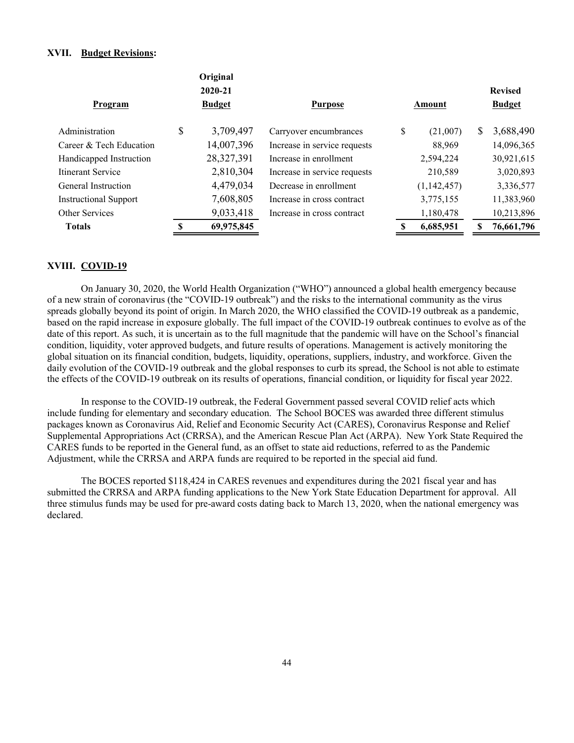# **XVII. Budget Revisions:**

|                              | Original        |                              |                |                 |
|------------------------------|-----------------|------------------------------|----------------|-----------------|
|                              | 2020-21         |                              |                | <b>Revised</b>  |
| Program                      | <b>Budget</b>   | <b>Purpose</b>               | Amount         | <b>Budget</b>   |
| Administration               | \$<br>3,709,497 | Carryover encumbrances       | \$<br>(21,007) | \$<br>3,688,490 |
| Career & Tech Education      | 14,007,396      | Increase in service requests | 88,969         | 14,096,365      |
| Handicapped Instruction      | 28, 327, 391    | Increase in enrollment       | 2,594,224      | 30,921,615      |
| Itinerant Service            | 2,810,304       | Increase in service requests | 210,589        | 3,020,893       |
| General Instruction          | 4,479,034       | Decrease in enrollment       | (1, 142, 457)  | 3,336,577       |
| <b>Instructional Support</b> | 7,608,805       | Increase in cross contract   | 3,775,155      | 11,383,960      |
| Other Services               | 9,033,418       | Increase in cross contract   | 1,180,478      | 10,213,896      |
| <b>Totals</b>                | 69,975,845      |                              | 6,685,951      | 76,661,796      |

# **XVIII. COVID-19**

On January 30, 2020, the World Health Organization ("WHO") announced a global health emergency because of a new strain of coronavirus (the "COVID-19 outbreak") and the risks to the international community as the virus spreads globally beyond its point of origin. In March 2020, the WHO classified the COVID-19 outbreak as a pandemic, based on the rapid increase in exposure globally. The full impact of the COVID-19 outbreak continues to evolve as of the date of this report. As such, it is uncertain as to the full magnitude that the pandemic will have on the School's financial condition, liquidity, voter approved budgets, and future results of operations. Management is actively monitoring the global situation on its financial condition, budgets, liquidity, operations, suppliers, industry, and workforce. Given the daily evolution of the COVID-19 outbreak and the global responses to curb its spread, the School is not able to estimate the effects of the COVID-19 outbreak on its results of operations, financial condition, or liquidity for fiscal year 2022.

In response to the COVID-19 outbreak, the Federal Government passed several COVID relief acts which include funding for elementary and secondary education. The School BOCES was awarded three different stimulus packages known as Coronavirus Aid, Relief and Economic Security Act (CARES), Coronavirus Response and Relief Supplemental Appropriations Act (CRRSA), and the American Rescue Plan Act (ARPA). New York State Required the CARES funds to be reported in the General fund, as an offset to state aid reductions, referred to as the Pandemic Adjustment, while the CRRSA and ARPA funds are required to be reported in the special aid fund.

The BOCES reported \$118,424 in CARES revenues and expenditures during the 2021 fiscal year and has submitted the CRRSA and ARPA funding applications to the New York State Education Department for approval. All three stimulus funds may be used for pre-award costs dating back to March 13, 2020, when the national emergency was declared.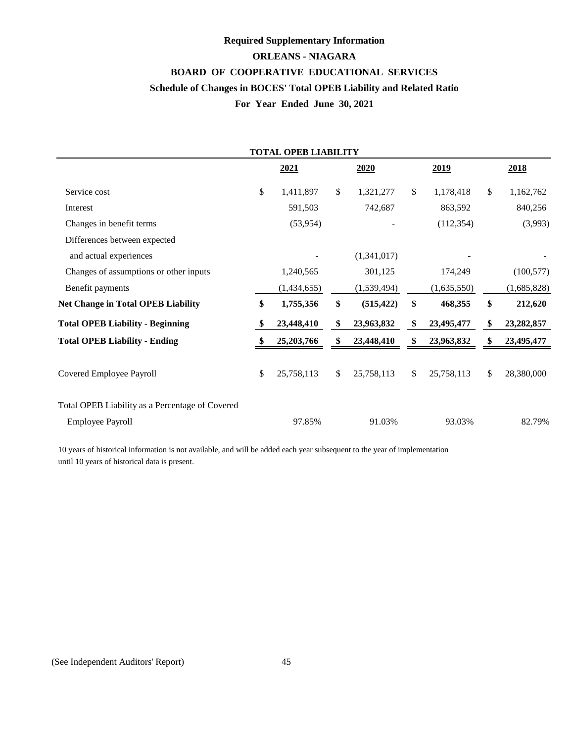# **BOARD OF COOPERATIVE EDUCATIONAL SERVICES Required Supplementary Information ORLEANS - NIAGARA Schedule of Changes in BOCES' Total OPEB Liability and Related Ratio For Year Ended June 30, 2021**

|                                                 | <b>TOTAL OPEB LIABILITY</b> |                  |                  |                    |
|-------------------------------------------------|-----------------------------|------------------|------------------|--------------------|
|                                                 | 2021                        | 2020             | 2019             | 2018               |
| Service cost                                    | \$<br>1,411,897             | \$<br>1,321,277  | \$<br>1,178,418  | \$<br>1,162,762    |
| Interest                                        | 591,503                     | 742,687          | 863,592          | 840,256            |
| Changes in benefit terms                        | (53,954)                    |                  | (112, 354)       | (3,993)            |
| Differences between expected                    |                             |                  |                  |                    |
| and actual experiences                          |                             | (1,341,017)      |                  |                    |
| Changes of assumptions or other inputs          | 1,240,565                   | 301,125          | 174,249          | (100, 577)         |
| Benefit payments                                | (1,434,655)                 | (1,539,494)      | (1,635,550)      | (1,685,828)        |
| <b>Net Change in Total OPEB Liability</b>       | \$<br>1,755,356             | \$<br>(515, 422) | \$<br>468,355    | \$<br>212,620      |
| <b>Total OPEB Liability - Beginning</b>         | 23,448,410                  | \$<br>23,963,832 | \$<br>23,495,477 | \$<br>23, 282, 857 |
| <b>Total OPEB Liability - Ending</b>            | 25,203,766                  | \$<br>23,448,410 | \$<br>23,963,832 | 23,495,477         |
| Covered Employee Payroll                        | \$<br>25,758,113            | \$<br>25,758,113 | \$<br>25,758,113 | \$<br>28,380,000   |
| Total OPEB Liability as a Percentage of Covered |                             |                  |                  |                    |
| Employee Payroll                                | 97.85%                      | 91.03%           | 93.03%           | 82.79%             |

10 years of historical information is not available, and will be added each year subsequent to the year of implementation until 10 years of historical data is present.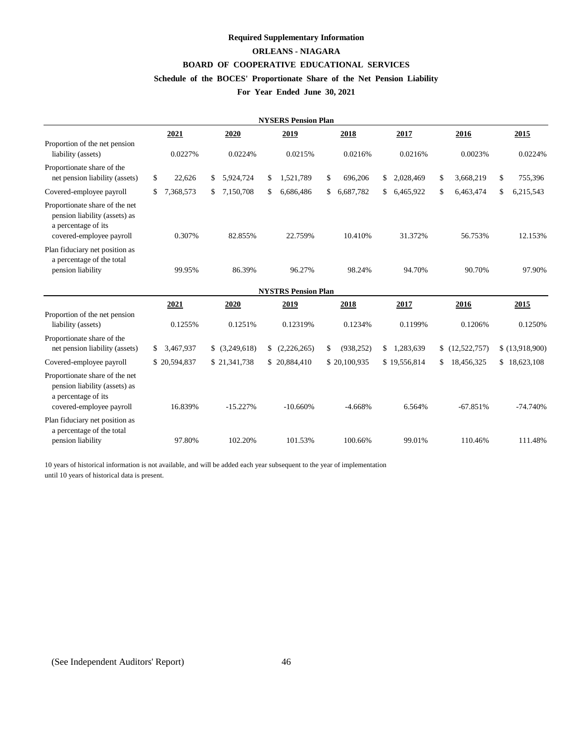# **Required Supplementary Information**

# **ORLEANS - NIAGARA**

# **BOARD OF COOPERATIVE EDUCATIONAL SERVICES**

# **Schedule of the BOCES' Proportionate Share of the Net Pension Liability**

# **For Year Ended June 30, 2021**

|                                                                                                                    |                 |                | <b>NYSERS Pension Plan</b> |                  |                 |                    |                 |
|--------------------------------------------------------------------------------------------------------------------|-----------------|----------------|----------------------------|------------------|-----------------|--------------------|-----------------|
|                                                                                                                    | 2021            | 2020           | 2019                       | 2018             | 2017            | 2016               | 2015            |
| Proportion of the net pension<br>liability (assets)                                                                | 0.0227%         | 0.0224%        | 0.0215%                    | 0.0216%          | 0.0216%         | 0.0023%            | 0.0224%         |
| Proportionate share of the<br>net pension liability (assets)                                                       | \$<br>22,626    | 5,924,724<br>S | 1,521,789<br>\$            | 696,206<br>\$    | 2,028,469<br>S  | 3,668,219<br>\$    | \$<br>755,396   |
| Covered-employee payroll                                                                                           | 7,368,573<br>\$ | 7,150,708      | 6,686,486<br>\$.           | 6,687,782<br>\$  | 6,465,922       | 6,463,474<br>\$    | 6,215,543<br>\$ |
| Proportionate share of the net<br>pension liability (assets) as<br>a percentage of its<br>covered-employee payroll | 0.307%          | 82.855%        | 22.759%                    | 10.410%          | 31.372%         | 56.753%            | 12.153%         |
| Plan fiduciary net position as<br>a percentage of the total<br>pension liability                                   | 99.95%          | 86.39%         | 96.27%                     | 98.24%           | 94.70%          | 90.70%             | 97.90%          |
|                                                                                                                    |                 |                | <b>NYSTRS Pension Plan</b> |                  |                 |                    |                 |
|                                                                                                                    | 2021            | 2020           | 2019                       | 2018             | 2017            | 2016               | 2015            |
| Proportion of the net pension<br>liability (assets)                                                                | 0.1255%         | 0.1251%        | 0.12319%                   | 0.1234%          | 0.1199%         | 0.1206%            | 0.1250%         |
| Proportionate share of the<br>net pension liability (assets)                                                       | 3,467,937<br>\$ | \$ (3,249,618) | \$<br>(2,226,265)          | (938, 252)<br>\$ | \$<br>1,283,639 | (12,522,757)<br>\$ | \$(13,918,900)  |
| Covered-employee payroll                                                                                           | \$20,594,837    | \$21,341,738   | \$20,884,410               | \$20,100,935     | \$19,556,814    | 18,456,325<br>\$   | \$18,623,108    |
| Proportionate share of the net<br>pension liability (assets) as<br>a percentage of its<br>covered-employee payroll | 16.839%         | $-15.227%$     | $-10.660%$                 | $-4.668%$        | 6.564%          | $-67.851%$         | $-74.740%$      |
| Plan fiduciary net position as<br>a percentage of the total<br>pension liability                                   | 97.80%          | 102.20%        | 101.53%                    | 100.66%          | 99.01%          | 110.46%            | 111.48%         |
|                                                                                                                    |                 |                |                            |                  |                 |                    |                 |

10 years of historical information is not available, and will be added each year subsequent to the year of implementation until 10 years of historical data is present.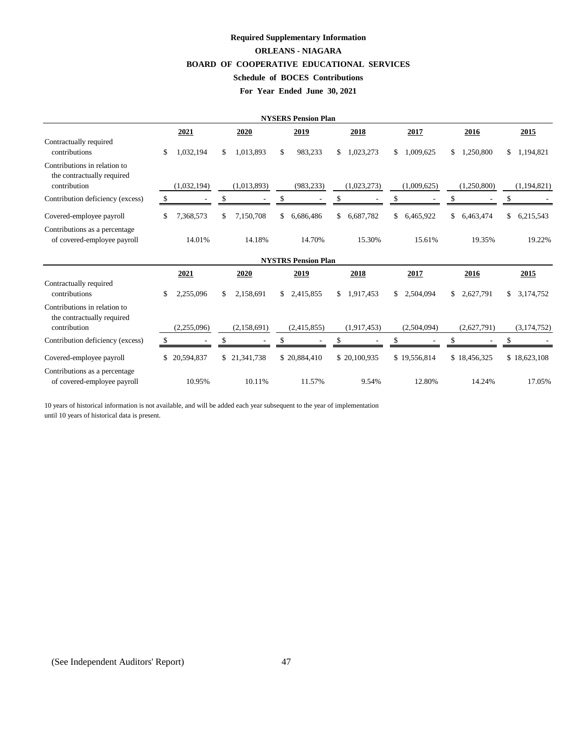# **BOARD OF COOPERATIVE EDUCATIONAL SERVICES Required Supplementary Information ORLEANS - NIAGARA Schedule of BOCES Contributions**

# **For Year Ended June 30, 2021**

|                                                                            |     |             |     |              |     | <b>NYSERS Pension Plan</b> |                 |                 |                 |     |               |
|----------------------------------------------------------------------------|-----|-------------|-----|--------------|-----|----------------------------|-----------------|-----------------|-----------------|-----|---------------|
|                                                                            |     | 2021        |     | 2020         |     | 2019                       | 2018            | 2017            | 2016            |     | 2015          |
| Contractually required<br>contributions                                    | \$  | 1,032,194   | \$  | 1,013,893    | \$  | 983,233                    | \$<br>1,023,273 | \$<br>1,009,625 | \$<br>1,250,800 | \$  | 1,194,821     |
| Contributions in relation to<br>the contractually required<br>contribution |     | (1,032,194) |     | (1,013,893)  |     | (983, 233)                 | (1,023,273)     | (1,009,625)     | (1,250,800)     |     | (1,194,821)   |
| Contribution deficiency (excess)                                           | \$. |             | \$  |              |     |                            |                 |                 | \$              | \$  |               |
| Covered-employee payroll                                                   |     | 7,368,573   | \$  | 7,150,708    | \$  | 6,686,486                  | \$<br>6,687,782 | \$<br>6,465,922 | \$<br>6,463,474 | \$  | 6,215,543     |
| Contributions as a percentage<br>of covered-employee payroll               |     | 14.01%      |     | 14.18%       |     | 14.70%                     | 15.30%          | 15.61%          | 19.35%          |     | 19.22%        |
|                                                                            |     |             |     |              |     | <b>NYSTRS Pension Plan</b> |                 |                 |                 |     |               |
|                                                                            |     | 2021        |     | 2020         |     | 2019                       | 2018            | 2017            | 2016            |     | 2015          |
| Contractually required<br>contributions                                    | \$  | 2,255,096   | \$. | 2,158,691    | \$. | 2,415,855                  | \$<br>1,917,453 | \$<br>2,504,094 | \$<br>2,627,791 | \$  | 3,174,752     |
| Contributions in relation to<br>the contractually required<br>contribution |     | (2,255,096) |     | (2,158,691)  |     | (2,415,855)                | (1,917,453)     | (2,504,094)     | (2,627,791)     |     | (3, 174, 752) |
| Contribution deficiency (excess)                                           | -S  |             | \$  |              |     |                            | \$              | \$              | \$              | \$. |               |
| Covered-employee payroll                                                   |     | 20,594,837  |     | \$21,341,738 |     | \$20,884,410               | \$20,100,935    | \$19,556,814    | \$18,456,325    |     | \$18,623,108  |
| Contributions as a percentage.<br>of covered-employee payroll              |     | 10.95%      |     | 10.11%       |     | 11.57%                     | 9.54%           | 12.80%          | 14.24%          |     | 17.05%        |

10 years of historical information is not available, and will be added each year subsequent to the year of implementation until 10 years of historical data is present.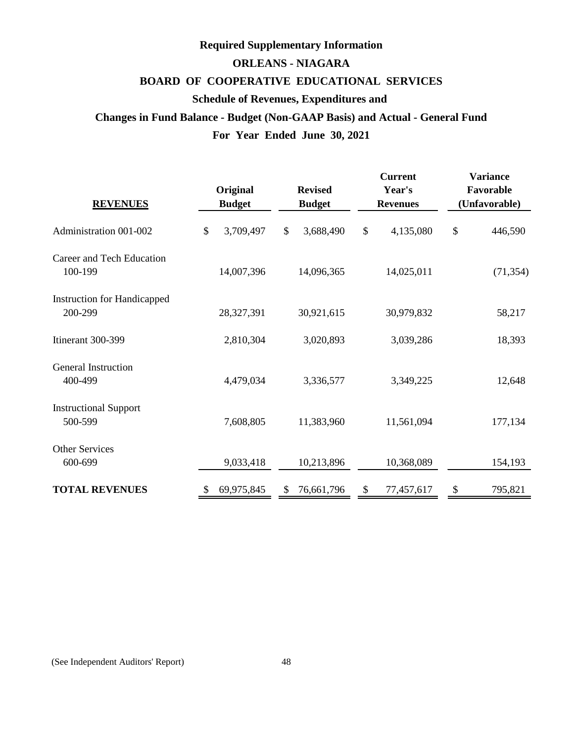# **ORLEANS - NIAGARA BOARD OF COOPERATIVE EDUCATIONAL SERVICES Required Supplementary Information Schedule of Revenues, Expenditures and Changes in Fund Balance - Budget (Non-GAAP Basis) and Actual - General Fund**

# **For Year Ended June 30, 2021**

| <b>REVENUES</b>                               |               | Original<br><b>Budget</b> |               | <b>Revised</b><br><b>Budget</b> |   | <b>Current</b><br>Year's<br><b>Revenues</b> | <b>Variance</b><br>Favorable<br>(Unfavorable) |  |  |  |
|-----------------------------------------------|---------------|---------------------------|---------------|---------------------------------|---|---------------------------------------------|-----------------------------------------------|--|--|--|
| Administration 001-002                        | $\mathcal{S}$ | 3,709,497                 | \$            | 3,688,490                       |   | 4,135,080                                   | \$<br>446,590                                 |  |  |  |
| Career and Tech Education<br>100-199          |               | 14,007,396                |               | 14,096,365                      |   | 14,025,011                                  | (71, 354)                                     |  |  |  |
| <b>Instruction for Handicapped</b><br>200-299 |               | 28,327,391                |               | 30,921,615                      |   | 30,979,832                                  | 58,217                                        |  |  |  |
| Itinerant 300-399                             |               | 2,810,304                 |               | 3,020,893                       |   | 3,039,286                                   | 18,393                                        |  |  |  |
| General Instruction<br>400-499                |               | 4,479,034                 |               | 3,336,577                       |   | 3,349,225                                   | 12,648                                        |  |  |  |
| <b>Instructional Support</b><br>500-599       |               | 7,608,805                 |               | 11,383,960                      |   | 11,561,094                                  | 177,134                                       |  |  |  |
| <b>Other Services</b><br>600-699              |               | 9,033,418                 |               | 10,213,896                      |   | 10,368,089                                  | 154,193                                       |  |  |  |
| <b>TOTAL REVENUES</b>                         | S             | 69,975,845                | <sup>\$</sup> | 76,661,796                      | S | 77,457,617                                  | \$<br>795,821                                 |  |  |  |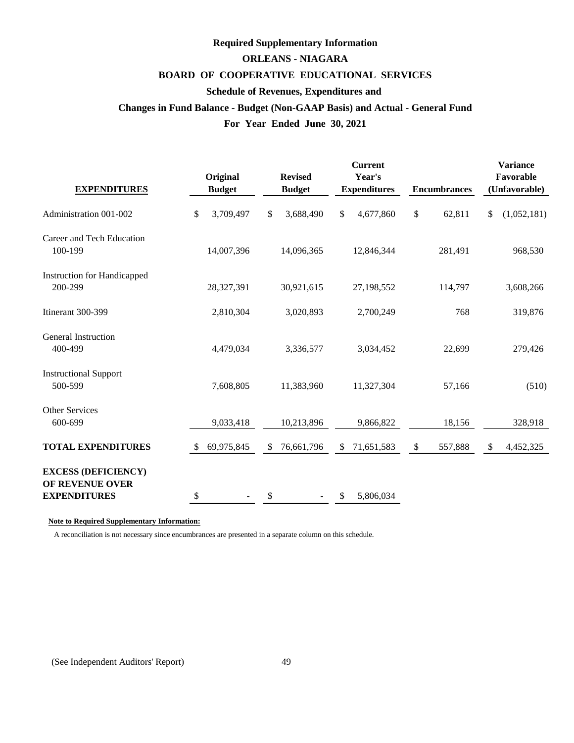# **Required Supplementary Information**

# **ORLEANS - NIAGARA**

# **BOARD OF COOPERATIVE EDUCATIONAL SERVICES**

# **Schedule of Revenues, Expenditures and**

# **Changes in Fund Balance - Budget (Non-GAAP Basis) and Actual - General Fund**

# **For Year Ended June 30, 2021**

| <b>EXPENDITURES</b>                                                  |               | Original<br><b>Budget</b> |    | <b>Revised</b><br><b>Budget</b> |    | <b>Current</b><br>Year's<br><b>Expenditures</b> | <b>Encumbrances</b> |                         | <b>Variance</b><br>Favorable<br>(Unfavorable) |
|----------------------------------------------------------------------|---------------|---------------------------|----|---------------------------------|----|-------------------------------------------------|---------------------|-------------------------|-----------------------------------------------|
| Administration 001-002                                               | \$            | 3,709,497                 | \$ | 3,688,490                       | \$ | 4,677,860                                       | \$<br>62,811        | \$                      | (1,052,181)                                   |
| Career and Tech Education<br>100-199                                 |               | 14,007,396                |    | 14,096,365                      |    | 12,846,344                                      | 281,491             |                         | 968,530                                       |
| <b>Instruction for Handicapped</b><br>200-299                        |               | 28,327,391                |    | 30,921,615                      |    | 27,198,552                                      | 114,797             |                         | 3,608,266                                     |
| Itinerant 300-399                                                    |               | 2,810,304                 |    | 3,020,893                       |    | 2,700,249                                       | 768                 |                         | 319,876                                       |
| General Instruction<br>400-499                                       |               | 4,479,034                 |    | 3,336,577                       |    | 3,034,452                                       | 22,699              |                         | 279,426                                       |
| <b>Instructional Support</b><br>500-599                              |               | 7,608,805                 |    | 11,383,960                      |    | 11,327,304                                      | 57,166              |                         | (510)                                         |
| <b>Other Services</b><br>600-699                                     |               | 9,033,418                 |    | 10,213,896                      |    | 9,866,822                                       | 18,156              |                         | 328,918                                       |
| <b>TOTAL EXPENDITURES</b>                                            | -\$           | 69,975,845                | S. | 76,661,796                      | S  | 71,651,583                                      | \$<br>557,888       | $\sqrt[6]{\frac{1}{2}}$ | 4,452,325                                     |
| <b>EXCESS (DEFICIENCY)</b><br>OF REVENUE OVER<br><b>EXPENDITURES</b> | <sup>\$</sup> |                           | \$ |                                 | \$ | 5,806,034                                       |                     |                         |                                               |

# **Note to Required Supplementary Information:**

A reconciliation is not necessary since encumbrances are presented in a separate column on this schedule.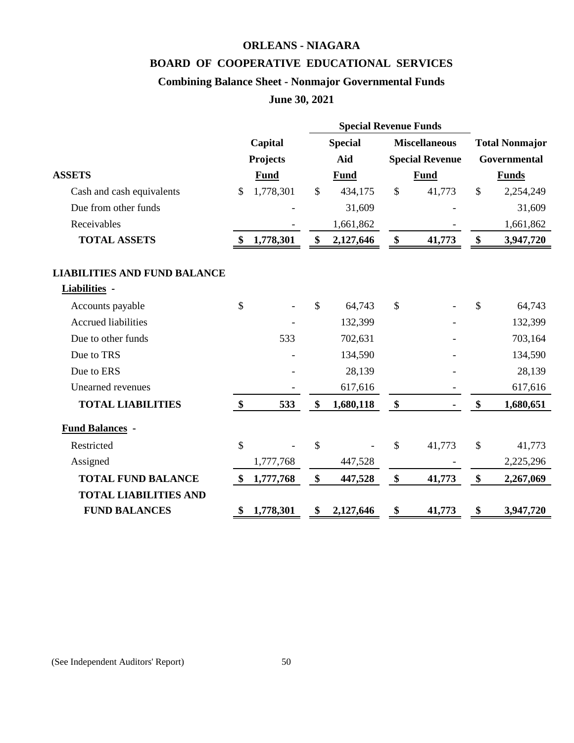# **ORLEANS - NIAGARA**

# **BOARD OF COOPERATIVE EDUCATIONAL SERVICES**

# **Combining Balance Sheet - Nonmajor Governmental Funds**

# **June 30, 2021**

| Capital           |             |                 | <b>Special</b> |               |             |                                                                                | <b>Total Nonmajor</b> |
|-------------------|-------------|-----------------|----------------|---------------|-------------|--------------------------------------------------------------------------------|-----------------------|
|                   |             |                 | Aid            |               |             |                                                                                | <b>Governmental</b>   |
|                   | <b>Fund</b> |                 | <b>Fund</b>    |               | <b>Fund</b> |                                                                                | <b>Funds</b>          |
| 1,778,301<br>\$   |             | $\mathcal{S}$   | 434,175        | $\mathcal{S}$ | 41,773      | \$                                                                             | 2,254,249             |
|                   |             |                 | 31,609         |               |             |                                                                                | 31,609                |
|                   |             |                 | 1,661,862      |               |             |                                                                                | 1,661,862             |
| $\mathbf{\$}$     | 1,778,301   | \$              | 2,127,646      | \$            | 41,773      | \$                                                                             | 3,947,720             |
|                   |             |                 |                |               |             |                                                                                |                       |
|                   |             |                 |                |               |             |                                                                                |                       |
| \$                |             | \$              | 64,743         | \$            |             | \$                                                                             | 64,743                |
|                   |             |                 | 132,399        |               |             |                                                                                | 132,399               |
|                   | 533         |                 | 702,631        |               |             |                                                                                | 703,164               |
|                   |             |                 | 134,590        |               |             |                                                                                | 134,590               |
|                   |             |                 | 28,139         |               |             |                                                                                | 28,139                |
|                   |             |                 | 617,616        |               |             |                                                                                | 617,616               |
| $\frac{1}{2}$     | 533         | \$              | 1,680,118      | \$            |             | \$                                                                             | 1,680,651             |
|                   |             |                 |                |               |             |                                                                                |                       |
| \$                |             | \$              |                | $\mathcal{S}$ | 41,773      | $\mathcal{S}$                                                                  | 41,773                |
|                   | 1,777,768   |                 | 447,528        |               |             |                                                                                | 2,225,296             |
| $\boldsymbol{\$}$ | 1,777,768   | \$              | 447,528        | \$            | 41,773      | \$                                                                             | 2,267,069             |
|                   |             |                 |                |               |             |                                                                                |                       |
| \$                | 1,778,301   | \$              | 2,127,646      | \$            | 41,773      | \$                                                                             | 3,947,720             |
|                   |             | <b>Projects</b> |                |               |             | <b>Special Revenue Funds</b><br><b>Miscellaneous</b><br><b>Special Revenue</b> |                       |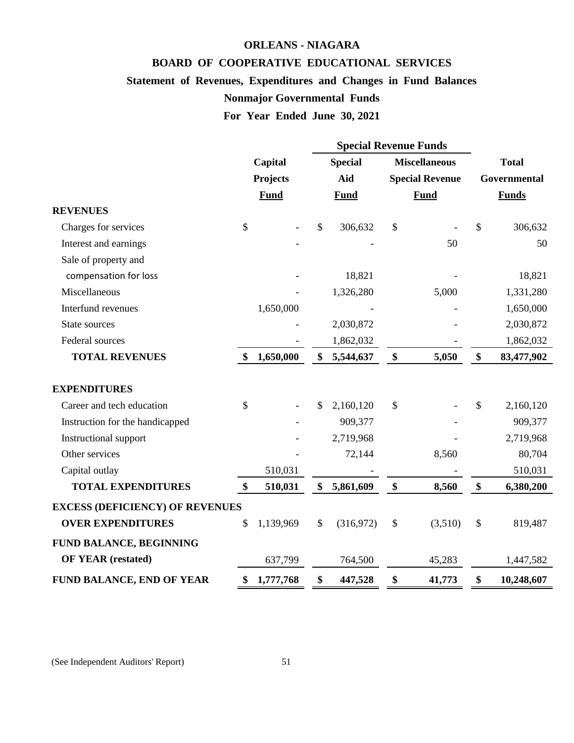# **BOARD OF COOPERATIVE EDUCATIONAL SERVICES**

**ORLEANS - NIAGARA**

# **Statement of Revenues, Expenditures and Changes in Fund Balances**

# **Nonmajor Governmental Funds**

**For Year Ended June 30, 2021**

|                                        |                   |             |    | <b>Special Revenue Funds</b> |               |                        |               |              |
|----------------------------------------|-------------------|-------------|----|------------------------------|---------------|------------------------|---------------|--------------|
|                                        | Capital           |             |    | <b>Special</b>               |               | <b>Miscellaneous</b>   |               | <b>Total</b> |
|                                        |                   | Projects    |    | Aid                          |               | <b>Special Revenue</b> |               | Governmental |
|                                        |                   | <b>Fund</b> |    | <b>Fund</b>                  |               | <b>Fund</b>            |               | <b>Funds</b> |
| <b>REVENUES</b>                        |                   |             |    |                              |               |                        |               |              |
| Charges for services                   | \$                |             | \$ | 306,632                      | $\mathcal{S}$ |                        | \$            | 306,632      |
| Interest and earnings                  |                   |             |    |                              |               | 50                     |               | 50           |
| Sale of property and                   |                   |             |    |                              |               |                        |               |              |
| compensation for loss                  |                   |             |    | 18,821                       |               |                        |               | 18,821       |
| Miscellaneous                          |                   |             |    | 1,326,280                    |               | 5,000                  |               | 1,331,280    |
| Interfund revenues                     |                   | 1,650,000   |    |                              |               |                        |               | 1,650,000    |
| State sources                          |                   |             |    | 2,030,872                    |               |                        |               | 2,030,872    |
| Federal sources                        |                   |             |    | 1,862,032                    |               |                        |               | 1,862,032    |
| <b>TOTAL REVENUES</b>                  | $\boldsymbol{\$}$ | 1,650,000   | \$ | 5,544,637                    | \$            | 5,050                  | \$            | 83,477,902   |
|                                        |                   |             |    |                              |               |                        |               |              |
| <b>EXPENDITURES</b>                    |                   |             |    |                              |               |                        |               |              |
| Career and tech education              | \$                |             | \$ | 2,160,120                    | \$            |                        | \$            | 2,160,120    |
| Instruction for the handicapped        |                   |             |    | 909,377                      |               |                        |               | 909,377      |
| Instructional support                  |                   |             |    | 2,719,968                    |               |                        |               | 2,719,968    |
| Other services                         |                   |             |    | 72,144                       |               | 8,560                  |               | 80,704       |
| Capital outlay                         |                   | 510,031     |    |                              |               |                        |               | 510,031      |
| <b>TOTAL EXPENDITURES</b>              | \$                | 510,031     | \$ | 5,861,609                    | \$            | 8,560                  | \$            | 6,380,200    |
| <b>EXCESS (DEFICIENCY) OF REVENUES</b> |                   |             |    |                              |               |                        |               |              |
| <b>OVER EXPENDITURES</b>               | \$                | 1,139,969   | \$ | (316,972)                    | \$            | (3,510)                | $\mathcal{S}$ | 819,487      |
| FUND BALANCE, BEGINNING                |                   |             |    |                              |               |                        |               |              |
| <b>OF YEAR (restated)</b>              |                   | 637,799     |    | 764,500                      | 45,283        |                        |               | 1,447,582    |
| FUND BALANCE, END OF YEAR              | \$                | 1,777,768   | \$ | 447,528                      | \$            | 41,773                 | \$            | 10,248,607   |

(See Independent Auditors' Report) 51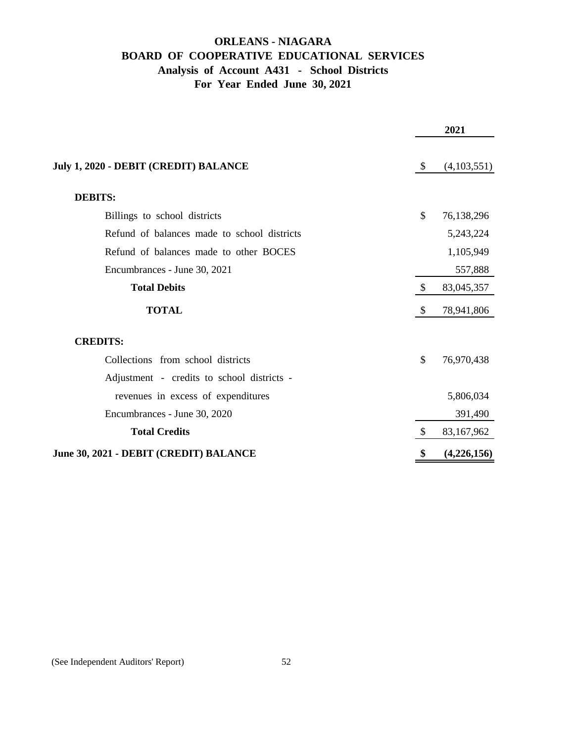# **ORLEANS - NIAGARA BOARD OF COOPERATIVE EDUCATIONAL SERVICES Analysis of Account A431 - School Districts For Year Ended June 30, 2021**

|                                             |               | 2021        |
|---------------------------------------------|---------------|-------------|
| July 1, 2020 - DEBIT (CREDIT) BALANCE       | $\mathcal{S}$ | (4,103,551) |
| <b>DEBITS:</b>                              |               |             |
| Billings to school districts                | \$            | 76,138,296  |
| Refund of balances made to school districts |               | 5,243,224   |
| Refund of balances made to other BOCES      |               | 1,105,949   |
| Encumbrances - June 30, 2021                |               | 557,888     |
| <b>Total Debits</b>                         | $\mathcal{S}$ | 83,045,357  |
| <b>TOTAL</b>                                | \$            | 78,941,806  |
| <b>CREDITS:</b>                             |               |             |
| Collections from school districts           | \$            | 76,970,438  |
| Adjustment - credits to school districts -  |               |             |
| revenues in excess of expenditures          |               | 5,806,034   |
| Encumbrances - June 30, 2020                |               | 391,490     |
| <b>Total Credits</b>                        | $\mathcal{S}$ | 83,167,962  |
| June 30, 2021 - DEBIT (CREDIT) BALANCE      | \$            | (4,226,156) |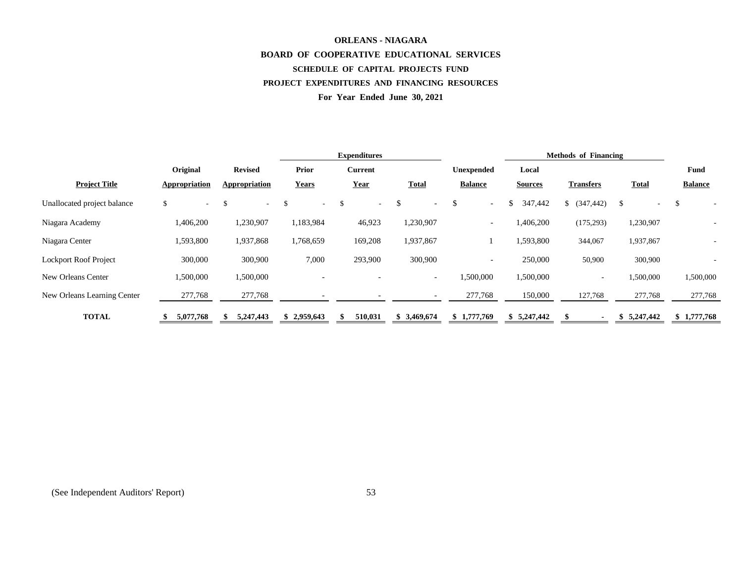# **ORLEANS - NIAGARA BOARD OF COOPERATIVE EDUCATIONAL SERVICES SCHEDULE OF CAPITAL PROJECTS FUND PROJECT EXPENDITURES AND FINANCING RESOURCES For Year Ended June 30, 2021**

|                              |                      | <b>Expenditures</b>     |                          |                |                                | <b>Methods of Financing</b> |                |                  |              |                |
|------------------------------|----------------------|-------------------------|--------------------------|----------------|--------------------------------|-----------------------------|----------------|------------------|--------------|----------------|
|                              | Original             | <b>Revised</b>          | <b>Prior</b>             | <b>Current</b> |                                | Unexpended                  | Local          |                  |              | Fund           |
| <b>Project Title</b>         | <b>Appropriation</b> | Appropriation           | <b>Years</b>             | <u>Year</u>    | <b>Total</b>                   | <b>Balance</b>              | <b>Sources</b> | <b>Transfers</b> | <b>Total</b> | <b>Balance</b> |
| Unallocated project balance  | \$<br>$\sim$         | <sup>\$</sup><br>$\sim$ | <sup>\$</sup><br>$\sim$  | .S<br>$\sim$   | .S<br>$\overline{\phantom{a}}$ | \$<br>$\sim$                | \$<br>347,442  | \$ (347, 442)    | \$           | \$             |
| Niagara Academy              | 1,406,200            | 1,230,907               | 1,183,984                | 46,923         | 1,230,907                      | $\sim$                      | 1,406,200      | (175, 293)       | 1,230,907    |                |
| Niagara Center               | 1,593,800            | 1,937,868               | 1,768,659                | 169,208        | 1,937,867                      |                             | 1,593,800      | 344,067          | 1,937,867    |                |
| <b>Lockport Roof Project</b> | 300,000              | 300,900                 | 7,000                    | 293,900        | 300,900                        | $\sim$                      | 250,000        | 50,900           | 300,900      |                |
| New Orleans Center           | 1,500,000            | 1,500,000               | $\overline{\phantom{0}}$ |                | $\overline{\phantom{a}}$       | 1,500,000                   | 1,500,000      | $\sim$           | 1,500,000    | 1,500,000      |
| New Orleans Learning Center  | 277,768              | 277,768                 |                          |                | $\overline{\phantom{0}}$       | 277,768                     | 150,000        | 127,768          | 277,768      | 277,768        |
| <b>TOTAL</b>                 | 5,077,768            | 5,247,443               | 2,959,643                | 510,031<br>\$  | \$3,469,674                    | \$1,777,769                 | \$5,247,442    |                  | 5,247,442    | \$1,777,768    |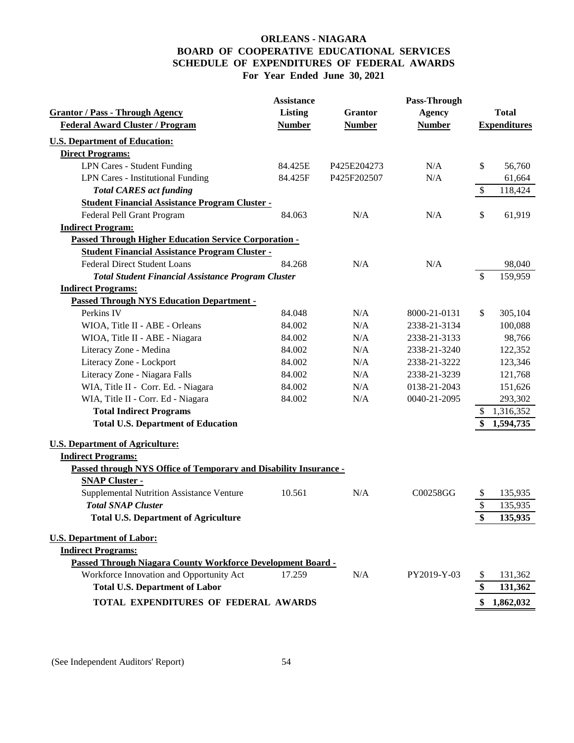# **ORLEANS - NIAGARA BOARD OF COOPERATIVE EDUCATIONAL SERVICES SCHEDULE OF EXPENDITURES OF FEDERAL AWARDS For Year Ended June 30, 2021**

| <b>Assistance</b><br>Pass-Through                                                         |                     |
|-------------------------------------------------------------------------------------------|---------------------|
| <b>Grantor / Pass - Through Agency</b><br>Listing<br><b>Grantor</b><br><b>Agency</b>      | <b>Total</b>        |
| <b>Federal Award Cluster / Program</b><br><b>Number</b><br><b>Number</b><br><b>Number</b> | <b>Expenditures</b> |
| <b>U.S. Department of Education:</b>                                                      |                     |
| <b>Direct Programs:</b>                                                                   |                     |
| <b>LPN Cares - Student Funding</b><br>N/A<br>\$<br>84.425E<br>P425E204273                 | 56,760              |
| <b>LPN Cares - Institutional Funding</b><br>N/A<br>84.425F<br>P425F202507                 | 61,664              |
| $\boldsymbol{\mathsf{S}}$<br><b>Total CARES act funding</b>                               | 118,424             |
| <b>Student Financial Assistance Program Cluster -</b>                                     |                     |
| Federal Pell Grant Program<br>N/A<br>N/A<br>\$<br>84.063                                  | 61,919              |
| <b>Indirect Program:</b>                                                                  |                     |
| <b>Passed Through Higher Education Service Corporation -</b>                              |                     |
| <b>Student Financial Assistance Program Cluster -</b>                                     |                     |
| <b>Federal Direct Student Loans</b><br>84.268<br>N/A<br>N/A                               | 98,040              |
| \$<br><b>Total Student Financial Assistance Program Cluster</b>                           | 159,959             |
| <b>Indirect Programs:</b>                                                                 |                     |
| <b>Passed Through NYS Education Department -</b>                                          |                     |
| Perkins IV<br>84.048<br>N/A<br>8000-21-0131<br>$\mathbb{S}$                               | 305,104             |
| N/A<br>WIOA, Title II - ABE - Orleans<br>84.002<br>2338-21-3134                           | 100,088             |
| WIOA, Title II - ABE - Niagara<br>N/A<br>2338-21-3133<br>84.002                           | 98,766              |
| Literacy Zone - Medina<br>84.002<br>N/A<br>2338-21-3240                                   | 122,352             |
| Literacy Zone - Lockport<br>84.002<br>N/A<br>2338-21-3222                                 | 123,346             |
| Literacy Zone - Niagara Falls<br>N/A<br>84.002<br>2338-21-3239                            | 121,768             |
| WIA, Title II - Corr. Ed. - Niagara<br>84.002<br>N/A<br>0138-21-2043                      | 151,626             |
| WIA, Title II - Corr. Ed - Niagara<br>84.002<br>N/A<br>0040-21-2095                       | 293,302             |
| <b>Total Indirect Programs</b><br>\$                                                      | 1,316,352           |
| <b>Total U.S. Department of Education</b><br>\$                                           | 1,594,735           |
| <b>U.S. Department of Agriculture:</b>                                                    |                     |
| <b>Indirect Programs:</b>                                                                 |                     |
| Passed through NYS Office of Temporary and Disability Insurance -                         |                     |
| <b>SNAP Cluster -</b>                                                                     |                     |
| Supplemental Nutrition Assistance Venture<br>10.561<br>N/A<br>C00258GG<br>\$              | 135,935             |
| \$<br><b>Total SNAP Cluster</b>                                                           | 135,935             |
| \$<br><b>Total U.S. Department of Agriculture</b>                                         | 135,935             |
| <b>U.S. Department of Labor:</b>                                                          |                     |
| <b>Indirect Programs:</b>                                                                 |                     |
| Passed Through Niagara County Workforce Development Board -                               |                     |
| Workforce Innovation and Opportunity Act<br>17.259<br>N/A<br>PY2019-Y-03                  | 131,362             |
| <b>Total U.S. Department of Labor</b>                                                     | 131,362             |
| TOTAL EXPENDITURES OF FEDERAL AWARDS                                                      | 1,862,032           |

(See Independent Auditors' Report) 54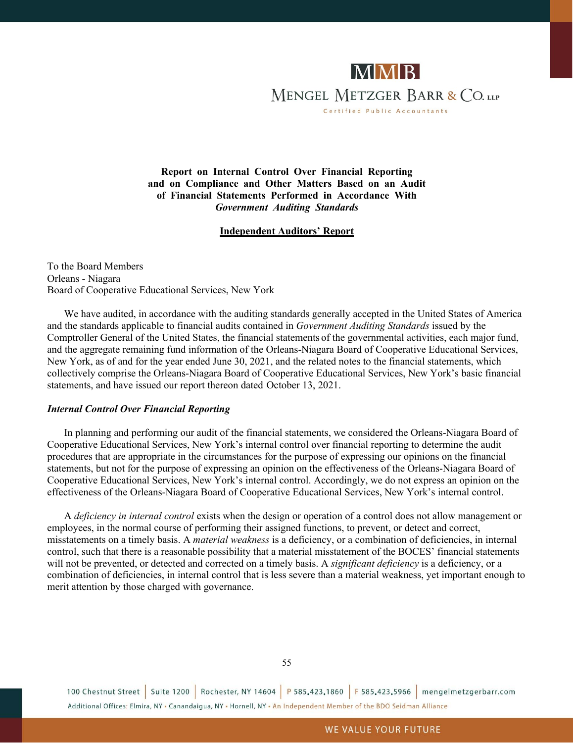

**Report on Internal Control Over Financial Reporting and on Compliance and Other Matters Based on an Audit of Financial Statements Performed in Accordance With** *Government Auditing Standards*

#### **Independent Auditors' Report**

To the Board Members Orleans - Niagara Board of Cooperative Educational Services, New York

We have audited, in accordance with the auditing standards generally accepted in the United States of America and the standards applicable to financial audits contained in *Government Auditing Standards* issued by the Comptroller General of the United States, the financial statements of the governmental activities, each major fund, and the aggregate remaining fund information of the Orleans-Niagara Board of Cooperative Educational Services, New York, as of and for the year ended June 30, 2021, and the related notes to the financial statements, which collectively comprise the Orleans-Niagara Board of Cooperative Educational Services, New York's basic financial statements, and have issued our report thereon dated October 13, 2021.

#### *Internal Control Over Financial Reporting*

In planning and performing our audit of the financial statements, we considered the Orleans-Niagara Board of Cooperative Educational Services, New York's internal control over financial reporting to determine the audit procedures that are appropriate in the circumstances for the purpose of expressing our opinions on the financial statements, but not for the purpose of expressing an opinion on the effectiveness of the Orleans-Niagara Board of Cooperative Educational Services, New York's internal control. Accordingly, we do not express an opinion on the effectiveness of the Orleans-Niagara Board of Cooperative Educational Services, New York's internal control.

A *deficiency in internal control* exists when the design or operation of a control does not allow management or employees, in the normal course of performing their assigned functions, to prevent, or detect and correct, misstatements on a timely basis. A *material weakness* is a deficiency, or a combination of deficiencies, in internal control, such that there is a reasonable possibility that a material misstatement of the BOCES' financial statements will not be prevented, or detected and corrected on a timely basis. A *significant deficiency* is a deficiency, or a combination of deficiencies, in internal control that is less severe than a material weakness, yet important enough to merit attention by those charged with governance.

100 Chestnut Street | Suite 1200 | Rochester, NY 14604 | P 585.423.1860 | F 585.423.5966 | mengelmetzgerbarr.com Additional Offices: Elmira, NY - Canandaigua, NY - Hornell, NY - An Independent Member of the BDO Seidman Alliance